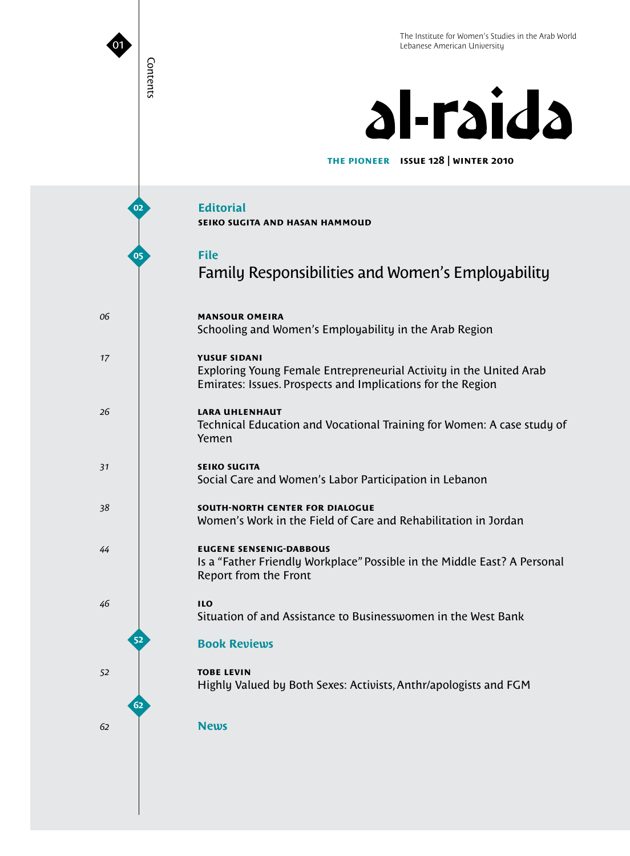# al-raida

**issue 128 | winter 2010 the pioneer**

**Editorial seiko sugita and hasan hammoud File** Family Responsibilities and Women's Employability **mansour omeira** Schooling and Women's Employability in the Arab Region **yusuf sidani** Exploring Young Female Entrepreneurial Activity in the United Arab Emirates: Issues. Prospects and Implications for the Region **lara uhlenhaut** Technical Education and Vocational Training for Women: A case study of Yemen **seiko sugita** Social Care and Women's Labor Participation in Lebanon **south-north center for dialogue**  Women's Work in the Field of Care and Rehabilitation in Jordan **eugene sensenig-dabbous** Is a "Father Friendly Workplace" Possible in the Middle East? A Personal Report from the Front **ilo** Situation of and Assistance to Businesswomen in the West Bank **Book Reviews tobe levin** Highly Valued by Both Sexes: Activists, Anthr/apologists and FGM **News 02 05 62 52**

Contents

Contents

01

*06*

*17*

*26*

*31*

*38*

*44*

*46*

*52*

*62*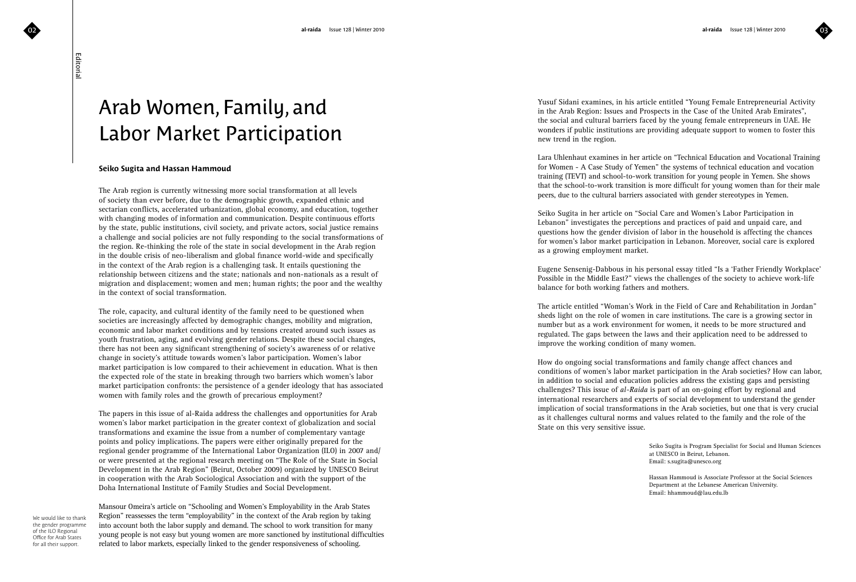$\mathbf{0}$ 3

Editorial

## Arab Women, Family, and Labor Market Participation

### **Seiko Sugita and Hassan Hammoud**

The Arab region is currently witnessing more social transformation at all levels of society than ever before, due to the demographic growth, expanded ethnic and sectarian conflicts, accelerated urbanization, global economy, and education, together with changing modes of information and communication. Despite continuous efforts by the state, public institutions, civil society, and private actors, social justice remains a challenge and social policies are not fully responding to the social transformations of the region. Re-thinking the role of the state in social development in the Arab region in the double crisis of neo-liberalism and global finance world-wide and specifically in the context of the Arab region is a challenging task. It entails questioning the relationship between citizens and the state; nationals and non-nationals as a result of migration and displacement; women and men; human rights; the poor and the wealthy in the context of social transformation.

The role, capacity, and cultural identity of the family need to be questioned when societies are increasingly affected by demographic changes, mobility and migration, economic and labor market conditions and by tensions created around such issues as youth frustration, aging, and evolving gender relations. Despite these social changes, there has not been any significant strengthening of society's awareness of or relative change in society's attitude towards women's labor participation. Women's labor market participation is low compared to their achievement in education. What is then the expected role of the state in breaking through two barriers which women's labor market participation confronts: the persistence of a gender ideology that has associated women with family roles and the growth of precarious employment?

The papers in this issue of al-Raida address the challenges and opportunities for Arab women's labor market participation in the greater context of globalization and social transformations and examine the issue from a number of complementary vantage points and policy implications. The papers were either originally prepared for the regional gender programme of the International Labor Organization (ILO) in 2007 and/ or were presented at the regional research meeting on "The Role of the State in Social Development in the Arab Region" (Beirut, October 2009) organized by UNESCO Beirut in cooperation with the Arab Sociological Association and with the support of the Doha International Institute of Family Studies and Social Development.

We would like to that<br>the gender programm<br>of the ILO Regional<br>Office for Arab States busport. We would like to thank the gender programme of the ILO Regional Office for Arab States for all their support.

Mansour Omeira's article on "Schooling and Women's Employability in the Arab States Region" reassesses the term "employability" in the context of the Arab region by taking into account both the labor supply and demand. The school to work transition for many young people is not easy but young women are more sanctioned by institutional difficulties related to labor markets, especially linked to the gender responsiveness of schooling.

Yusuf Sidani examines, in his article entitled "Young Female Entrepreneurial Activity in the Arab Region: Issues and Prospects in the Case of the United Arab Emirates", the social and cultural barriers faced by the young female entrepreneurs in UAE. He wonders if public institutions are providing adequate support to women to foster this new trend in the region.

Lara Uhlenhaut examines in her article on "Technical Education and Vocational Training for Women - A Case Study of Yemen" the systems of technical education and vocation training (TEVT) and school-to-work transition for young people in Yemen. She shows that the school-to-work transition is more difficult for young women than for their male peers, due to the cultural barriers associated with gender stereotypes in Yemen.

Seiko Sugita in her article on "Social Care and Women's Labor Participation in Lebanon" investigates the perceptions and practices of paid and unpaid care, and questions how the gender division of labor in the household is affecting the chances for women's labor market participation in Lebanon. Moreover, social care is explored as a growing employment market.

Eugene Sensenig-Dabbous in his personal essay titled "Is a 'Father Friendly Workplace' Possible in the Middle East?" views the challenges of the society to achieve work-life balance for both working fathers and mothers.

The article entitled "Woman's Work in the Field of Care and Rehabilitation in Jordan" sheds light on the role of women in care institutions. The care is a growing sector in number but as a work environment for women, it needs to be more structured and regulated. The gaps between the laws and their application need to be addressed to improve the working condition of many women.

How do ongoing social transformations and family change affect chances and conditions of women's labor market participation in the Arab societies? How can labor, in addition to social and education policies address the existing gaps and persisting challenges? This issue of *al-Raida* is part of an on-going effort by regional and international researchers and experts of social development to understand the gender implication of social transformations in the Arab societies, but one that is very crucial as it challenges cultural norms and values related to the family and the role of the State on this very sensitive issue.

> Seiko Sugita is Program Specialist for Social and Human Sciences at UNESCO in Beirut, Lebanon. Email: s.sugita@unesco.org

 Hassan Hammoud is Associate Professor at the Social Sciences Department at the Lebanese American University. Email: hhammoud@lau.edu.lb

0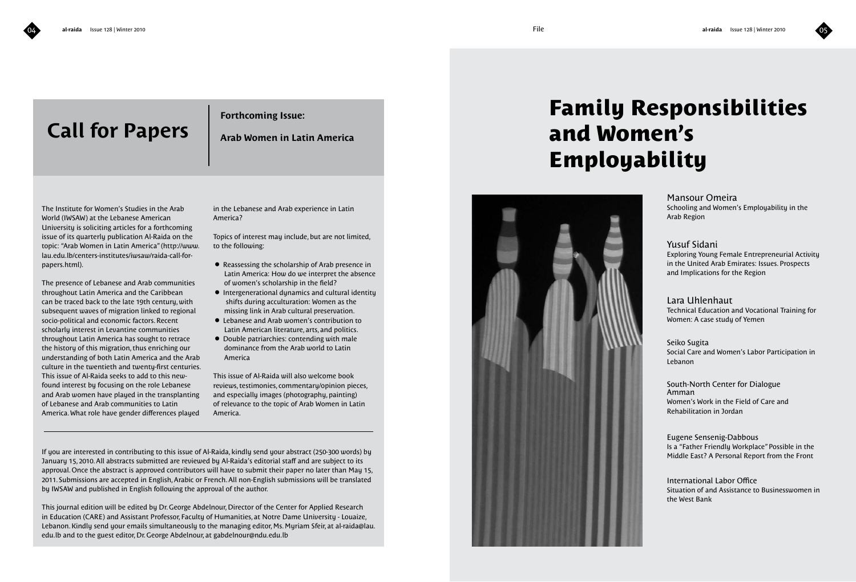# **Call for Papers**

### **Forthcoming Issue:**

**Arab Women in Latin America**

The Institute for Women's Studies in the Arab World (IWSAW) at the Lebanese American University is soliciting articles for a forthcoming issue of its quarterly publication Al-Raida on the topic: "Arab Women in Latin America" (http://www. lau.edu.lb/centers-institutes/iwsaw/raida-call-forpapers.html).

The presence of Lebanese and Arab communities throughout Latin America and the Caribbean can be traced back to the late 19th century, with subsequent waves of migration linked to regional socio-political and economic factors. Recent scholarly interest in Levantine communities throughout Latin America has sought to retrace the history of this migration, thus enriching our understanding of both Latin America and the Arab culture in the twentieth and twenty-first centuries. This issue of Al-Raida seeks to add to this newfound interest by focusing on the role Lebanese and Arab women have played in the transplanting of Lebanese and Arab communities to Latin America. What role have gender differences played

in the Lebanese and Arab experience in Latin America?

Topics of interest may include, but are not limited, to the following:

- Reassessing the scholarship of Arab presence in Latin America: How do we interpret the absence of women's scholarship in the field?
- Intergenerational dynamics and cultural identity shifts during acculturation: Women as the missing link in Arab cultural preservation.
- Lebanese and Arab women's contribution to Latin American literature, arts, and politics.
- Double patriarchies: contending with male dominance from the Arab world to Latin America

This issue of Al-Raida will also welcome book reviews, testimonies, commentary/opinion pieces, and especially images (photography, painting) of relevance to the topic of Arab Women in Latin America.

If you are interested in contributing to this issue of Al-Raida, kindly send your abstract (250-300 words) by January 15, 2010. All abstracts submitted are reviewed by Al-Raida's editorial staff and are subject to its approval. Once the abstract is approved contributors will have to submit their paper no later than May 15, 2011. Submissions are accepted in English, Arabic or French. All non-English submissions will be translated by IWSAW and published in English following the approval of the author.

This journal edition will be edited by Dr. George Abdelnour, Director of the Center for Applied Research in Education (CARE) and Assistant Professor, Faculty of Humanities, at Notre Dame University - Louaize, Lebanon. Kindly send your emails simultaneously to the managing editor, Ms. Myriam Sfeir, at al-raida@lau. edu.lb and to the guest editor, Dr. George Abdelnour, at gabdelnour@ndu.edu.lb

# **Family Responsibilities and Women's Employability**



Mansour Omeira Schooling and Women's Employability in the Arab Region

### Yusuf Sidani

Exploring Young Female Entrepreneurial Activity in the United Arab Emirates: Issues. Prospects and Implications for the Region

Lara Uhlenhaut

Technical Education and Vocational Training for Women: A case study of Yemen

### Seiko Sugita

Social Care and Women's Labor Participation in Lebanon

South-North Center for Dialogue Amman Women's Work in the Field of Care and Rehabilitation in Jordan

### Eugene Sensenig-Dabbous

Is a "Father Friendly Workplace" Possible in the Middle East? A Personal Report from the Front

International Labor Office Situation of and Assistance to Businesswomen in the West Bank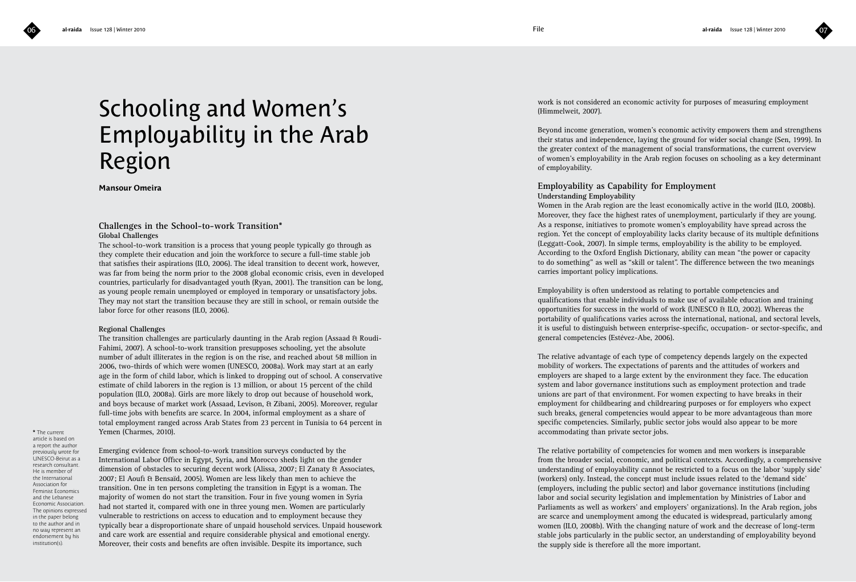

# Schooling and Women's Employability in the Arab Region

**Mansour Omeira**

### **Challenges in the School-to-work Transition\* Global Challenges**

The school-to-work transition is a process that young people typically go through as they complete their education and join the workforce to secure a full-time stable job that satisfies their aspirations (ILO, 2006). The ideal transition to decent work, however, was far from being the norm prior to the 2008 global economic crisis, even in developed countries, particularly for disadvantaged youth (Ryan, 2001). The transition can be long, as young people remain unemployed or employed in temporary or unsatisfactory jobs. They may not start the transition because they are still in school, or remain outside the labor force for other reasons (ILO, 2006).

### **Regional Challenges**

The transition challenges are particularly daunting in the Arab region (Assaad & Roudi-Fahimi, 2007). A school-to-work transition presupposes schooling, yet the absolute number of adult illiterates in the region is on the rise, and reached about 58 million in 2006, two-thirds of which were women (UNESCO, 2008a). Work may start at an early age in the form of child labor, which is linked to dropping out of school. A conservative estimate of child laborers in the region is 13 million, or about 15 percent of the child population (ILO, 2008a). Girls are more likely to drop out because of household work, and boys because of market work (Assaad, Levison, & Zibani, 2005). Moreover, regular full-time jobs with benefits are scarce. In 2004, informal employment as a share of total employment ranged across Arab States from 23 percent in Tunisia to 64 percent in Yemen (Charmes, 2010).

**\*** The current article is based on a report the author previously wrote for UNESCO-Beirut as a research consultant. He is member of the International Association for Feminist Economics and the Lebanese Economic Association. The opinions expressed in the paper belong to the author and in no way represent an endorsement by his institution(s).

Emerging evidence from school-to-work transition surveys conducted by the International Labor Office in Egypt, Syria, and Morocco sheds light on the gender dimension of obstacles to securing decent work (Alissa, 2007; El Zanaty & Associates, 2007; El Aoufi & Bensaïd, 2005). Women are less likely than men to achieve the transition. One in ten persons completing the transition in Egypt is a woman. The majority of women do not start the transition. Four in five young women in Syria had not started it, compared with one in three young men. Women are particularly vulnerable to restrictions on access to education and to employment because they typically bear a disproportionate share of unpaid household services. Unpaid housework and care work are essential and require considerable physical and emotional energy. Moreover, their costs and benefits are often invisible. Despite its importance, such

work is not considered an economic activity for purposes of measuring employment (Himmelweit, 2007).

Beyond income generation, women's economic activity empowers them and strengthens their status and independence, laying the ground for wider social change (Sen, 1999). In the greater context of the management of social transformations, the current overview of women's employability in the Arab region focuses on schooling as a key determinant of employability.

### **Employability as Capability for Employment Understanding Employability**

Women in the Arab region are the least economically active in the world (ILO, 2008b). Moreover, they face the highest rates of unemployment, particularly if they are young. As a response, initiatives to promote women's employability have spread across the region. Yet the concept of employability lacks clarity because of its multiple definitions (Leggatt-Cook, 2007). In simple terms, employability is the ability to be employed. According to the Oxford English Dictionary, ability can mean "the power or capacity to do something" as well as "skill or talent". The difference between the two meanings carries important policy implications.

Employability is often understood as relating to portable competencies and qualifications that enable individuals to make use of available education and training opportunities for success in the world of work (UNESCO & ILO, 2002). Whereas the portability of qualifications varies across the international, national, and sectoral levels, it is useful to distinguish between enterprise-specific, occupation- or sector-specific, and general competencies (Estévez-Abe, 2006).

The relative advantage of each type of competency depends largely on the expected mobility of workers. The expectations of parents and the attitudes of workers and employers are shaped to a large extent by the environment they face. The education system and labor governance institutions such as employment protection and trade unions are part of that environment. For women expecting to have breaks in their employment for childbearing and childrearing purposes or for employers who expect such breaks, general competencies would appear to be more advantageous than more specific competencies. Similarly, public sector jobs would also appear to be more accommodating than private sector jobs.

The relative portability of competencies for women and men workers is inseparable from the broader social, economic, and political contexts. Accordingly, a comprehensive understanding of employability cannot be restricted to a focus on the labor 'supply side' (workers) only. Instead, the concept must include issues related to the 'demand side' (employers, including the public sector) and labor governance institutions (including labor and social security legislation and implementation by Ministries of Labor and Parliaments as well as workers' and employers' organizations). In the Arab region, jobs are scarce and unemployment among the educated is widespread, particularly among women (ILO, 2008b). With the changing nature of work and the decrease of long-term stable jobs particularly in the public sector, an understanding of employability beyond the supply side is therefore all the more important.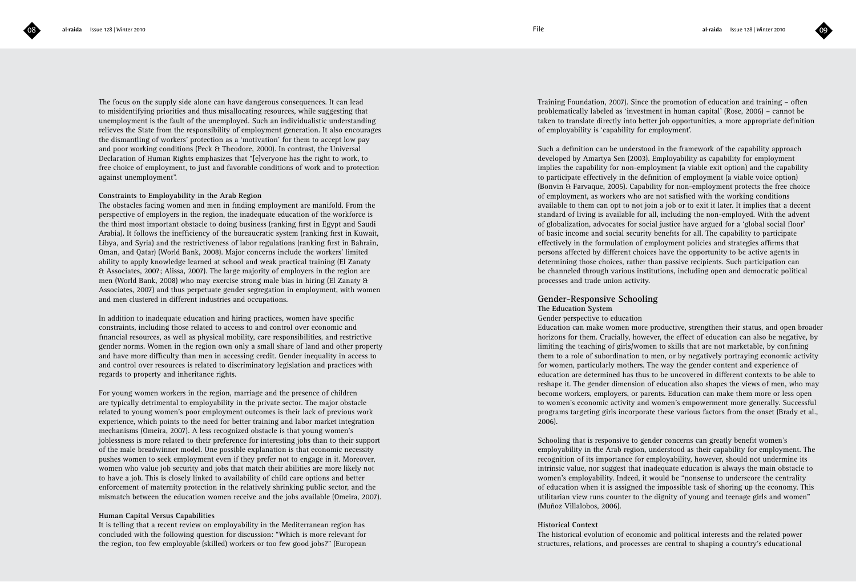The focus on the supply side alone can have dangerous consequences. It can lead to misidentifying priorities and thus misallocating resources, while suggesting that unemployment is the fault of the unemployed. Such an individualistic understanding relieves the State from the responsibility of employment generation. It also encourages the dismantling of workers' protection as a 'motivation' for them to accept low pay and poor working conditions (Peck & Theodore, 2000). In contrast, the Universal Declaration of Human Rights emphasizes that "[e]veryone has the right to work, to free choice of employment, to just and favorable conditions of work and to protection against unemployment".

### **Constraints to Employability in the Arab Region**

The obstacles facing women and men in finding employment are manifold. From the perspective of employers in the region, the inadequate education of the workforce is the third most important obstacle to doing business (ranking first in Egypt and Saudi Arabia). It follows the inefficiency of the bureaucratic system (ranking first in Kuwait, Libya, and Syria) and the restrictiveness of labor regulations (ranking first in Bahrain, Oman, and Qatar) (World Bank, 2008). Major concerns include the workers' limited ability to apply knowledge learned at school and weak practical training (El Zanaty & Associates, 2007; Alissa, 2007). The large majority of employers in the region are men (World Bank, 2008) who may exercise strong male bias in hiring (El Zanaty & Associates, 2007) and thus perpetuate gender segregation in employment, with women and men clustered in different industries and occupations.

In addition to inadequate education and hiring practices, women have specific constraints, including those related to access to and control over economic and financial resources, as well as physical mobility, care responsibilities, and restrictive gender norms. Women in the region own only a small share of land and other property and have more difficulty than men in accessing credit. Gender inequality in access to and control over resources is related to discriminatory legislation and practices with regards to property and inheritance rights.

For young women workers in the region, marriage and the presence of children are typically detrimental to employability in the private sector. The major obstacle related to young women's poor employment outcomes is their lack of previous work experience, which points to the need for better training and labor market integration mechanisms (Omeira, 2007). A less recognized obstacle is that young women's joblessness is more related to their preference for interesting jobs than to their support of the male breadwinner model. One possible explanation is that economic necessity pushes women to seek employment even if they prefer not to engage in it. Moreover, women who value job security and jobs that match their abilities are more likely not to have a job. This is closely linked to availability of child care options and better enforcement of maternity protection in the relatively shrinking public sector, and the mismatch between the education women receive and the jobs available (Omeira, 2007).

### **Human Capital Versus Capabilities**

It is telling that a recent review on employability in the Mediterranean region has concluded with the following question for discussion: "Which is more relevant for the region, too few employable (skilled) workers or too few good jobs?" (European

Training Foundation, 2007). Since the promotion of education and training – often problematically labeled as 'investment in human capital' (Rose, 2006) – cannot be taken to translate directly into better job opportunities, a more appropriate definition of employability is 'capability for employment'.

Such a definition can be understood in the framework of the capability approach developed by Amartya Sen (2003). Employability as capability for employment implies the capability for non-employment (a viable exit option) and the capability to participate effectively in the definition of employment (a viable voice option) (Bonvin & Farvaque, 2005). Capability for non-employment protects the free choice of employment, as workers who are not satisfied with the working conditions available to them can opt to not join a job or to exit it later. It implies that a decent standard of living is available for all, including the non-employed. With the advent of globalization, advocates for social justice have argued for a 'global social floor' of basic income and social security benefits for all. The capability to participate effectively in the formulation of employment policies and strategies affirms that persons affected by different choices have the opportunity to be active agents in determining those choices, rather than passive recipients. Such participation can be channeled through various institutions, including open and democratic political processes and trade union activity.

### **Gender-Responsive Schooling**

### **The Education System**

Gender perspective to education

Education can make women more productive, strengthen their status, and open broader horizons for them. Crucially, however, the effect of education can also be negative, by limiting the teaching of girls/women to skills that are not marketable, by confining them to a role of subordination to men, or by negatively portraying economic activity for women, particularly mothers. The way the gender content and experience of education are determined has thus to be uncovered in different contexts to be able to reshape it. The gender dimension of education also shapes the views of men, who may become workers, employers, or parents. Education can make them more or less open to women's economic activity and women's empowerment more generally. Successful programs targeting girls incorporate these various factors from the onset (Brady et al., 2006).

Schooling that is responsive to gender concerns can greatly benefit women's employability in the Arab region, understood as their capability for employment. The recognition of its importance for employability, however, should not undermine its intrinsic value, nor suggest that inadequate education is always the main obstacle to women's employability. Indeed, it would be "nonsense to underscore the centrality of education when it is assigned the impossible task of shoring up the economy. This utilitarian view runs counter to the dignity of young and teenage girls and women" (Muñoz Villalobos, 2006).

### **Historical Context**

The historical evolution of economic and political interests and the related power structures, relations, and processes are central to shaping a country's educational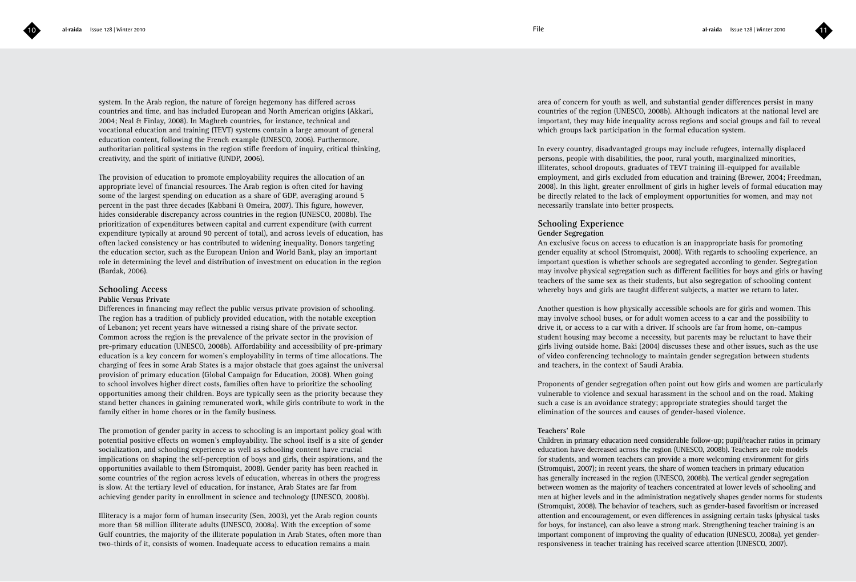system. In the Arab region, the nature of foreign hegemony has differed across countries and time, and has included European and North American origins (Akkari, 2004; Neal & Finlay, 2008). In Maghreb countries, for instance, technical and vocational education and training (TEVT) systems contain a large amount of general education content, following the French example (UNESCO, 2006). Furthermore, authoritarian political systems in the region stifle freedom of inquiry, critical thinking, creativity, and the spirit of initiative (UNDP, 2006).

The provision of education to promote employability requires the allocation of an appropriate level of financial resources. The Arab region is often cited for having some of the largest spending on education as a share of GDP, averaging around 5 percent in the past three decades (Kabbani & Omeira, 2007). This figure, however, hides considerable discrepancy across countries in the region (UNESCO, 2008b). The prioritization of expenditures between capital and current expenditure (with current expenditure typically at around 90 percent of total), and across levels of education, has often lacked consistency or has contributed to widening inequality. Donors targeting the education sector, such as the European Union and World Bank, play an important role in determining the level and distribution of investment on education in the region (Bardak, 2006).

### **Schooling Access**

### **Public Versus Private**

Differences in financing may reflect the public versus private provision of schooling. The region has a tradition of publicly provided education, with the notable exception of Lebanon; yet recent years have witnessed a rising share of the private sector. Common across the region is the prevalence of the private sector in the provision of pre-primary education (UNESCO, 2008b). Affordability and accessibility of pre-primary education is a key concern for women's employability in terms of time allocations. The charging of fees in some Arab States is a major obstacle that goes against the universal provision of primary education (Global Campaign for Education, 2008). When going to school involves higher direct costs, families often have to prioritize the schooling opportunities among their children. Boys are typically seen as the priority because they stand better chances in gaining remunerated work, while girls contribute to work in the family either in home chores or in the family business.

The promotion of gender parity in access to schooling is an important policy goal with potential positive effects on women's employability. The school itself is a site of gender socialization, and schooling experience as well as schooling content have crucial implications on shaping the self-perception of boys and girls, their aspirations, and the opportunities available to them (Stromquist, 2008). Gender parity has been reached in some countries of the region across levels of education, whereas in others the progress is slow. At the tertiary level of education, for instance, Arab States are far from achieving gender parity in enrollment in science and technology (UNESCO, 2008b).

Illiteracy is a major form of human insecurity (Sen, 2003), yet the Arab region counts more than 58 million illiterate adults (UNESCO, 2008a). With the exception of some Gulf countries, the majority of the illiterate population in Arab States, often more than two-thirds of it, consists of women. Inadequate access to education remains a main

area of concern for youth as well, and substantial gender differences persist in many countries of the region (UNESCO, 2008b). Although indicators at the national level are important, they may hide inequality across regions and social groups and fail to reveal which groups lack participation in the formal education system.

In every country, disadvantaged groups may include refugees, internally displaced persons, people with disabilities, the poor, rural youth, marginalized minorities, illiterates, school dropouts, graduates of TEVT training ill-equipped for available employment, and girls excluded from education and training (Brewer, 2004; Freedman, 2008). In this light, greater enrollment of girls in higher levels of formal education may be directly related to the lack of employment opportunities for women, and may not necessarily translate into better prospects.

### **Schooling Experience Gender Segregation**

An exclusive focus on access to education is an inappropriate basis for promoting gender equality at school (Stromquist, 2008). With regards to schooling experience, an important question is whether schools are segregated according to gender. Segregation may involve physical segregation such as different facilities for boys and girls or having teachers of the same sex as their students, but also segregation of schooling content whereby boys and girls are taught different subjects, a matter we return to later.

Another question is how physically accessible schools are for girls and women. This may involve school buses, or for adult women access to a car and the possibility to drive it, or access to a car with a driver. If schools are far from home, on-campus student housing may become a necessity, but parents may be reluctant to have their girls living outside home. Baki (2004) discusses these and other issues, such as the use of video conferencing technology to maintain gender segregation between students and teachers, in the context of Saudi Arabia.

Proponents of gender segregation often point out how girls and women are particularly vulnerable to violence and sexual harassment in the school and on the road. Making such a case is an avoidance strategy; appropriate strategies should target the elimination of the sources and causes of gender-based violence.

### **Teachers' Role**

Children in primary education need considerable follow-up; pupil/teacher ratios in primary education have decreased across the region (UNESCO, 2008b). Teachers are role models for students, and women teachers can provide a more welcoming environment for girls (Stromquist, 2007); in recent years, the share of women teachers in primary education has generally increased in the region (UNESCO, 2008b). The vertical gender segregation between women as the majority of teachers concentrated at lower levels of schooling and men at higher levels and in the administration negatively shapes gender norms for students (Stromquist, 2008). The behavior of teachers, such as gender-based favoritism or increased attention and encouragement, or even differences in assigning certain tasks (physical tasks for boys, for instance), can also leave a strong mark. Strengthening teacher training is an important component of improving the quality of education (UNESCO, 2008a), yet genderresponsiveness in teacher training has received scarce attention (UNESCO, 2007).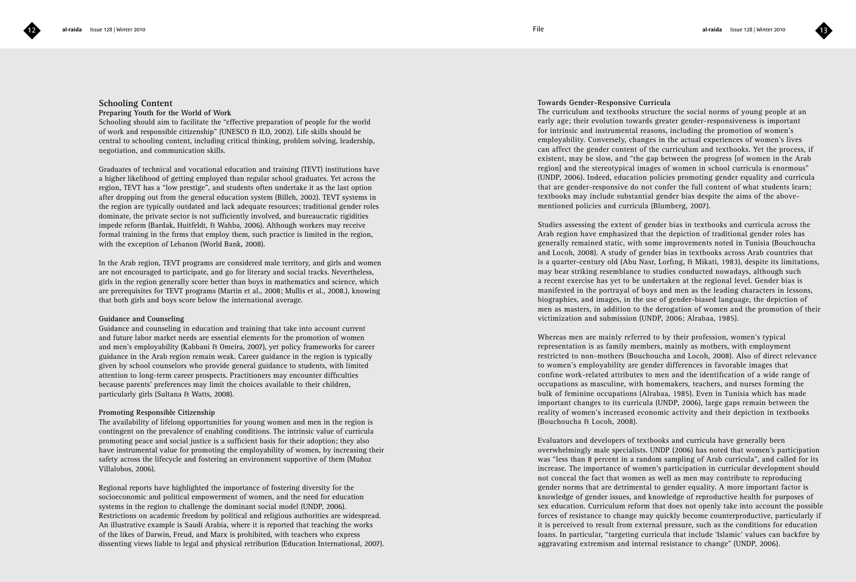### **Schooling Content**

### **Preparing Youth for the World of Work**

Schooling should aim to facilitate the "effective preparation of people for the world of work and responsible citizenship" (UNESCO & ILO, 2002). Life skills should be central to schooling content, including critical thinking, problem solving, leadership, negotiation, and communication skills.

Graduates of technical and vocational education and training (TEVT) institutions have a higher likelihood of getting employed than regular school graduates. Yet across the region, TEVT has a "low prestige", and students often undertake it as the last option after dropping out from the general education system (Billeh, 2002). TEVT systems in the region are typically outdated and lack adequate resources; traditional gender roles dominate, the private sector is not sufficiently involved, and bureaucratic rigidities impede reform (Bardak, Huitfeldt, & Wahba, 2006). Although workers may receive formal training in the firms that employ them, such practice is limited in the region, with the exception of Lebanon (World Bank, 2008).

In the Arab region, TEVT programs are considered male territory, and girls and women are not encouraged to participate, and go for literary and social tracks. Nevertheless, girls in the region generally score better than boys in mathematics and science, which are prerequisites for TEVT programs (Martin et al., 2008; Mullis et al., 2008.), knowing that both girls and boys score below the international average.

### **Guidance and Counseling**

Guidance and counseling in education and training that take into account current and future labor market needs are essential elements for the promotion of women and men's employability (Kabbani & Omeira, 2007), yet policy frameworks for career guidance in the Arab region remain weak. Career guidance in the region is typically given by school counselors who provide general guidance to students, with limited attention to long-term career prospects. Practitioners may encounter difficulties because parents' preferences may limit the choices available to their children, particularly girls (Sultana & Watts, 2008).

### **Promoting Responsible Citizenship**

The availability of lifelong opportunities for young women and men in the region is contingent on the prevalence of enabling conditions. The intrinsic value of curricula promoting peace and social justice is a sufficient basis for their adoption; they also have instrumental value for promoting the employability of women, by increasing their safety across the lifecycle and fostering an environment supportive of them (Muñoz Villalobos, 2006).

Regional reports have highlighted the importance of fostering diversity for the socioeconomic and political empowerment of women, and the need for education systems in the region to challenge the dominant social model (UNDP, 2006). Restrictions on academic freedom by political and religious authorities are widespread. An illustrative example is Saudi Arabia, where it is reported that teaching the works of the likes of Darwin, Freud, and Marx is prohibited, with teachers who express dissenting views liable to legal and physical retribution (Education International, 2007).

### **Towards Gender-Responsive Curricula**

The curriculum and textbooks structure the social norms of young people at an early age; their evolution towards greater gender-responsiveness is important for intrinsic and instrumental reasons, including the promotion of women's employability. Conversely, changes in the actual experiences of women's lives can affect the gender content of the curriculum and textbooks. Yet the process, if existent, may be slow, and "the gap between the progress [of women in the Arab region] and the stereotypical images of women in school curricula is enormous" (UNDP, 2006). Indeed, education policies promoting gender equality and curricula that are gender-responsive do not confer the full content of what students learn; textbooks may include substantial gender bias despite the aims of the abovementioned policies and curricula (Blumberg, 2007).

Studies assessing the extent of gender bias in textbooks and curricula across the Arab region have emphasized that the depiction of traditional gender roles has generally remained static, with some improvements noted in Tunisia (Bouchoucha and Locoh, 2008). A study of gender bias in textbooks across Arab countries that is a quarter-century old (Abu Nasr, Lorfing, & Mikati, 1983), despite its limitations, may bear striking resemblance to studies conducted nowadays, although such a recent exercise has yet to be undertaken at the regional level. Gender bias is manifested in the portrayal of boys and men as the leading characters in lessons, biographies, and images, in the use of gender-biased language, the depiction of men as masters, in addition to the derogation of women and the promotion of their victimization and submission (UNDP, 2006; Alrabaa, 1985).

Whereas men are mainly referred to by their profession, women's typical representation is as family members, mainly as mothers, with employment restricted to non-mothers (Bouchoucha and Locoh, 2008). Also of direct relevance to women's employability are gender differences in favorable images that confine work-related attributes to men and the identification of a wide range of occupations as masculine, with homemakers, teachers, and nurses forming the bulk of feminine occupations (Alrabaa, 1985). Even in Tunisia which has made important changes to its curricula (UNDP, 2006), large gaps remain between the reality of women's increased economic activity and their depiction in textbooks (Bouchoucha & Locoh, 2008).

Evaluators and developers of textbooks and curricula have generally been overwhelmingly male specialists. UNDP (2006) has noted that women's participation was "less than 8 percent in a random sampling of Arab curricula", and called for its increase. The importance of women's participation in curricular development should not conceal the fact that women as well as men may contribute to reproducing gender norms that are detrimental to gender equality. A more important factor is knowledge of gender issues, and knowledge of reproductive health for purposes of sex education. Curriculum reform that does not openly take into account the possible forces of resistance to change may quickly become counterproductive, particularly if it is perceived to result from external pressure, such as the conditions for education loans. In particular, "targeting curricula that include 'Islamic' values can backfire by aggravating extremism and internal resistance to change" (UNDP, 2006).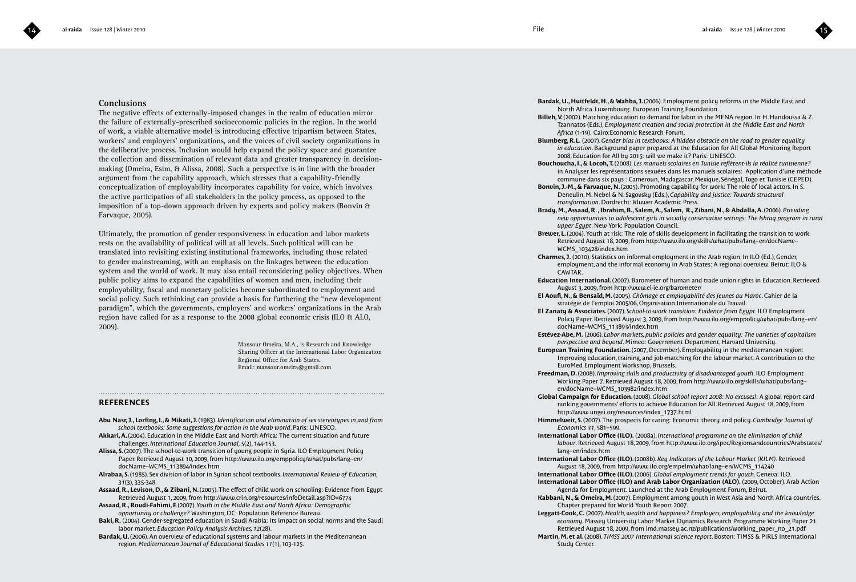

### **Conclusions**

The negative effects of externally-imposed changes in the realm of education mirror the failure of externally-prescribed socioeconomic policies in the region. In the world of work, a viable alternative model is introducing effective tripartism between States, workers' and employers' organizations, and the voices of civil society organizations in the deliberative process. Inclusion would help expand the policy space and guarantee the collection and dissemination of relevant data and greater transparency in decisionmaking (Omeira, Esim, & Alissa, 2008). Such a perspective is in line with the broader argument from the capability approach, which stresses that a capability-friendly conceptualization of employability incorporates capability for voice, which involves the active participation of all stakeholders in the policy process, as opposed to the imposition of a top-down approach driven by experts and policy makers (Bonvin & Farvaque, 2005).

Ultimately, the promotion of gender responsiveness in education and labor markets rests on the availability of political will at all levels. Such political will can be translated into revisiting existing institutional frameworks, including those related to gender mainstreaming, with an emphasis on the linkages between the education system and the world of work. It may also entail reconsidering policy objectives. When public policy aims to expand the capabilities of women and men, including their employability, fiscal and monetary policies become subordinated to employment and social policy. Such rethinking can provide a basis for furthering the "new development paradigm", which the governments, employers' and workers' organizations in the Arab region have called for as a response to the 2008 global economic crisis (ILO & ALO, 2009).

> Mansour Omeira, M.A., is Research and Knowledge Sharing Officer at the International Labor Organization Regional Office for Arab States. Email: mansour.omeira@gmail.com

### **REFERENCES**

**Abu Nasr, J., Lorfing, I., & Mikati, J.** (1983). *Identification and elimination of sex stereotypes in and from school textbooks: Some suggestions for action in the Arab world*. Paris: UNESCO.

- **Akkari, A.** (2004). Education in the Middle East and North Africa: The current situation and future challenges. *International Education Journal, 5*(2), 144-153.
- **Alissa, S.** (2007). The school-to-work transition of young people in Syria. ILO Employment Policy Paper. Retrieved August 10, 2009, from http://www.ilo.org/emppolicy/what/pubs/lang--en/ docName--WCMS\_113894/index.htm.
- **Alrabaa, S.** (1985). Sex division of labor in Syrian school textbooks. *International Review of Education, 31*(3), 335-348.
- **Assaad, R., Levison, D., & Zibani, N.** (2005). The effect of child work on schooling: Evidence from Egypt Retrieved August 1, 2009, from http://www.crin.org/resources/infoDetail.asp?ID=6774
- **Assaad, R., Roudi-Fahimi, F.** (2007). *Youth in the Middle East and North Africa: Demographic opportunity or challenge?* Washington, DC: Population Reference Bureau.
- **Baki, R.** (2004). Gender-segregated education in Saudi Arabia: Its impact on social norms and the Saudi labor market. *Education Policy Analysis Archives, 12*(28).
- **Bardak, U.** (2006). An overview of educational systems and labour markets in the Mediterranean region. *Mediterranean Journal of Educational Studies 11*(1), 103-125.

**Bardak, U., Huitfeldt, H., & Wahba, J.** (2006). Employment policy reforms in the Middle East and North Africa. Luxembourg: European Training Foundation.

- **Billeh, V.** (2002). Matching education to demand for labor in the MENA region. In H. Handoussa & Z. Tzannatos (Eds.), *Employment creation and social protection in the Middle East and North Africa* (1-19). Cairo:Economic Research Forum.
- **Blumberg, R.L.** (2007). *Gender bias in textbooks: A hidden obstacle on the road to gender equality in education*. Background paper prepared at the Education for All Global Monitoring Report 2008, Education for All by 2015: will we make it? Paris: UNESCO.
- **Bouchoucha, I., & Locoh, T.** (2008). *Les manuels scolaires en Tunisie reflètent-ils la réalité tunisienne?* in Analyser les représentations sexuées dans les manuels scolaires: Application d'une méthode commune dans six pays : Cameroun, Madagascar, Mexique, Sénégal, Togo et Tunisie (CEPED).
- **Bonvin, J.-M., & Farvaque, N.** (2005). Promoting capability for work: The role of local actors. In S. Deneulin, M. Nebel & N. Sagovsky (Eds.), *Capability and justice: Towards structural transformation*. Dordrecht: Kluwer Academic Press.
- **Brady, M., Assaad, R. , Ibrahim, B., Salem, A., Salem, R., Zibani, N., & Abdalla, A.** (2006). *Providing new opportunities to adolescent girls in socially conservative settings: The Ishraq program in rural upper Egypt*. New York: Population Council.
- Brewer, L. (2004). Youth at risk: The role of skills development in facilitating the transition to work. Retrieved August 18, 2009, from http://www.ilo.org/skills/what/pubs/lang--en/docName-- WCMS\_103428/index.htm
- **Charmes, J.** (2010). Statistics on informal employment in the Arab region. In ILO (Ed.), Gender, employment, and the informal economy in Arab States: A regional overview. Beirut: ILO & CAWTAR.
- **Education International.** (2007). Barometer of human and trade union rights in Education. Retrieved August 3, 2009, from http://www.ei-ie.org/barometer/
- **El Aoufi, N., & Bensaïd, M.** (2005). *Chômage et employabilité des jeunes au Maroc*. Cahier de la stratégie de l'emploi 2005/06, Organisation Internationale du Travail.
- **El Zanaty & Associates.** (2007). *School-to-work transition: Evidence from Egypt*. ILO Employment Policy Paper. Retrieved August 3, 2009, from http://www.ilo.org/emppolicy/what/pubs/lang--en/ docName--WCMS\_113893/index.htm
- **Estévez-Abe, M.** (2006). *Labor markets, public policies and gender equality: The varieties of capitalism perspective and beyond*. Mimeo: Government Department, Harvard University.
- **European Training Foundation.** (2007, December). Employability in the mediterranean region: Improving education, training, and job-matching for the labour market. A contribution to the EuroMed Employment Workshop, Brussels.
- **Freedman, D.** (2008). *Improving skills and productivity of disadvantaged youth*. ILO Employment Working Paper 7. Retrieved August 18, 2009, from http://www.ilo.org/skills/what/pubs/lang- en/docName--WCMS\_103982/index.htm
- **Global Campaign for Education.** (2008). *Global school report 2008: No excuses!*: A global report card ranking governments' efforts to achieve Education for All. Retrieved August 18, 2009, from http://www.ungei.org/resources/index\_1737.html
- **Himmelweit, S.** (2007). The prospects for caring: Economic theory and policy. *Cambridge Journal of Economics 31*, 581–599.
- **International Labor Office (ILO).** (2008a). *International programme on the elimination of child labour*. Retrieved August 18, 2009, from http://www.ilo.org/ipec/Regionsandcountries/Arabstates/ lang--en/index.htm
- **International Labor Office (ILO).** (2008b). *Key Indicators of the Labour Market (KILM)*. Retrieved August 18, 2009, from http://www.ilo.org/empelm/what/lang--en/WCMS\_114240
- **International Labor Office (ILO).** (2006). *Global employment trends for youth*. Geneva: ILO. **International Labor Office (ILO) and Arab Labor Organization (ALO).** (2009, October). Arab Action Agenda for Employment. Launched at the Arab Employment Forum, Beirut.
- **Kabbani, N., & Omeira, M.** (2007). Employment among youth in West Asia and North Africa countries. Chapter prepared for World Youth Report 2007.
- **Leggatt-Cook, C.** (2007). *Health, wealth and happiness? Employers, employability and the knowledge economy*. Massey University Labor Market Dynamics Research Programme Working Paper 21. Retrieved August 18, 2009, from lmd.massey.ac.nz/publications/working\_paper\_no\_21.pdf
- **Martin, M. et al.** (2008). *TIMSS 2007 International science report*. Boston: TIMSS & PIRLS International Study Center.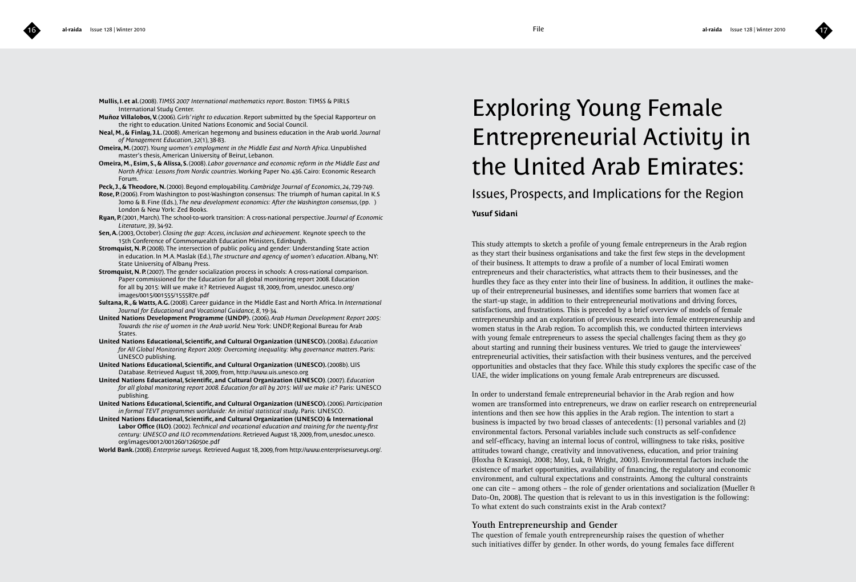- **Mullis, I. et al.** (2008). *TIMSS 2007 International mathematics report*. Boston: TIMSS & PIRLS International Study Center.
- **Muñoz Villalobos, V.** (2006). *Girls' right to education*. Report submitted by the Special Rapporteur on the right to education. United Nations Economic and Social Council.
- **Neal, M., & Finlay, J.L.** (2008). American hegemony and business education in the Arab world. *Journal of Management Education*, *32*(1), 38-83.
- **Omeira, M.** (2007). *Young women's employment in the Middle East and North Africa*. Unpublished master's thesis, American University of Beirut, Lebanon.
- **Omeira, M., Esim, S., & Alissa, S.** (2008). *Labor governance and economic reform in the Middle East and North Africa: Lessons from Nordic countries*. Working Paper No. 436. Cairo: Economic Research Forum.
- **Peck, J., & Theodore, N.** (2000). Beyond employability. *Cambridge Journal of Economics*, *24*, 729-749.
- **Rose, P.** (2006). From Washington to post-Washington consensus: The triumph of human capital. In K.S Jomo & B. Fine (Eds.), *The new development economics: After the Washington consensus*, (pp. ) London & New York: Zed Books.
- **Ryan, P.** (2001, March). The school-to-work transition: A cross-national perspective. *Journal of Economic Literature, 39*, 34-92.
- **Sen, A.** (2003, October). *Closing the gap: Access, inclusion and achievement.* Keynote speech to the 15th Conference of Commonwealth Education Ministers, Edinburgh.
- **Stromquist, N. P.** (2008). The intersection of public policy and gender: Understanding State action in education. In M.A. Maslak (Ed.), *The structure and agency of women's education*. Albany, NY: State University of Albany Press.
- **Stromquist, N. P.** (2007). The gender socialization process in schools: A cross-national comparison. Paper commissioned for the Education for all global monitoring report 2008. Education for all by 2015: Will we make it? Retrieved August 18, 2009, from, unesdoc.unesco.org/ images/0015/001555/155587e.pdf
- **Sultana, R., & Watts, A.G.** (2008). Career guidance in the Middle East and North Africa. In *International Journal for Educational and Vocational Guidance, 8*, 19-34.
- **United Nations Development Programme (UNDP).** (2006). *Arab Human Development Report 2005: Towards the rise of women in the Arab world*. New York: UNDP, Regional Bureau for Arab States.
- **United Nations Educational, Scientific, and Cultural Organization (UNESCO).** (2008a). *Education for All Global Monitoring Report 2009: Overcoming inequality: Why governance matters*. Paris: UNESCO publishing.
- **United Nations Educational, Scientific, and Cultural Organization (UNESCO).** (2008b). UIS Database. Retrieved August 18, 2009, from, http://www.uis.unesco.org
- **United Nations Educational, Scientific, and Cultural Organization (UNESCO)**. (2007). *Education for all global monitoring report 2008. Education for all by 2015: Will we make it?* Paris: UNESCO publishing.
- **United Nations Educational, Scientific, and Cultural Organization (UNESCO).** (2006). *Participation in formal TEVT programmes worldwide: An initial statistical study*. Paris: UNESCO.
- **United Nations Educational, Scientific, and Cultural Organization (UNESCO) & International Labor Office (ILO)**. (2002). *Technical and vocational education and training for the twenty-first century: UNESCO and ILO recommendations*. Retrieved August 18, 2009, from, unesdoc.unesco. org/images/0012/001260/126050e.pdf
- **World Bank.** (2008). *Enterprise surveys.* Retrieved August 18, 2009, from http://www.enterprisesurveys.org/.

# Exploring Young Female Entrepreneurial Activity in the United Arab Emirates:

Issues, Prospects, and Implications for the Region

### **Yusuf Sidani**

This study attempts to sketch a profile of young female entrepreneurs in the Arab region as they start their business organisations and take the first few steps in the development of their business. It attempts to draw a profile of a number of local Emirati women entrepreneurs and their characteristics, what attracts them to their businesses, and the hurdles they face as they enter into their line of business. In addition, it outlines the makeup of their entrepreneurial businesses, and identifies some barriers that women face at the start-up stage, in addition to their entrepreneurial motivations and driving forces, satisfactions, and frustrations. This is preceded by a brief overview of models of female entrepreneurship and an exploration of previous research into female entrepreneurship and women status in the Arab region. To accomplish this, we conducted thirteen interviews with young female entrepreneurs to assess the special challenges facing them as they go about starting and running their business ventures. We tried to gauge the interviewees' entrepreneurial activities, their satisfaction with their business ventures, and the perceived opportunities and obstacles that they face. While this study explores the specific case of the UAE, the wider implications on young female Arab entrepreneurs are discussed.

In order to understand female entrepreneurial behavior in the Arab region and how women are transformed into entrepreneurs, we draw on earlier research on entrepreneurial intentions and then see how this applies in the Arab region. The intention to start a business is impacted by two broad classes of antecedents: (1) personal variables and (2) environmental factors. Personal variables include such constructs as self-confidence and self-efficacy, having an internal locus of control, willingness to take risks, positive attitudes toward change, creativity and innovativeness, education, and prior training (Hoxha & Krasniqi, 2008; Moy, Luk, & Wright, 2003). Environmental factors include the existence of market opportunities, availability of financing, the regulatory and economic environment, and cultural expectations and constraints. Among the cultural constraints one can cite – among others – the role of gender orientations and socialization (Mueller & Dato-On, 2008). The question that is relevant to us in this investigation is the following: To what extent do such constraints exist in the Arab context?

### **Youth Entrepreneurship and Gender**

The question of female youth entrepreneurship raises the question of whether such initiatives differ by gender. In other words, do young females face different

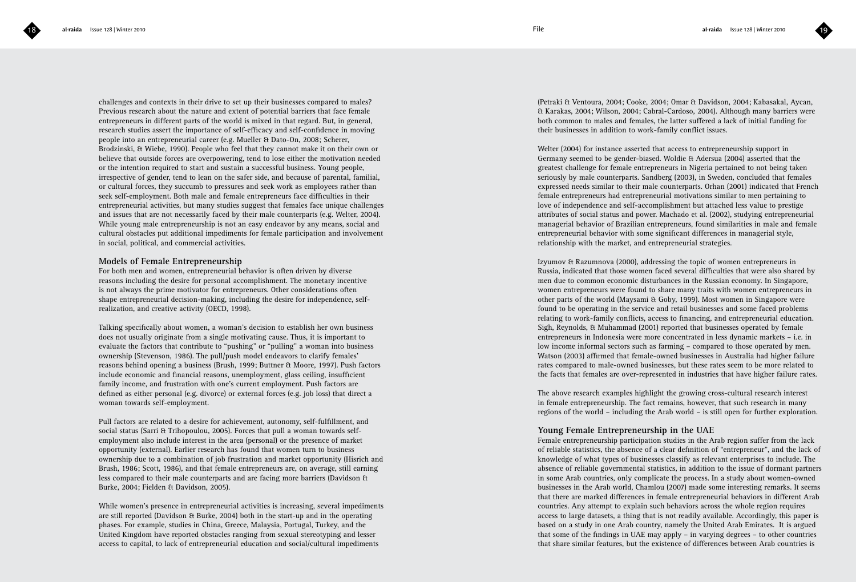challenges and contexts in their drive to set up their businesses compared to males? Previous research about the nature and extent of potential barriers that face female entrepreneurs in different parts of the world is mixed in that regard. But, in general, research studies assert the importance of self-efficacy and self-confidence in moving people into an entrepreneurial career (e.g. Mueller & Dato-On, 2008; Scherer, Brodzinski, & Wiebe, 1990). People who feel that they cannot make it on their own or believe that outside forces are overpowering, tend to lose either the motivation needed or the intention required to start and sustain a successful business. Young people, irrespective of gender, tend to lean on the safer side, and because of parental, familial, or cultural forces, they succumb to pressures and seek work as employees rather than seek self-employment. Both male and female entrepreneurs face difficulties in their entrepreneurial activities, but many studies suggest that females face unique challenges and issues that are not necessarily faced by their male counterparts (e.g. Welter, 2004). While young male entrepreneurship is not an easy endeavor by any means, social and cultural obstacles put additional impediments for female participation and involvement in social, political, and commercial activities.

### **Models of Female Entrepreneurship**

For both men and women, entrepreneurial behavior is often driven by diverse reasons including the desire for personal accomplishment. The monetary incentive is not always the prime motivator for entrepreneurs. Other considerations often shape entrepreneurial decision-making, including the desire for independence, selfrealization, and creative activity (OECD, 1998).

Talking specifically about women, a woman's decision to establish her own business does not usually originate from a single motivating cause. Thus, it is important to evaluate the factors that contribute to "pushing" or "pulling" a woman into business ownership (Stevenson, 1986). The pull/push model endeavors to clarify females' reasons behind opening a business (Brush, 1999; Buttner & Moore, 1997). Push factors include economic and financial reasons, unemployment, glass ceiling, insufficient family income, and frustration with one's current employment. Push factors are defined as either personal (e.g. divorce) or external forces (e.g. job loss) that direct a woman towards self-employment.

Pull factors are related to a desire for achievement, autonomy, self-fulfillment, and social status (Sarri & Trihopoulou, 2005). Forces that pull a woman towards selfemployment also include interest in the area (personal) or the presence of market opportunity (external). Earlier research has found that women turn to business ownership due to a combination of job frustration and market opportunity (Hisrich and Brush, 1986; Scott, 1986), and that female entrepreneurs are, on average, still earning less compared to their male counterparts and are facing more barriers (Davidson & Burke, 2004; Fielden & Davidson, 2005).

While women's presence in entrepreneurial activities is increasing, several impediments are still reported (Davidson & Burke, 2004) both in the start-up and in the operating phases. For example, studies in China, Greece, Malaysia, Portugal, Turkey, and the United Kingdom have reported obstacles ranging from sexual stereotyping and lesser access to capital, to lack of entrepreneurial education and social/cultural impediments

(Petraki & Ventoura, 2004; Cooke, 2004; Omar & Davidson, 2004; Kabasakal, Aycan, & Karakas, 2004; Wilson, 2004; Cabral-Cardoso, 2004). Although many barriers were both common to males and females, the latter suffered a lack of initial funding for their businesses in addition to work-family conflict issues.

Welter (2004) for instance asserted that access to entrepreneurship support in Germany seemed to be gender-biased. Woldie & Adersua (2004) asserted that the greatest challenge for female entrepreneurs in Nigeria pertained to not being taken seriously by male counterparts. Sandberg (2003), in Sweden, concluded that females expressed needs similar to their male counterparts. Orhan (2001) indicated that French female entrepreneurs had entrepreneurial motivations similar to men pertaining to love of independence and self-accomplishment but attached less value to prestige attributes of social status and power. Machado et al. (2002), studying entrepreneurial managerial behavior of Brazilian entrepreneurs, found similarities in male and female entrepreneurial behavior with some significant differences in managerial style, relationship with the market, and entrepreneurial strategies.

Izyumov & Razumnova (2000), addressing the topic of women entrepreneurs in Russia, indicated that those women faced several difficulties that were also shared by men due to common economic disturbances in the Russian economy. In Singapore, women entrepreneurs were found to share many traits with women entrepreneurs in other parts of the world (Maysami & Goby, 1999). Most women in Singapore were found to be operating in the service and retail businesses and some faced problems relating to work-family conflicts, access to financing, and entrepreneurial education. Sigh, Reynolds, & Muhammad (2001) reported that businesses operated by female entrepreneurs in Indonesia were more concentrated in less dynamic markets – i.e. in low income informal sectors such as farming – compared to those operated by men. Watson (2003) affirmed that female-owned businesses in Australia had higher failure rates compared to male-owned businesses, but these rates seem to be more related to the facts that females are over-represented in industries that have higher failure rates.

The above research examples highlight the growing cross-cultural research interest in female entrepreneurship. The fact remains, however, that such research in many regions of the world – including the Arab world – is still open for further exploration.

### **Young Female Entrepreneurship in the UAE**

Female entrepreneurship participation studies in the Arab region suffer from the lack of reliable statistics, the absence of a clear definition of "entrepreneur", and the lack of knowledge of what types of businesses classify as relevant enterprises to include. The absence of reliable governmental statistics, in addition to the issue of dormant partners in some Arab countries, only complicate the process. In a study about women-owned businesses in the Arab world, Chamlou (2007) made some interesting remarks. It seems that there are marked differences in female entrepreneurial behaviors in different Arab countries. Any attempt to explain such behaviors across the whole region requires access to large datasets, a thing that is not readily available. Accordingly, this paper is based on a study in one Arab country, namely the United Arab Emirates. It is argued that some of the findings in UAE may apply – in varying degrees – to other countries that share similar features, but the existence of differences between Arab countries is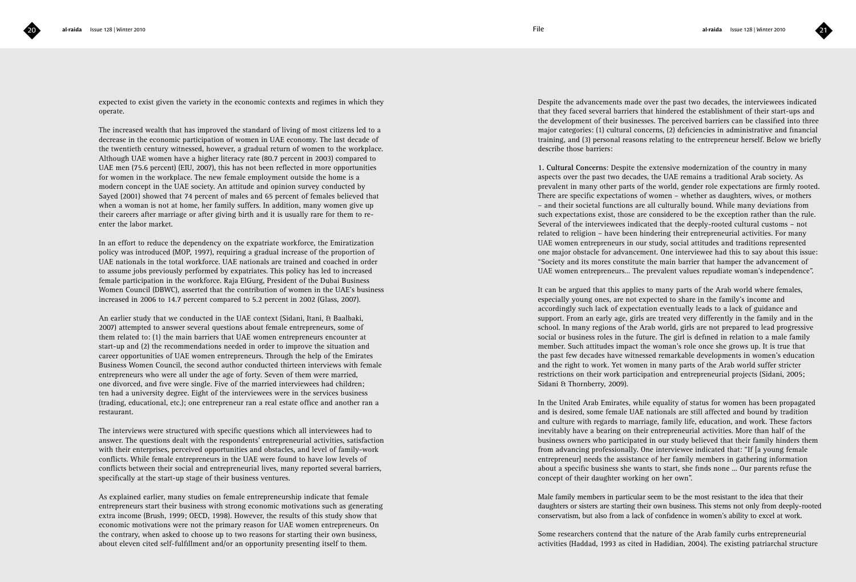

expected to exist given the variety in the economic contexts and regimes in which they operate.

The increased wealth that has improved the standard of living of most citizens led to a decrease in the economic participation of women in UAE economy. The last decade of the twentieth century witnessed, however, a gradual return of women to the workplace. Although UAE women have a higher literacy rate (80.7 percent in 2003) compared to UAE men (75.6 percent) (EIU, 2007), this has not been reflected in more opportunities for women in the workplace. The new female employment outside the home is a modern concept in the UAE society. An attitude and opinion survey conducted by Sayed (2001) showed that 74 percent of males and 65 percent of females believed that when a woman is not at home, her family suffers. In addition, many women give up their careers after marriage or after giving birth and it is usually rare for them to reenter the labor market.

In an effort to reduce the dependency on the expatriate workforce, the Emiratization policy was introduced (MOP, 1997), requiring a gradual increase of the proportion of UAE nationals in the total workforce. UAE nationals are trained and coached in order to assume jobs previously performed by expatriates. This policy has led to increased female participation in the workforce. Raja ElGurg, President of the Dubai Business Women Council (DBWC), asserted that the contribution of women in the UAE's business increased in 2006 to 14.7 percent compared to 5.2 percent in 2002 (Glass, 2007).

An earlier study that we conducted in the UAE context (Sidani, Itani, & Baalbaki, 2007) attempted to answer several questions about female entrepreneurs, some of them related to: (1) the main barriers that UAE women entrepreneurs encounter at start-up and (2) the recommendations needed in order to improve the situation and career opportunities of UAE women entrepreneurs. Through the help of the Emirates Business Women Council, the second author conducted thirteen interviews with female entrepreneurs who were all under the age of forty. Seven of them were married, one divorced, and five were single. Five of the married interviewees had children; ten had a university degree. Eight of the interviewees were in the services business (trading, educational, etc.); one entrepreneur ran a real estate office and another ran a restaurant.

The interviews were structured with specific questions which all interviewees had to answer. The questions dealt with the respondents' entrepreneurial activities, satisfaction with their enterprises, perceived opportunities and obstacles, and level of family-work conflicts. While female entrepreneurs in the UAE were found to have low levels of conflicts between their social and entrepreneurial lives, many reported several barriers, specifically at the start-up stage of their business ventures.

As explained earlier, many studies on female entrepreneurship indicate that female entrepreneurs start their business with strong economic motivations such as generating extra income (Brush, 1999; OECD, 1998). However, the results of this study show that economic motivations were not the primary reason for UAE women entrepreneurs. On the contrary, when asked to choose up to two reasons for starting their own business, about eleven cited self-fulfillment and/or an opportunity presenting itself to them.

Despite the advancements made over the past two decades, the interviewees indicated that they faced several barriers that hindered the establishment of their start-ups and the development of their businesses. The perceived barriers can be classified into three major categories: (1) cultural concerns, (2) deficiencies in administrative and financial training, and (3) personal reasons relating to the entrepreneur herself. Below we briefly describe those barriers:

**1. Cultural Concerns**: Despite the extensive modernization of the country in many aspects over the past two decades, the UAE remains a traditional Arab society. As prevalent in many other parts of the world, gender role expectations are firmly rooted. There are specific expectations of women – whether as daughters, wives, or mothers – and their societal functions are all culturally bound. While many deviations from such expectations exist, those are considered to be the exception rather than the rule. Several of the interviewees indicated that the deeply-rooted cultural customs – not related to religion – have been hindering their entrepreneurial activities. For many UAE women entrepreneurs in our study, social attitudes and traditions represented one major obstacle for advancement. One interviewee had this to say about this issue: "Society and its mores constitute the main barrier that hamper the advancement of UAE women entrepreneurs… The prevalent values repudiate woman's independence".

It can be argued that this applies to many parts of the Arab world where females, especially young ones, are not expected to share in the family's income and accordingly such lack of expectation eventually leads to a lack of guidance and support. From an early age, girls are treated very differently in the family and in the school. In many regions of the Arab world, girls are not prepared to lead progressive social or business roles in the future. The girl is defined in relation to a male family member. Such attitudes impact the woman's role once she grows up. It is true that the past few decades have witnessed remarkable developments in women's education and the right to work. Yet women in many parts of the Arab world suffer stricter restrictions on their work participation and entrepreneurial projects (Sidani, 2005; Sidani & Thornberry, 2009).

In the United Arab Emirates, while equality of status for women has been propagated and is desired, some female UAE nationals are still affected and bound by tradition and culture with regards to marriage, family life, education, and work. These factors inevitably have a bearing on their entrepreneurial activities. More than half of the business owners who participated in our study believed that their family hinders them from advancing professionally. One interviewee indicated that: "If [a young female entrepreneur] needs the assistance of her family members in gathering information about a specific business she wants to start, she finds none ... Our parents refuse the concept of their daughter working on her own".

Male family members in particular seem to be the most resistant to the idea that their daughters or sisters are starting their own business. This stems not only from deeply-rooted conservatism, but also from a lack of confidence in women's ability to excel at work.

Some researchers contend that the nature of the Arab family curbs entrepreneurial activities (Haddad, 1993 as cited in Hadidian, 2004). The existing patriarchal structure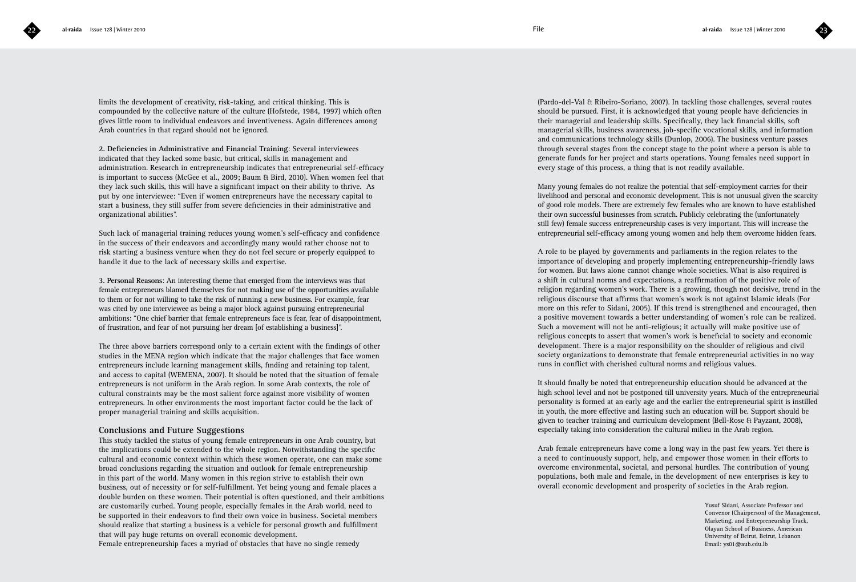limits the development of creativity, risk-taking, and critical thinking. This is compounded by the collective nature of the culture (Hofstede, 1984, 1997) which often gives little room to individual endeavors and inventiveness. Again differences among Arab countries in that regard should not be ignored.

**2. Deficiencies in Administrative and Financial Training**: Several interviewees indicated that they lacked some basic, but critical, skills in management and administration. Research in entrepreneurship indicates that entrepreneurial self-efficacy is important to success (McGee et al., 2009; Baum & Bird, 2010). When women feel that they lack such skills, this will have a significant impact on their ability to thrive. As put by one interviewee: "Even if women entrepreneurs have the necessary capital to start a business, they still suffer from severe deficiencies in their administrative and organizational abilities".

Such lack of managerial training reduces young women's self-efficacy and confidence in the success of their endeavors and accordingly many would rather choose not to risk starting a business venture when they do not feel secure or properly equipped to handle it due to the lack of necessary skills and expertise.

**3. Personal Reasons**: An interesting theme that emerged from the interviews was that female entrepreneurs blamed themselves for not making use of the opportunities available to them or for not willing to take the risk of running a new business. For example, fear was cited by one interviewee as being a major block against pursuing entrepreneurial ambitions: "One chief barrier that female entrepreneurs face is fear, fear of disappointment, of frustration, and fear of not pursuing her dream [of establishing a business]".

The three above barriers correspond only to a certain extent with the findings of other studies in the MENA region which indicate that the major challenges that face women entrepreneurs include learning management skills, finding and retaining top talent, and access to capital (WEMENA, 2007). It should be noted that the situation of female entrepreneurs is not uniform in the Arab region. In some Arab contexts, the role of cultural constraints may be the most salient force against more visibility of women entrepreneurs. In other environments the most important factor could be the lack of proper managerial training and skills acquisition.

### **Conclusions and Future Suggestions**

This study tackled the status of young female entrepreneurs in one Arab country, but the implications could be extended to the whole region. Notwithstanding the specific cultural and economic context within which these women operate, one can make some broad conclusions regarding the situation and outlook for female entrepreneurship in this part of the world. Many women in this region strive to establish their own business, out of necessity or for self-fulfillment. Yet being young and female places a double burden on these women. Their potential is often questioned, and their ambitions are customarily curbed. Young people, especially females in the Arab world, need to be supported in their endeavors to find their own voice in business. Societal members should realize that starting a business is a vehicle for personal growth and fulfillment that will pay huge returns on overall economic development.

Female entrepreneurship faces a myriad of obstacles that have no single remedy

(Pardo-del-Val & Ribeiro-Soriano, 2007). In tackling those challenges, several routes should be pursued. First, it is acknowledged that young people have deficiencies in their managerial and leadership skills. Specifically, they lack financial skills, soft managerial skills, business awareness, job-specific vocational skills, and information and communications technology skills (Dunlop, 2006). The business venture passes through several stages from the concept stage to the point where a person is able to generate funds for her project and starts operations. Young females need support in every stage of this process, a thing that is not readily available.

Many young females do not realize the potential that self-employment carries for their livelihood and personal and economic development. This is not unusual given the scarcity of good role models. There are extremely few females who are known to have established their own successful businesses from scratch. Publicly celebrating the (unfortunately still few) female success entrepreneurship cases is very important. This will increase the entrepreneurial self-efficacy among young women and help them overcome hidden fears.

A role to be played by governments and parliaments in the region relates to the importance of developing and properly implementing entrepreneurship-friendly laws for women. But laws alone cannot change whole societies. What is also required is a shift in cultural norms and expectations, a reaffirmation of the positive role of religion regarding women's work. There is a growing, though not decisive, trend in the religious discourse that affirms that women's work is not against Islamic ideals (For more on this refer to Sidani, 2005). If this trend is strengthened and encouraged, then a positive movement towards a better understanding of women's role can be realized. Such a movement will not be anti-religious; it actually will make positive use of religious concepts to assert that women's work is beneficial to society and economic development. There is a major responsibility on the shoulder of religious and civil society organizations to demonstrate that female entrepreneurial activities in no way runs in conflict with cherished cultural norms and religious values.

It should finally be noted that entrepreneurship education should be advanced at the high school level and not be postponed till university years. Much of the entrepreneurial personality is formed at an early age and the earlier the entrepreneurial spirit is instilled in youth, the more effective and lasting such an education will be. Support should be given to teacher training and curriculum development (Bell-Rose & Payzant, 2008), especially taking into consideration the cultural milieu in the Arab region.

Arab female entrepreneurs have come a long way in the past few years. Yet there is a need to continuously support, help, and empower those women in their efforts to overcome environmental, societal, and personal hurdles. The contribution of young populations, both male and female, in the development of new enterprises is key to overall economic development and prosperity of societies in the Arab region.

> Yusuf Sidani, Associate Professor and Convenor (Chairperson) of the Management, Marketing, and Entrepreneurship Track, Olayan School of Business, American University of Beirut, Beirut, Lebanon Email: ys01@aub.edu.lb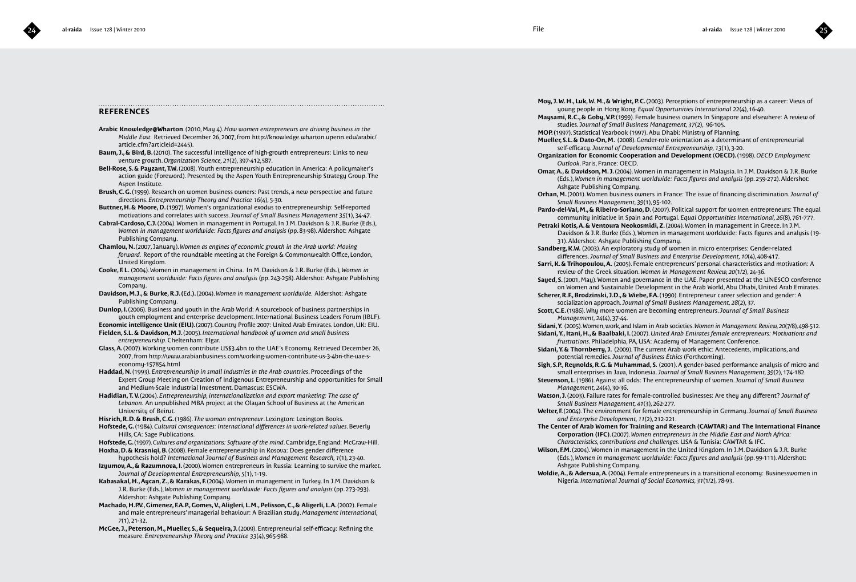### **REFERENCES**

- **Arabic Knowledge@Wharton**. (2010, May 4). *How women entrepreneurs are driving business in the Middle East.* Retrieved December 26, 2007, from http://knowledge.wharton.upenn.edu/arabic/ article.cfm?articleid=2445).
- **Baum, J., & Bird, B.** (2010). The successful intelligence of high-growth entrepreneurs: Links to new venture growth. *Organization Science, 21*(2), 397-412,587.
- **Bell-Rose, S. & Payzant, T.W.** (2008). Youth entrepreneurship education in America: A policymaker's action guide (Foreword). Presented by the Aspen Youth Entrepreneurship Strategy Group. The Aspen Institute.
- **Brush, C. G.** (1999). Research on women business owners: Past trends, a new perspective and future directions. *Entrepreneurship Theory and Practice 16*(4), 5-30.
- **Buttner, H. & Moore, D.** (1997). Women's organizational exodus to entrepreneurship: Self-reported motivations and correlates with success. *Journal of Small Business Management 35*(1), 34-47.
- **Cabral-Cardoso, C.J.** (2004). Women in management in Portugal. In J.M. Davidson & J.R. Burke (Eds.), *Women in management worldwide: Facts figures and analysis (pp. 83-98). Aldershot: Ashgate* Publishing Company.
- **Chamlou, N.** (2007, January). *Women as engines of economic growth in the Arab world: Moving forward.* Report of the roundtable meeting at the Foreign & Commonwealth Office, London, United Kingdom.
- **Cooke, F. L.** (2004). Women in management in China. In M. Davidson & J.R. Burke (Eds.), *Women in management worldwide: Facts figures and analysis* (pp. 243-258). Aldershot: Ashgate Publishing Company
- **Davidson, M.J., & Burke, R.J. (**Ed.**).** (2004). *Women in management worldwide.* Aldershot: Ashgate Publishing Company.
- **Dunlop, I.** (2006). Business and youth in the Arab World: A sourcebook of business partnerships in youth employment and enterprise development. International Business Leaders Forum (IBLF).
- **Economic intelligence Unit (EIU).** (2007). Country Profile 2007: United Arab Emirates. London, UK: EIU. **Fielden, S.L. & Davidson, M.J.** (2005). *International handbook of women and small business entrepreneurship*. Cheltenham: Elgar.
- **Glass, A.** (2007). Working women contribute US\$3.4bn to the UAE's Economy. Retrieved December 26, 2007, from http://www.arabianbusiness.com/working-women-contribute-us-3-4bn-the-uae-seconomy-157854.html
- **Haddad, N.** (1993). *Entrepreneurship in small industries in the Arab countries*. Proceedings of the Expert Group Meeting on Creation of Indigenous Entrepreneurship and opportunities for Small and Medium-Scale Industrial Investment. Damascus: ESCWA.
- **Hadidian, T. V.** (2004). *Entrepreneurship, internationalization and export marketing: The case of Lebanon.* An unpublished MBA project at the Olayan School of Business at the American University of Beirut.
- **Hisrich, R.D. & Brush, C.G.** (1986). *The woman entrepreneur*. Lexington: Lexington Books.
- **Hofstede, G.** (1984). *Cultural consequences: International differences in work-related values*. Beverly Hills, CA: Sage Publications.
- **Hofstede, G.** (1997). *Cultures and organizations: Software of the mind*. Cambridge, England: McGraw-Hill.
- **Hoxha, D. & Krasniqi, B.** (2008). Female entrepreneurship in Kosova: Does gender difference hypothesis hold? *International Journal of Business and Management Research, 1*(1), 23-40.
- **Izyumov, A., & Razumnova, I.** (2000). Women entrepreneurs in Russia: Learning to survive the market. *Journal of Developmental Entrepreneurship, 5*(1), 1-19.
- **Kabasakal, H., Aycan, Z., & Karakas, F.** (2004). Women in management in Turkey. In J.M. Davidson & J.R. Burke (Eds.), *Women in management worldwide: Facts figures and analysis* (pp. 273-293). Aldershot: Ashgate Publishing Company.
- **Machado, H.P.V., Gimenez, F.A.P., Gomes, V., Aligleri, L.M., Pelisson, C., & Aligerli, L.A.** (2002). Female and male entrepreneurs' managerial behaviour: A Brazilian study. *Management International, 7*(1), 21-32.
- **McGee, J., Peterson, M., Mueller, S., & Sequeira, J.** (2009). Entrepreneurial self-efficacy: Refining the measure. *Entrepreneurship Theory and Practice 33*(4), 965-988.
- **Moy, J. W. H., Luk, W. M., & Wright, P. C.** (2003). Perceptions of entrepreneurship as a career: Views of young people in Hong Kong. *Equal Opportunities International 22*(4), 16-40.
- **Maysami, R.C., & Goby, V.P.** (1999). Female business owners In Singapore and elsewhere: A review of studies. J*ournal of Small Business Management, 37*(2), 96-105.
- **MOP. (**1997). Statistical Yearbook (1997). Abu Dhabi: Ministry of Planning.
- **Mueller, S.L. & Dato-On, M.** (2008). Gender-role orientation as a determinant of entrepreneurial self-efficacy. *Journal of Developmental Entrepreneurship, 13*(1), 3-20.
- **Organization for Economic Cooperation and Development**  (**OECD).** (1998). *OECD Employment Outlook*. Paris, France: OECD.
- **Omar, A., & Davidson, M. J.** (2004). Women in management in Malaysia. In J.M. Davidson & J.R. Burke (Eds.), *Women in management worldwide: Facts figures and analysis* (pp. 259-272). Aldershot: Ashgate Publishing Company.
- **Orhan, M.** (2001). Women business owners in France: The issue of financing discrimination. *Journal of Small Business Management, 39*(1), 95-102.
- **Pardo-del-Val,M., & Ribeiro-Soriano, D.**(2007). Political support for women entrepreneurs: The equal community initiative in Spain and Portugal. *Equal Opportunities International,26*(8), 761-777.
- Petraki Kotis, A. & Ventoura Neokosmidi, Z. (2004). Women in management in Greece. In J.M. Davidson & J.R. Burke (Eds.), Women in management worldwide: Facts figures and analysis (19- 31). Aldershot: Ashgate Publishing Company.
- **Sandberg, K.W.** (2003). An exploratory study of women in micro enterprises: Gender-related differences. *Journal of Small Business and Enterprise Development, 10*(4), 408-417.
- **Sarri, K. & Trihopoulou, A.** (2005). Female entrepreneurs' personal characteristics and motivation: A review of the Greek situation. *Women in Management Review, 20*(1/2), 24-36.
- **Sayed, S.** (2001, May). Women and governance in the UAE. Paper presented at the UNESCO conference on Women and Sustainable Development in the Arab World, Abu Dhabi, United Arab Emirates.
- **Scherer, R.F., Brodzinski, J.D., & Wiebe, F.A.** (1990). Entrepreneur career selection and gender: A socialization approach. *Journal of Small Business Management, 28*(2), 37.
- **Scott, C.E.** (1986). Why more women are becoming entrepreneurs. *Journal of Small Business Management, 24*(4), 37-44.
- **Sidani, Y.** (2005). Women, work, and Islam in Arab societies. *Women in Management Review,20*(7/8), 498-512. **Sidani, Y., Itani, H., & Baalbaki, I.** (2007). *United Arab Emirates female entrepreneurs: Motivations and frustrations*. Philadelphia, PA, USA: Academy of Management Conference.
- **Sidani, Y. & Thornberry, J.** (2009). The current Arab work ethic: Antecedents, implications, and potential remedies. *Journal of Business Ethics* (Forthcoming).
- **Sigh, S.P., Reynolds, R.G. & Muhammad, S.** (2001). A gender-based performance analysis of micro and small enterprises in Java, Indonesia. *Journal of Small Business Management, 39*(2), 174-182. **Stevenson, L.** (1986). Against all odds: The entrepreneurship of women. *Journal of Small Business*
- *Management, 24*(4), 30-36.
- **Watson, J.** (2003). Failure rates for female-controlled businesses: Are they any different? *Journal of Small Business Management, 41*(3), 262-277.
- **Welter, F.** (2004). The environment for female entrepreneurship in Germany. *Journal of Small Business and Enterprise Development, 11*(2), 212-221.
- **The Center of Arab Women for Training and Research (CAWTAR) and The International Finance Corporation (IFC)**. (2007). *Women entrepreneurs in the Middle East and North Africa: Characteristics, contributions and challenges*. USA & Tunisia: CAWTAR & IFC.
- **Wilson, F.M.** (2004). Women in management in the United Kingdom. In J.M. Davidson & J.R. Burke (Eds.), *Women in management worldwide: Facts figures and analysis* (pp. 99-111). Aldershot: Ashgate Publishing Company.
- **Woldie, A., & Adersua, A.** (2004). Female entrepreneurs in a transitional economy: Businesswomen in Nigeria. *International Journal of Social Economics, 31*(1/2), 78-93.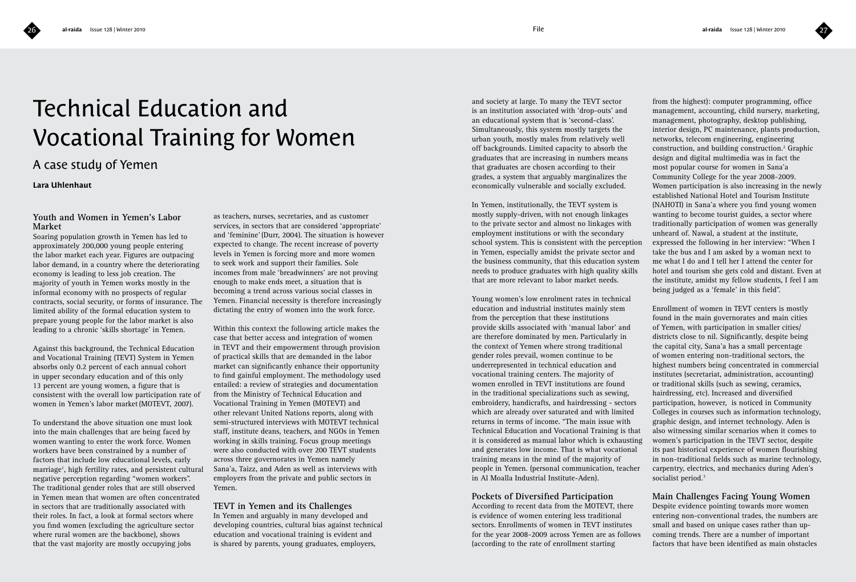

# Technical Education and Vocational Training for Women

## A case study of Yemen

**Lara Uhlenhaut**

### **Youth and Women in Yemen's Labor Market**

Soaring population growth in Yemen has led to approximately 200,000 young people entering the labor market each year. Figures are outpacing labor demand, in a country where the deteriorating economy is leading to less job creation. The majority of youth in Yemen works mostly in the informal economy with no prospects of regular contracts, social security, or forms of insurance. The limited ability of the formal education system to prepare young people for the labor market is also leading to a chronic 'skills shortage' in Yemen.

Against this background, the Technical Education and Vocational Training (TEVT) System in Yemen absorbs only 0.2 percent of each annual cohort in upper secondary education and of this only 13 percent are young women, a figure that is consistent with the overall low participation rate of women in Yemen's labor market (MOTEVT, 2007).

To understand the above situation one must look into the main challenges that are being faced by women wanting to enter the work force. Women workers have been constrained by a number of factors that include low educational levels, early marriage1 , high fertility rates, and persistent cultural negative perception regarding "women workers". The traditional gender roles that are still observed in Yemen mean that women are often concentrated in sectors that are traditionally associated with their roles. In fact, a look at formal sectors where you find women (excluding the agriculture sector where rural women are the backbone), shows that the vast majority are mostly occupying jobs

as teachers, nurses, secretaries, and as customer services, in sectors that are considered 'appropriate' and 'feminine' (Durr, 2004). The situation is however expected to change. The recent increase of poverty levels in Yemen is forcing more and more women to seek work and support their families. Sole incomes from male 'breadwinners' are not proving enough to make ends meet, a situation that is becoming a trend across various social classes in Yemen. Financial necessity is therefore increasingly dictating the entry of women into the work force.

Within this context the following article makes the case that better access and integration of women in TEVT and their empowerment through provision of practical skills that are demanded in the labor market can significantly enhance their opportunity to find gainful employment. The methodology used entailed: a review of strategies and documentation from the Ministry of Technical Education and Vocational Training in Yemen (MOTEVT) and other relevant United Nations reports, along with semi-structured interviews with MOTEVT technical staff, institute deans, teachers, and NGOs in Yemen working in skills training. Focus group meetings were also conducted with over 200 TEVT students across three governorates in Yemen namely Sana'a, Taizz, and Aden as well as interviews with employers from the private and public sectors in Yemen.

**TEVT in Yemen and its Challenges**  In Yemen and arguably in many developed and developing countries, cultural bias against technical education and vocational training is evident and is shared by parents, young graduates, employers,

and society at large. To many the TEVT sector is an institution associated with 'drop-outs' and an educational system that is 'second-class'. Simultaneously, this system mostly targets the urban youth, mostly males from relatively well off backgrounds. Limited capacity to absorb the graduates that are increasing in numbers means that graduates are chosen according to their grades, a system that arguably marginalizes the economically vulnerable and socially excluded.

In Yemen, institutionally, the TEVT system is mostly supply-driven, with not enough linkages to the private sector and almost no linkages with employment institutions or with the secondary school system. This is consistent with the perception in Yemen, especially amidst the private sector and the business community, that this education system needs to produce graduates with high quality skills that are more relevant to labor market needs.

Young women's low enrolment rates in technical education and industrial institutes mainly stem from the perception that these institutions provide skills associated with 'manual labor' and are therefore dominated by men. Particularly in the context of Yemen where strong traditional gender roles prevail, women continue to be underrepresented in technical education and vocational training centers. The majority of women enrolled in TEVT institutions are found in the traditional specializations such as sewing, embroidery, handicrafts, and hairdressing - sectors which are already over saturated and with limited returns in terms of income. "The main issue with Technical Education and Vocational Training is that it is considered as manual labor which is exhausting and generates low income. That is what vocational training means in the mind of the majority of people in Yemen. (personal communication, teacher in Al Moalla Industrial Institute-Aden).

### **Pockets of Diversified Participation**

According to recent data from the MOTEVT, there is evidence of women entering less traditional sectors. Enrollments of women in TEVT institutes for the year 2008-2009 across Yemen are as follows (according to the rate of enrollment starting

from the highest): computer programming, office management, accounting, child nursery, marketing, management, photography, desktop publishing, interior design, PC maintenance, plants production, networks, telecom engineering, engineering construction, and building construction.2 Graphic design and digital multimedia was in fact the most popular course for women in Sana'a Community College for the year 2008-2009. Women participation is also increasing in the newly established National Hotel and Tourism Institute (NAHOTI) in Sana'a where you find young women wanting to become tourist guides, a sector where traditionally participation of women was generally unheard of. Nawal, a student at the institute, expressed the following in her interview: "When I take the bus and I am asked by a woman next to me what I do and I tell her I attend the center for hotel and tourism she gets cold and distant. Even at the institute, amidst my fellow students, I feel I am being judged as a 'female' in this field".

Enrollment of women in TEVT centers is mostly found in the main governorates and main cities of Yemen, with participation in smaller cities/ districts close to nil. Significantly, despite being the capital city, Sana'a has a small percentage of women entering non-traditional sectors, the highest numbers being concentrated in commercial institutes (secretariat, administration, accounting) or traditional skills (such as sewing, ceramics, hairdressing, etc). Increased and diversified participation, however, is noticed in Community Colleges in courses such as information technology, graphic design, and internet technology. Aden is also witnessing similar scenarios when it comes to women's participation in the TEVT sector, despite its past historical experience of women flourishing in non-traditional fields such as marine technology, carpentry, electrics, and mechanics during Aden's socialist period.<sup>3</sup>

### **Main Challenges Facing Young Women**

Despite evidence pointing towards more women entering non-conventional trades, the numbers are small and based on unique cases rather than upcoming trends. There are a number of important factors that have been identified as main obstacles

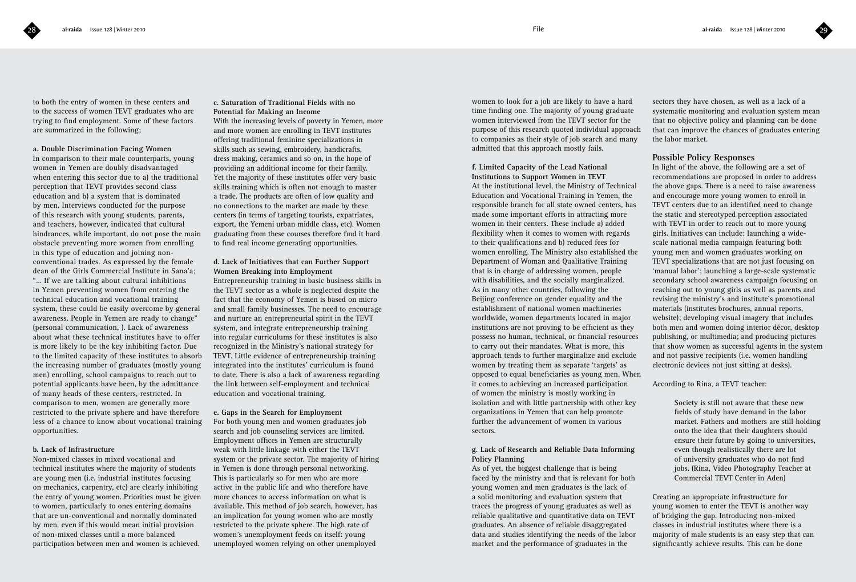to both the entry of women in these centers and to the success of women TEVT graduates who are trying to find employment. Some of these factors are summarized in the following;

### **a. Double Discrimination Facing Women**

In comparison to their male counterparts, young women in Yemen are doubly disadvantaged when entering this sector due to a) the traditional perception that TEVT provides second class education and b) a system that is dominated by men. Interviews conducted for the purpose of this research with young students, parents, and teachers, however, indicated that cultural hindrances, while important, do not pose the main obstacle preventing more women from enrolling in this type of education and joining nonconventional trades. As expressed by the female dean of the Girls Commercial Institute in Sana'a; "… If we are talking about cultural inhibitions in Yemen preventing women from entering the technical education and vocational training system, these could be easily overcome by general awareness. People in Yemen are ready to change" (personal communication, ). Lack of awareness about what these technical institutes have to offer is more likely to be the key inhibiting factor. Due to the limited capacity of these institutes to absorb the increasing number of graduates (mostly young men) enrolling, school campaigns to reach out to potential applicants have been, by the admittance of many heads of these centers, restricted. In comparison to men, women are generally more restricted to the private sphere and have therefore less of a chance to know about vocational training opportunities.

### **b. Lack of Infrastructure**

Non-mixed classes in mixed vocational and technical institutes where the majority of students are young men (i.e. industrial institutes focusing on mechanics, carpentry, etc) are clearly inhibiting the entry of young women. Priorities must be given to women, particularly to ones entering domains that are un-conventional and normally dominated by men, even if this would mean initial provision of non-mixed classes until a more balanced participation between men and women is achieved.

### **c. Saturation of Traditional Fields with no Potential for Making an Income**

With the increasing levels of poverty in Yemen, more and more women are enrolling in TEVT institutes offering traditional feminine specializations in skills such as sewing, embroidery, handicrafts, dress making, ceramics and so on, in the hope of providing an additional income for their family. Yet the majority of these institutes offer very basic skills training which is often not enough to master a trade. The products are often of low quality and no connections to the market are made by these centers (in terms of targeting tourists, expatriates, export, the Yemeni urban middle class, etc). Women graduating from these courses therefore find it hard to find real income generating opportunities.

### **d. Lack of Initiatives that can Further Support Women Breaking into Employment**

Entrepreneurship training in basic business skills in the TEVT sector as a whole is neglected despite the fact that the economy of Yemen is based on micro and small family businesses. The need to encourage and nurture an entrepreneurial spirit in the TEVT system, and integrate entrepreneurship training into regular curriculums for these institutes is also recognized in the Ministry's national strategy for TEVT. Little evidence of entrepreneurship training integrated into the institutes' curriculum is found to date. There is also a lack of awareness regarding the link between self-employment and technical education and vocational training.

### **e. Gaps in the Search for Employment**

For both young men and women graduates job search and job counseling services are limited. Employment offices in Yemen are structurally weak with little linkage with either the TEVT system or the private sector. The majority of hiring in Yemen is done through personal networking. This is particularly so for men who are more active in the public life and who therefore have more chances to access information on what is available. This method of job search, however, has an implication for young women who are mostly restricted to the private sphere. The high rate of women's unemployment feeds on itself: young unemployed women relying on other unemployed

women to look for a job are likely to have a hard time finding one. The majority of young graduate women interviewed from the TEVT sector for the purpose of this research quoted individual approach to companies as their style of job search and many admitted that this approach mostly fails.

**f. Limited Capacity of the Lead National Institutions to Support Women in TEVT** At the institutional level, the Ministry of Technical Education and Vocational Training in Yemen, the responsible branch for all state owned centers, has made some important efforts in attracting more women in their centers. These include a) added flexibility when it comes to women with regards to their qualifications and b) reduced fees for women enrolling. The Ministry also established the Department of Woman and Qualitative Training that is in charge of addressing women, people with disabilities, and the socially marginalized. As in many other countries, following the Beijing conference on gender equality and the establishment of national women machineries worldwide, women departments located in major institutions are not proving to be efficient as they possess no human, technical, or financial resources to carry out their mandates. What is more, this approach tends to further marginalize and exclude women by treating them as separate 'targets' as opposed to equal beneficiaries as young men. When it comes to achieving an increased participation of women the ministry is mostly working in isolation and with little partnership with other key organizations in Yemen that can help promote further the advancement of women in various sectors.

### **g. Lack of Research and Reliable Data Informing Policy Planning**

As of yet, the biggest challenge that is being faced by the ministry and that is relevant for both young women and men graduates is the lack of a solid monitoring and evaluation system that traces the progress of young graduates as well as reliable qualitative and quantitative data on TEVT graduates. An absence of reliable disaggregated data and studies identifying the needs of the labor market and the performance of graduates in the

sectors they have chosen, as well as a lack of a systematic monitoring and evaluation system mean that no objective policy and planning can be done that can improve the chances of graduates entering the labor market.

### **Possible Policy Responses**

In light of the above, the following are a set of recommendations are proposed in order to address the above gaps. There is a need to raise awareness and encourage more young women to enroll in TEVT centers due to an identified need to change the static and stereotyped perception associated with TEVT in order to reach out to more young girls. Initiatives can include: launching a widescale national media campaign featuring both young men and women graduates working on TEVT specializations that are not just focusing on 'manual labor'; launching a large-scale systematic secondary school awareness campaign focusing on reaching out to young girls as well as parents and revising the ministry's and institute's promotional materials (institutes brochures, annual reports, website); developing visual imagery that includes both men and women doing interior décor, desktop publishing, or multimedia; and producing pictures that show women as successful agents in the system and not passive recipients (i.e. women handling electronic devices not just sitting at desks).

### According to Rina, a TEVT teacher:

Society is still not aware that these new fields of study have demand in the labor market. Fathers and mothers are still holding onto the idea that their daughters should ensure their future by going to universities, even though realistically there are lot of university graduates who do not find jobs. (Rina, Video Photography Teacher at Commercial TEVT Center in Aden)

Creating an appropriate infrastructure for young women to enter the TEVT is another way of bridging the gap. Introducing non-mixed classes in industrial institutes where there is a majority of male students is an easy step that can significantly achieve results. This can be done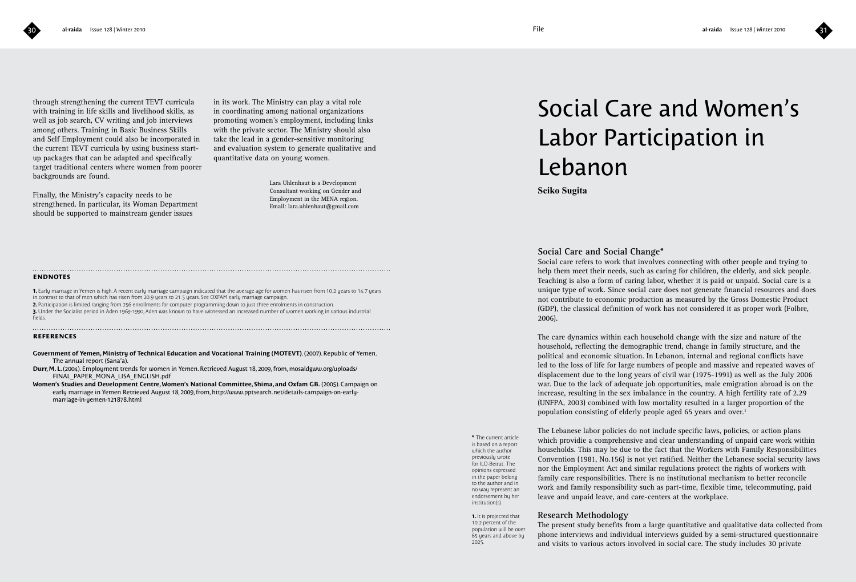through strengthening the current TEVT curricula with training in life skills and livelihood skills, as well as job search, CV writing and job interviews among others. Training in Basic Business Skills and Self Employment could also be incorporated in the current TEVT curricula by using business startup packages that can be adapted and specifically target traditional centers where women from poorer backgrounds are found.

Finally, the Ministry's capacity needs to be strengthened. In particular, its Woman Department should be supported to mainstream gender issues

in its work. The Ministry can play a vital role in coordinating among national organizations promoting women's employment, including links with the private sector. The Ministry should also take the lead in a gender-sensitive monitoring and evaluation system to generate qualitative and quantitative data on young women.

> Lara Uhlenhaut is a Development Consultant working on Gender and Employment in the MENA region. Email: lara.uhlenhaut@gmail.com

### **endnotes**

**1.** Early marriage in Yemen is high. A recent early marriage campaign indicated that the average age for women has risen from 10.2 years to 14.7 years in contrast to that of men which has risen from 20.9 years to 21.5 years. See OXFAM early marriage campaign. **2.** Participation is limited ranging from 256 enrollments for computer programming down to just three enrolments in construction.

**3.** Under the Socialist period in Aden 1969-1990, Aden was known to have witnessed an increased number of women working in various industrial fields.

### **references**

**Government of Yemen, Ministry of Technical Education and Vocational Training (MOTEVT)**. (2007). Republic of Yemen. The annual report (Sana'a).

**Durr, M. L.** (2004). Employment trends for women in Yemen. Retrieved August 18, 2009, from, mosaldgww.org/uploads/ FINAL\_PAPER\_MONA\_LISA\_ENGLISH.pdf

**Women's Studies and Development Centre, Women's National Committee, Shima, and Oxfam GB.** (2005). Campaign on early marriage in Yemen Retrieved August 18, 2009, from, http://www.pptsearch.net/details-campaign-on-earlymarriage-in-yemen-121878.html

# Social Care and Women's Labor Participation in Lebanon

**Seiko Sugita** 

### **Social Care and Social Change\***

Social care refers to work that involves connecting with other people and trying to help them meet their needs, such as caring for children, the elderly, and sick people. Teaching is also a form of caring labor, whether it is paid or unpaid. Social care is a unique type of work. Since social care does not generate financial resources and does not contribute to economic production as measured by the Gross Domestic Product (GDP), the classical definition of work has not considered it as proper work (Folbre, 2006).

The care dynamics within each household change with the size and nature of the household, reflecting the demographic trend, change in family structure, and the political and economic situation. In Lebanon, internal and regional conflicts have led to the loss of life for large numbers of people and massive and repeated waves of displacement due to the long years of civil war (1975-1991) as well as the July 2006 war. Due to the lack of adequate job opportunities, male emigration abroad is on the increase, resulting in the sex imbalance in the country. A high fertility rate of 2.29 (UNFPA, 2003) combined with low mortality resulted in a larger proportion of the population consisting of elderly people aged 65 years and over.<sup>1</sup>

**\*** The current article is based on a report which the author previously wrote for ILO-Beirut. The opinions expressed in the paper belong to the author and in no way represent an endorsement by her institution(s).

The Lebanese labor policies do not include specific laws, policies, or action plans which providie a comprehensive and clear understanding of unpaid care work within households. This may be due to the fact that the Workers with Family Responsibilities Convention (1981, No.156) is not yet ratified. Neither the Lebanese social security laws nor the Employment Act and similar regulations protect the rights of workers with family care responsibilities. There is no institutional mechanism to better reconcile work and family responsibility such as part-time, flexible time, telecommuting, paid leave and unpaid leave, and care-centers at the workplace.

### **Research Methodology**

The present study benefits from a large quantitative and qualitative data collected from phone interviews and individual interviews guided by a semi-structured questionnaire and visits to various actors involved in social care. The study includes 30 private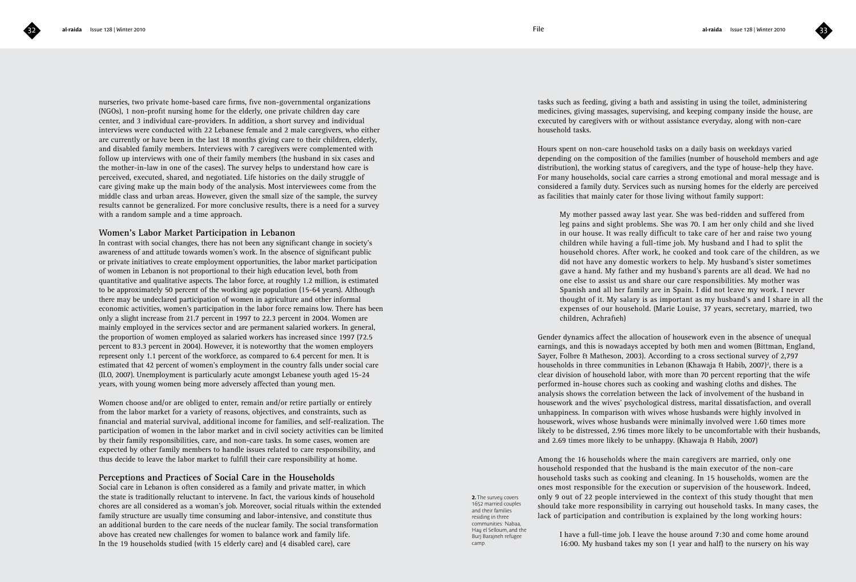nurseries, two private home-based care firms, five non-governmental organizations (NGOs), 1 non-profit nursing home for the elderly, one private children day care center, and 3 individual care-providers. In addition, a short survey and individual interviews were conducted with 22 Lebanese female and 2 male caregivers, who either are currently or have been in the last 18 months giving care to their children, elderly, and disabled family members. Interviews with 7 caregivers were complemented with follow up interviews with one of their family members (the husband in six cases and the mother-in-law in one of the cases). The survey helps to understand how care is perceived, executed, shared, and negotiated. Life histories on the daily struggle of care giving make up the main body of the analysis. Most interviewees come from the middle class and urban areas. However, given the small size of the sample, the survey results cannot be generalized. For more conclusive results, there is a need for a survey with a random sample and a time approach.

### **Women's Labor Market Participation in Lebanon**

In contrast with social changes, there has not been any significant change in society's awareness of and attitude towards women's work. In the absence of significant public or private initiatives to create employment opportunities, the labor market participation of women in Lebanon is not proportional to their high education level, both from quantitative and qualitative aspects. The labor force, at roughly 1.2 million, is estimated to be approximately 50 percent of the working age population (15-64 years). Although there may be undeclared participation of women in agriculture and other informal economic activities, women's participation in the labor force remains low. There has been only a slight increase from 21.7 percent in 1997 to 22.3 percent in 2004. Women are mainly employed in the services sector and are permanent salaried workers. In general, the proportion of women employed as salaried workers has increased since 1997 (72.5 percent to 83.3 percent in 2004). However, it is noteworthy that the women employers represent only 1.1 percent of the workforce, as compared to 6.4 percent for men. It is estimated that 42 percent of women's employment in the country falls under social care (ILO, 2007). Unemployment is particularly acute amongst Lebanese youth aged 15-24 years, with young women being more adversely affected than young men.

Women choose and/or are obliged to enter, remain and/or retire partially or entirely from the labor market for a variety of reasons, objectives, and constraints, such as financial and material survival, additional income for families, and self-realization. The participation of women in the labor market and in civil society activities can be limited by their family responsibilities, care, and non-care tasks. In some cases, women are expected by other family members to handle issues related to care responsibility, and thus decide to leave the labor market to fulfill their care responsibility at home.

### **Perceptions and Practices of Social Care in the Households**

Social care in Lebanon is often considered as a family and private matter, in which the state is traditionally reluctant to intervene. In fact, the various kinds of household chores are all considered as a woman's job. Moreover, social rituals within the extended family structure are usually time consuming and labor-intensive, and constitute thus an additional burden to the care needs of the nuclear family. The social transformation above has created new challenges for women to balance work and family life. In the 19 households studied (with 15 elderly care) and (4 disabled care), care

tasks such as feeding, giving a bath and assisting in using the toilet, administering medicines, giving massages, supervising, and keeping company inside the house, are executed by caregivers with or without assistance everyday, along with non-care household tasks.

Hours spent on non-care household tasks on a daily basis on weekdays varied depending on the composition of the families (number of household members and age distribution), the working status of caregivers, and the type of house-help they have. For many households, social care carries a strong emotional and moral message and is considered a family duty. Services such as nursing homes for the elderly are perceived as facilities that mainly cater for those living without family support:

My mother passed away last year. She was bed-ridden and suffered from leg pains and sight problems. She was 70. I am her only child and she lived in our house. It was really difficult to take care of her and raise two young children while having a full-time job. My husband and I had to split the household chores. After work, he cooked and took care of the children, as we did not have any domestic workers to help. My husband's sister sometimes gave a hand. My father and my husband's parents are all dead. We had no one else to assist us and share our care responsibilities. My mother was Spanish and all her family are in Spain. I did not leave my work. I never thought of it. My salary is as important as my husband's and I share in all the expenses of our household. (Marie Louise, 37 years, secretary, married, two children, Achrafieh)

Gender dynamics affect the allocation of housework even in the absence of unequal earnings, and this is nowadays accepted by both men and women (Bittman, England, Sayer, Folbre & Matheson, 2003). According to a cross sectional survey of 2,797 households in three communities in Lebanon (Khawaja & Habib, 2007)<sup>2</sup>, there is a clear division of household labor, with more than 70 percent reporting that the wife performed in-house chores such as cooking and washing cloths and dishes. The analysis shows the correlation between the lack of involvement of the husband in housework and the wives' psychological distress, marital dissatisfaction, and overall unhappiness. In comparison with wives whose husbands were highly involved in housework, wives whose husbands were minimally involved were 1.60 times more likely to be distressed, 2.96 times more likely to be uncomfortable with their husbands, and 2.69 times more likely to be unhappy. (Khawaja & Habib, 2007)

Among the 16 households where the main caregivers are married, only one household responded that the husband is the main executor of the non-care household tasks such as cooking and cleaning. In 15 households, women are the ones most responsible for the execution or supervision of the housework. Indeed, only 9 out of 22 people interviewed in the context of this study thought that men should take more responsibility in carrying out household tasks. In many cases, the lack of participation and contribution is explained by the long working hours:

**2.** The survey covers 1652 married couples and their families residing in three communities: Nabaa, Hay el Selloum, and the Burj Barajneh refugee camp.

I have a full-time job. I leave the house around 7:30 and come home around 16:00. My husband takes my son (1 year and half) to the nursery on his way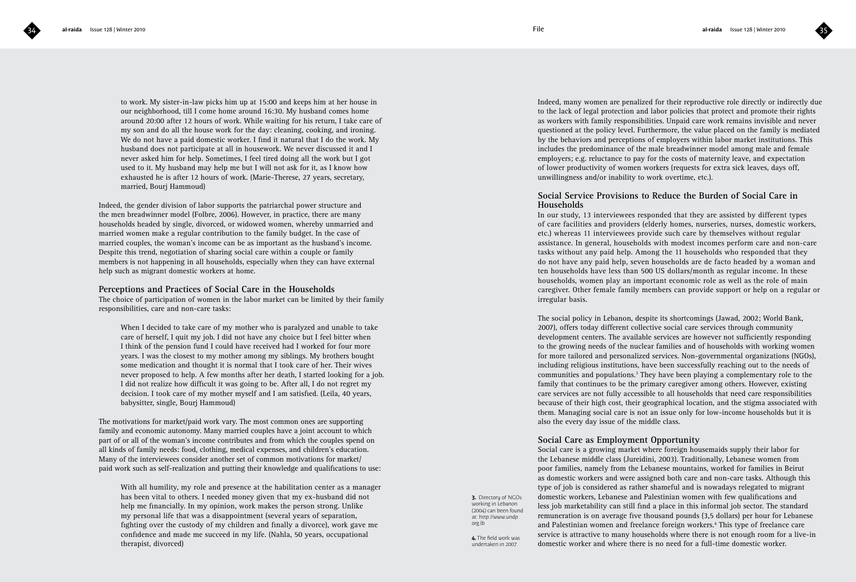to work. My sister-in-law picks him up at 15:00 and keeps him at her house in our neighborhood, till I come home around 16:30. My husband comes home around 20:00 after 12 hours of work. While waiting for his return, I take care of my son and do all the house work for the day: cleaning, cooking, and ironing. We do not have a paid domestic worker. I find it natural that I do the work. My husband does not participate at all in housework. We never discussed it and I never asked him for help. Sometimes, I feel tired doing all the work but I got used to it. My husband may help me but I will not ask for it, as I know how exhausted he is after 12 hours of work. (Marie-Therese, 27 years, secretary, married, Bourj Hammoud)

Indeed, the gender division of labor supports the patriarchal power structure and the men breadwinner model (Folbre, 2006). However, in practice, there are many households headed by single, divorced, or widowed women, whereby unmarried and married women make a regular contribution to the family budget. In the case of married couples, the woman's income can be as important as the husband's income. Despite this trend, negotiation of sharing social care within a couple or family members is not happening in all households, especially when they can have external help such as migrant domestic workers at home.

### **Perceptions and Practices of Social Care in the Households**

The choice of participation of women in the labor market can be limited by their family responsibilities, care and non-care tasks:

When I decided to take care of my mother who is paralyzed and unable to take care of herself, I quit my job. I did not have any choice but I feel bitter when I think of the pension fund I could have received had I worked for four more years. I was the closest to my mother among my siblings. My brothers bought some medication and thought it is normal that I took care of her. Their wives never proposed to help. A few months after her death, I started looking for a job. I did not realize how difficult it was going to be. After all, I do not regret my decision. I took care of my mother myself and I am satisfied. (Leila, 40 years, babysitter, single, Bourj Hammoud)

The motivations for market/paid work vary. The most common ones are supporting family and economic autonomy. Many married couples have a joint account to which part of or all of the woman's income contributes and from which the couples spend on all kinds of family needs: food, clothing, medical expenses, and children's education. Many of the interviewees consider another set of common motivations for market/ paid work such as self-realization and putting their knowledge and qualifications to use:

With all humility, my role and presence at the habilitation center as a manager has been vital to others. I needed money given that my ex-husband did not help me financially. In my opinion, work makes the person strong. Unlike my personal life that was a disappointment (several years of separation, fighting over the custody of my children and finally a divorce), work gave me confidence and made me succeed in my life. (Nahla, 50 years, occupational therapist, divorced)

Indeed, many women are penalized for their reproductive role directly or indirectly due to the lack of legal protection and labor policies that protect and promote their rights as workers with family responsibilities. Unpaid care work remains invisible and never questioned at the policy level. Furthermore, the value placed on the family is mediated by the behaviors and perceptions of employers within labor market institutions. This includes the predominance of the male breadwinner model among male and female employers; e.g. reluctance to pay for the costs of maternity leave, and expectation of lower productivity of women workers (requests for extra sick leaves, days off, unwillingness and/or inability to work overtime, etc.).

### **Social Service Provisions to Reduce the Burden of Social Care in Households**

In our study, 13 interviewees responded that they are assisted by different types of care facilities and providers (elderly homes, nurseries, nurses, domestic workers, etc.) whereas 11 interviewees provide such care by themselves without regular assistance. In general, households with modest incomes perform care and non-care tasks without any paid help. Among the 11 households who responded that they do not have any paid help, seven households are de facto headed by a woman and ten households have less than 500 US dollars/month as regular income. In these households, women play an important economic role as well as the role of main caregiver. Other female family members can provide support or help on a regular or irregular basis.

The social policy in Lebanon, despite its shortcomings (Jawad, 2002; World Bank, 2007), offers today different collective social care services through community development centers. The available services are however not sufficiently responding to the growing needs of the nuclear families and of households with working women for more tailored and personalized services. Non-governmental organizations (NGOs), including religious institutions, have been successfully reaching out to the needs of communities and populations.<sup>3</sup> They have been playing a complementary role to the family that continues to be the primary caregiver among others. However, existing care services are not fully accessible to all households that need care responsibilities because of their high cost, their geographical location, and the stigma associated with them. Managing social care is not an issue only for low-income households but it is also the every day issue of the middle class.

### **Social Care as Employment Opportunity**

Social care is a growing market where foreign housemaids supply their labor for the Lebanese middle class (Jureidini, 2003). Traditionally, Lebanese women from poor families, namely from the Lebanese mountains, worked for families in Beirut as domestic workers and were assigned both care and non-care tasks. Although this type of job is considered as rather shameful and is nowadays relegated to migrant domestic workers, Lebanese and Palestinian women with few qualifications and less job marketability can still find a place in this informal job sector. The standard remuneration is on average five thousand pounds (3,5 dollars) per hour for Lebanese and Palestinian women and freelance foreign workers.<sup>4</sup> This type of freelance care service is attractive to many households where there is not enough room for a live-in

**3.** Directory of NGOs working in Lebanon (2004) can been found at: http://www.undp. org.lb

**4.** The field work was undertaken in 2007.

domestic worker and where there is no need for a full-time domestic worker.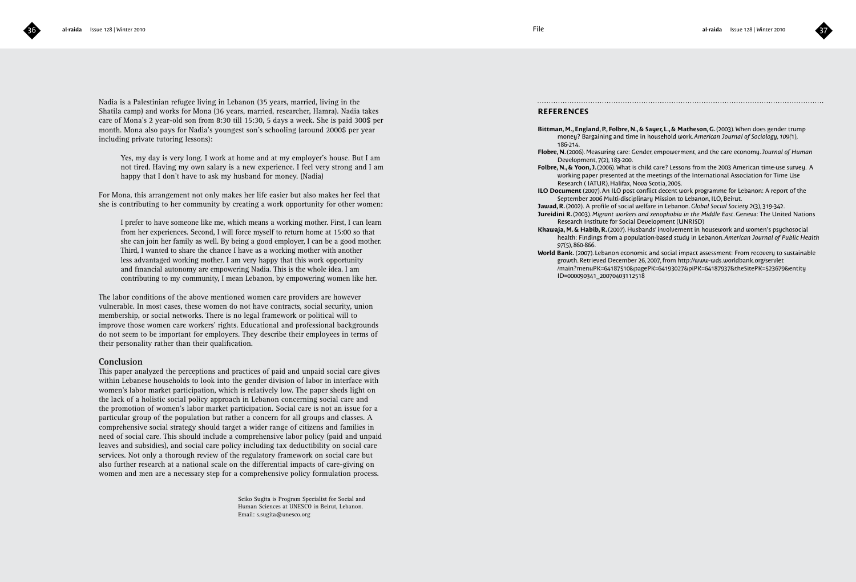

Nadia is a Palestinian refugee living in Lebanon (35 years, married, living in the Shatila camp) and works for Mona (36 years, married, researcher, Hamra). Nadia takes care of Mona's 2 year-old son from 8:30 till 15:30, 5 days a week. She is paid 300\$ per month. Mona also pays for Nadia's youngest son's schooling (around 2000\$ per year including private tutoring lessons):

Yes, my day is very long. I work at home and at my employer's house. But I am not tired. Having my own salary is a new experience. I feel very strong and I am happy that I don't have to ask my husband for money. (Nadia)

For Mona, this arrangement not only makes her life easier but also makes her feel that she is contributing to her community by creating a work opportunity for other women:

I prefer to have someone like me, which means a working mother. First, I can learn from her experiences. Second, I will force myself to return home at 15:00 so that she can join her family as well. By being a good employer, I can be a good mother. Third, I wanted to share the chance I have as a working mother with another less advantaged working mother. I am very happy that this work opportunity and financial autonomy are empowering Nadia. This is the whole idea. I am contributing to my community, I mean Lebanon, by empowering women like her.

The labor conditions of the above mentioned women care providers are however vulnerable. In most cases, these women do not have contracts, social security, union membership, or social networks. There is no legal framework or political will to improve those women care workers' rights. Educational and professional backgrounds do not seem to be important for employers. They describe their employees in terms of their personality rather than their qualification.

### **Conclusion**

This paper analyzed the perceptions and practices of paid and unpaid social care gives within Lebanese households to look into the gender division of labor in interface with women's labor market participation, which is relatively low. The paper sheds light on the lack of a holistic social policy approach in Lebanon concerning social care and the promotion of women's labor market participation. Social care is not an issue for a particular group of the population but rather a concern for all groups and classes. A comprehensive social strategy should target a wider range of citizens and families in need of social care. This should include a comprehensive labor policy (paid and unpaid leaves and subsidies), and social care policy including tax deductibility on social care services. Not only a thorough review of the regulatory framework on social care but also further research at a national scale on the differential impacts of care-giving on women and men are a necessary step for a comprehensive policy formulation process.

> Seiko Sugita is Program Specialist for Social and Human Sciences at UNESCO in Beirut, Lebanon. Email: s.sugita@unesco.org

### **REFERENCES**

**Bittman, M., England, P., Folbre, N., & Sayer, L., & Matheson, G.** (2003). When does gender trump money? Bargaining and time in household work. *American Journal of Sociology, 109(*1), 186-214.

**Flobre, N.** (2006). Measuring care: Gender, empowerment, and the care economy. *Journal of Human* Development, 7(2), 183-200.

- **Folbre, N., & Yoon, J.** (2006). What is child care? Lessons from the 2003 American time-use survey. A working paper presented at the meetings of the International Association for Time Use Research ( IATUR), Halifax, Nova Scotia, 2005.
- **ILO Document** (2007). An ILO post conflict decent work programme for Lebanon: A report of the September 2006 Multi-disciplinary Mission to Lebanon, ILO, Beirut.
- **Jawad, R.** (2002). A profile of social welfare in Lebanon. *Global Social Society 2*(3), 319-342.
- **Jureidini R.** (2003). *Migrant workers and xenophobia in the Middle East*. Geneva: The United Nations Research Institute for Social Development (UNRISD)
- **Khawaja, M. & Habib, R.** (2007). Husbands' involvement in housework and women's psychosocial health: Findings from a population-based study in Lebanon. *American Journal of Public Health 97*(5), 860-866.
- **World Bank.** (2007). Lebanon economic and social impact assessment: From recovery to sustainable growth. Retrieved December 26, 2007, from http://www-wds.worldbank.org/servlet /main?menuPK=64187510&pagePK=64193027&piPK=64187937&theSitePK=523679&entity ID=000090341\_20070403112518

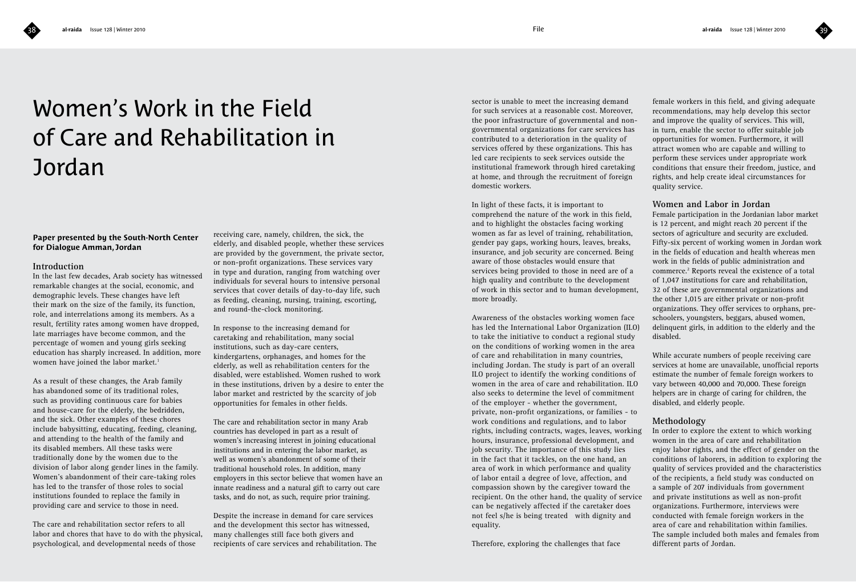

# Women's Work in the Field of Care and Rehabilitation in

### **Paper presented by the South-North Center for Dialogue Amman, Jordan**

### **Introduction**

Jordan

In the last few decades, Arab society has witnessed remarkable changes at the social, economic, and demographic levels. These changes have left their mark on the size of the family, its function, role, and interrelations among its members. As a result, fertility rates among women have dropped, late marriages have become common, and the percentage of women and young girls seeking education has sharply increased. In addition, more women have joined the labor market.<sup>1</sup>

As a result of these changes, the Arab family has abandoned some of its traditional roles, such as providing continuous care for babies and house-care for the elderly, the bedridden, and the sick. Other examples of these chores include babysitting, educating, feeding, cleaning, and attending to the health of the family and its disabled members. All these tasks were traditionally done by the women due to the division of labor along gender lines in the family. Women's abandonment of their care-taking roles has led to the transfer of those roles to social institutions founded to replace the family in providing care and service to those in need.

The care and rehabilitation sector refers to all labor and chores that have to do with the physical, psychological, and developmental needs of those

receiving care, namely, children, the sick, the elderly, and disabled people, whether these services are provided by the government, the private sector, or non-profit organizations. These services vary in type and duration, ranging from watching over individuals for several hours to intensive personal services that cover details of day-to-day life, such as feeding, cleaning, nursing, training, escorting, and round-the-clock monitoring.

In response to the increasing demand for caretaking and rehabilitation, many social institutions, such as day-care centers, kindergartens, orphanages, and homes for the elderly, as well as rehabilitation centers for the disabled, were established. Women rushed to work in these institutions, driven by a desire to enter the labor market and restricted by the scarcity of job opportunities for females in other fields.

The care and rehabilitation sector in many Arab countries has developed in part as a result of women's increasing interest in joining educational institutions and in entering the labor market, as well as women's abandonment of some of their traditional household roles. In addition, many employers in this sector believe that women have an innate readiness and a natural gift to carry out care tasks, and do not, as such, require prior training.

Despite the increase in demand for care services and the development this sector has witnessed, many challenges still face both givers and recipients of care services and rehabilitation. The sector is unable to meet the increasing demand for such services at a reasonable cost. Moreover, the poor infrastructure of governmental and nongovernmental organizations for care services has contributed to a deterioration in the quality of services offered by these organizations. This has led care recipients to seek services outside the institutional framework through hired caretaking at home, and through the recruitment of foreign domestic workers.

In light of these facts, it is important to comprehend the nature of the work in this field, and to highlight the obstacles facing working women as far as level of training, rehabilitation, gender pay gaps, working hours, leaves, breaks, insurance, and job security are concerned. Being aware of those obstacles would ensure that services being provided to those in need are of a high quality and contribute to the development of work in this sector and to human development, more broadly.

Awareness of the obstacles working women face has led the International Labor Organization (ILO) to take the initiative to conduct a regional study on the conditions of working women in the area of care and rehabilitation in many countries, including Jordan. The study is part of an overall ILO project to identify the working conditions of women in the area of care and rehabilitation. ILO also seeks to determine the level of commitment of the employer - whether the government, private, non-profit organizations, or families - to work conditions and regulations, and to labor rights, including contracts, wages, leaves, working hours, insurance, professional development, and job security. The importance of this study lies in the fact that it tackles, on the one hand, an area of work in which performance and quality of labor entail a degree of love, affection, and compassion shown by the caregiver toward the recipient. On the other hand, the quality of service can be negatively affected if the caretaker does not feel s/he is being treated with dignity and equality.

Therefore, exploring the challenges that face

female workers in this field, and giving adequate recommendations, may help develop this sector and improve the quality of services. This will, in turn, enable the sector to offer suitable job opportunities for women. Furthermore, it will attract women who are capable and willing to perform these services under appropriate work conditions that ensure their freedom, justice, and rights, and help create ideal circumstances for quality service.

### **Women and Labor in Jordan**

Female participation in the Jordanian labor market is 12 percent, and might reach 20 percent if the sectors of agriculture and security are excluded. Fifty-six percent of working women in Jordan work in the fields of education and health whereas men work in the fields of public administration and commerce.2 Reports reveal the existence of a total of 1,047 institutions for care and rehabilitation, 32 of these are governmental organizations and the other 1,015 are either private or non-profit organizations. They offer services to orphans, preschoolers, youngsters, beggars, abused women, delinquent girls, in addition to the elderly and the disabled.

While accurate numbers of people receiving care services at home are unavailable, unofficial reports estimate the number of female foreign workers to vary between 40,000 and 70,000. These foreign helpers are in charge of caring for children, the disabled, and elderly people.

### **Methodology**

In order to explore the extent to which working women in the area of care and rehabilitation enjoy labor rights, and the effect of gender on the conditions of laborers, in addition to exploring the quality of services provided and the characteristics of the recipients, a field study was conducted on a sample of 207 individuals from government and private institutions as well as non-profit organizations. Furthermore, interviews were conducted with female foreign workers in the area of care and rehabilitation within families. The sample included both males and females from different parts of Jordan.

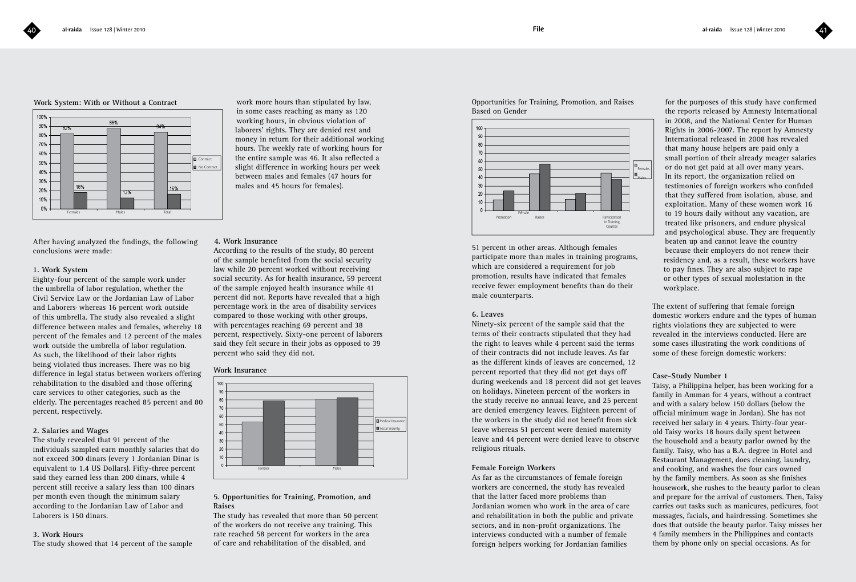### **Work System: With or Without a Contract**



After having analyzed the findings, the following conclusions were made:

### **1. Work System**

Eighty-four percent of the sample work under the umbrella of labor regulation, whether the Civil Service Law or the Jordanian Law of Labor and Laborers, whereas 16 percent work outside of this umbrella. The study also revealed a slight difference between males and females, whereby 18 percent of the females and 12 percent of the males work outside the umbrella of labor regulation. As such, the likelihood of their labor rights being violated thus increases. There was no big difference in legal status between workers offering rehabilitation to the disabled and those offering care services to other categories, such as the elderly. The percentages reached 85 percent and 80 percent, respectively.

### **2. Salaries and Wages**

The study revealed that 91 percent of the individuals sampled earn monthly salaries that do not exceed 300 dinars (every 1 Jordanian Dinar is equivalent to 1.4 US Dollars). Fifty-three percent said they earned less than 200 dinars, while 4 percent still receive a salary less than 100 dinars per month even though the minimum salary according to the Jordanian Law of Labor and Laborers is 150 dinars.

### **3. Work Hours**

The study showed that 14 percent of the sample

work more hours than stipulated by law, in some cases reaching as many as 120 working hours, in obvious violation of laborers' rights. They are denied rest and money in return for their additional working hours. The weekly rate of working hours for the entire sample was 46. It also reflected a slight difference in working hours per week between males and females (47 hours for males and 45 hours for females).

### **4. Work Insurance**

According to the results of the study, 80 percent of the sample benefited from the social security law while 20 percent worked without receiving social security. As for health insurance, 59 percent of the sample enjoyed health insurance while 41 percent did not. Reports have revealed that a high percentage work in the area of disability services compared to those working with other groups, with percentages reaching 69 percent and 38 percent, respectively. Sixty-one percent of laborers said they felt secure in their jobs as opposed to 39 percent who said they did not.

### **Work Insurance**



### **5. Opportunities for Training, Promotion, and Raises**

The study has revealed that more than 50 percent of the workers do not receive any training. This rate reached 58 percent for workers in the area of care and rehabilitation of the disabled, and

Opportunities for Training, Promotion, and Raises Based on Gender



51 percent in other areas. Although females participate more than males in training programs, which are considered a requirement for job promotion, results have indicated that females receive fewer employment benefits than do their male counterparts.

### **6. Leaves**

Ninety-six percent of the sample said that the terms of their contracts stipulated that they had the right to leaves while 4 percent said the terms of their contracts did not include leaves. As far as the different kinds of leaves are concerned, 12 percent reported that they did not get days off during weekends and 18 percent did not get leaves on holidays. Nineteen percent of the workers in the study receive no annual leave, and 25 percent are denied emergency leaves. Eighteen percent of the workers in the study did not benefit from sick leave whereas 51 percent were denied maternity leave and 44 percent were denied leave to observe religious rituals.

### **Female Foreign Workers**

As far as the circumstances of female foreign workers are concerned, the study has revealed that the latter faced more problems than Jordanian women who work in the area of care and rehabilitation in both the public and private sectors, and in non-profit organizations. The interviews conducted with a number of female foreign helpers working for Jordanian families

for the purposes of this study have confirmed the reports released by Amnesty International in 2008, and the National Center for Human Rights in 2006-2007. The report by Amnesty International released in 2008 has revealed that many house helpers are paid only a small portion of their already meager salaries or do not get paid at all over many years. In its report, the organization relied on testimonies of foreign workers who confided that they suffered from isolation, abuse, and exploitation. Many of these women work 16 to 19 hours daily without any vacation, are treated like prisoners, and endure physical and psychological abuse. They are frequently beaten up and cannot leave the country because their employers do not renew their residency and, as a result, these workers have to pay fines. They are also subject to rape or other types of sexual molestation in the workplace.

The extent of suffering that female foreign domestic workers endure and the types of human rights violations they are subjected to were revealed in the interviews conducted. Here are some cases illustrating the work conditions of some of these foreign domestic workers:

### **Case-Study Number 1**

Taisy, a Philippina helper, has been working for a family in Amman for 4 years, without a contract and with a salary below 150 dollars (below the official minimum wage in Jordan). She has not received her salary in 4 years. Thirty-four yearold Taisy works 18 hours daily spent between the household and a beauty parlor owned by the family. Taisy, who has a B.A. degree in Hotel and Restaurant Management, does cleaning, laundry, and cooking, and washes the four cars owned by the family members. As soon as she finishes housework, she rushes to the beauty parlor to clean and prepare for the arrival of customers. Then, Taisy carries out tasks such as manicures, pedicures, foot massages, facials, and hairdressing. Sometimes she does that outside the beauty parlor. Taisy misses her 4 family members in the Philippines and contacts them by phone only on special occasions. As for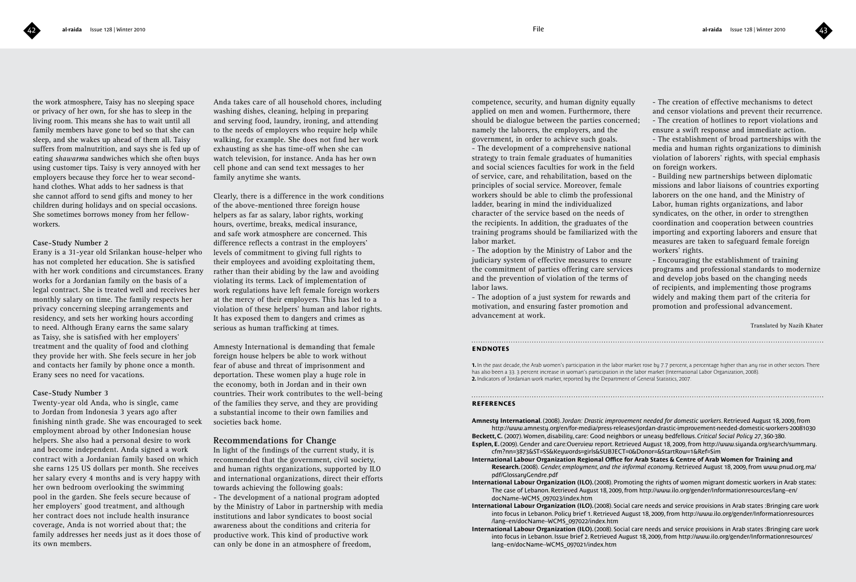the work atmosphere, Taisy has no sleeping space or privacy of her own, for she has to sleep in the living room. This means she has to wait until all family members have gone to bed so that she can sleep, and she wakes up ahead of them all. Taisy suffers from malnutrition, and says she is fed up of eating *shawarma* sandwiches which she often buys using customer tips. Taisy is very annoyed with her employers because they force her to wear secondhand clothes. What adds to her sadness is that she cannot afford to send gifts and money to her children during holidays and on special occasions. She sometimes borrows money from her fellowworkers.

### **Case-Study Number 2**

Erany is a 31-year old Srilankan house-helper who has not completed her education. She is satisfied with her work conditions and circumstances. Erany works for a Jordanian family on the basis of a legal contract. She is treated well and receives her monthly salary on time. The family respects her privacy concerning sleeping arrangements and residency, and sets her working hours according to need. Although Erany earns the same salary as Taisy, she is satisfied with her employers' treatment and the quality of food and clothing they provide her with. She feels secure in her job and contacts her family by phone once a month. Erany sees no need for vacations.

### **Case-Study Number 3**

Twenty-year old Anda, who is single, came to Jordan from Indonesia 3 years ago after finishing ninth grade. She was encouraged to seek employment abroad by other Indonesian house helpers. She also had a personal desire to work and become independent. Anda signed a work contract with a Jordanian family based on which she earns 125 US dollars per month. She receives her salary every 4 months and is very happy with her own bedroom overlooking the swimming pool in the garden. She feels secure because of her employers' good treatment, and although her contract does not include health insurance coverage, Anda is not worried about that; the family addresses her needs just as it does those of its own members.

Anda takes care of all household chores, including washing dishes, cleaning, helping in preparing and serving food, laundry, ironing, and attending to the needs of employers who require help while walking, for example. She does not find her work exhausting as she has time-off when she can watch television, for instance. Anda has her own cell phone and can send text messages to her family anytime she wants.

Clearly, there is a difference in the work conditions of the above-mentioned three foreign house helpers as far as salary, labor rights, working hours, overtime, breaks, medical insurance, and safe work atmosphere are concerned. This difference reflects a contrast in the employers' levels of commitment to giving full rights to their employees and avoiding exploitating them, rather than their abiding by the law and avoiding violating its terms. Lack of implementation of work regulations have left female foreign workers at the mercy of their employers. This has led to a violation of these helpers' human and labor rights. It has exposed them to dangers and crimes as serious as human trafficking at times.

Amnesty International is demanding that female foreign house helpers be able to work without fear of abuse and threat of imprisonment and deportation. These women play a huge role in the economy, both in Jordan and in their own countries. Their work contributes to the well-being of the families they serve, and they are providing a substantial income to their own families and societies back home.

### **Recommendations for Change**

In light of the findings of the current study, it is recommended that the government, civil society, and human rights organizations, supported by ILO and international organizations, direct their efforts towards achieving the following goals:

- The development of a national program adopted by the Ministry of Labor in partnership with media institutions and labor syndicates to boost social awareness about the conditions and criteria for productive work. This kind of productive work can only be done in an atmosphere of freedom,

competence, security, and human dignity equally applied on men and women. Furthermore, there should be dialogue between the parties concerned; namely the laborers, the employers, and the government, in order to achieve such goals. - The development of a comprehensive national strategy to train female graduates of humanities and social sciences faculties for work in the field of service, care, and rehabilitation, based on the principles of social service. Moreover, female workers should be able to climb the professional ladder, bearing in mind the individualized character of the service based on the needs of the recipients. In addition, the graduates of the training programs should be familiarized with the labor market.

- The adoption by the Ministry of Labor and the judiciary system of effective measures to ensure the commitment of parties offering care services and the prevention of violation of the terms of labor laws.

- The adoption of a just system for rewards and motivation, and ensuring faster promotion and advancement at work.

- The creation of effective mechanisms to detect and censor violations and prevent their recurrence. - The creation of hotlines to report violations and ensure a swift response and immediate action.

- The establishment of broad partnerships with the media and human rights organizations to diminish violation of laborers' rights, with special emphasis on foreign workers.

- Building new partnerships between diplomatic missions and labor liaisons of countries exporting laborers on the one hand, and the Ministry of Labor, human rights organizations, and labor syndicates, on the other, in order to strengthen coordination and cooperation between countries importing and exporting laborers and ensure that measures are taken to safeguard female foreign workers' rights.

- Encouraging the establishment of training programs and professional standards to modernize and develop jobs based on the changing needs of recipients, and implementing those programs widely and making them part of the criteria for promotion and professional advancement.

Translated by Nazih Khater

### **endnotes**

**1.** In the past decade, the Arab women's participation in the labor market rose by 7.7 percent, a percentage higher than any rise in other sectors. There has also been a 33. 3 percent increase in woman's participation in the labor market (International Labor Organization, 2008). 2. Indicators of Jordanian work market, reported by the Department of General Statistics, 2007.

### **references**

**Amnesty International**. (2008). *Jordan: Drastic improvement needed for domestic workers*. Retrieved August 18, 2009, from http://www.amnesty.org/en/for-media/press-releases/jordan-drastic-improvement-needed-domestic-workers-20081030

**Beckett, C.** (2007). Women, disability, care: Good neighbors or uneasy bedfellows. *Critical Social Policy 27*, 360-380. **Esplen, E.** (2009). Gender and care:Overview report. Retrieved August 18, 2009, from http://www.siyanda.org/search/summary. cfm?nn=3873&ST=SS&Keywords=girls&SUBJECT=0&Donor=&StartRow=1&Ref=Sim

**International Labour Organization Regional Office for Arab States & Centre of Arab Women for Training and Research.** (2008). *Gender, employment, and the informal economy*. Retrieved August 18, 2009, from www.pnud.org.ma/ pdf/GlossaryGendre.pdf

**International Labour Organization (ILO).** (2008). Promoting the rights of women migrant domestic workers in Arab states: The case of Lebanon. Retrieved August 18, 2009, from http://www.ilo.org/gender/Informationresources/lang--en/ docName--WCMS\_097023/index.htm

**International Labour Organization (ILO).** (2008). Social care needs and service provisions in Arab states :Bringing care work into focus in Lebanon. Policy brief 1. Retrieved August 18, 2009, from http://www.ilo.org/gender/Informationresources /lang--en/docName--WCMS\_097022/index.htm

**International Labour Organization (ILO).** (2008). Social care needs and service provisions in Arab states :Bringing care work into focus in Lebanon. Issue brief 2. Retrieved August 18, 2009, from http://www.ilo.org/gender/Informationresources/ lang--en/docName--WCMS\_097021/index.htm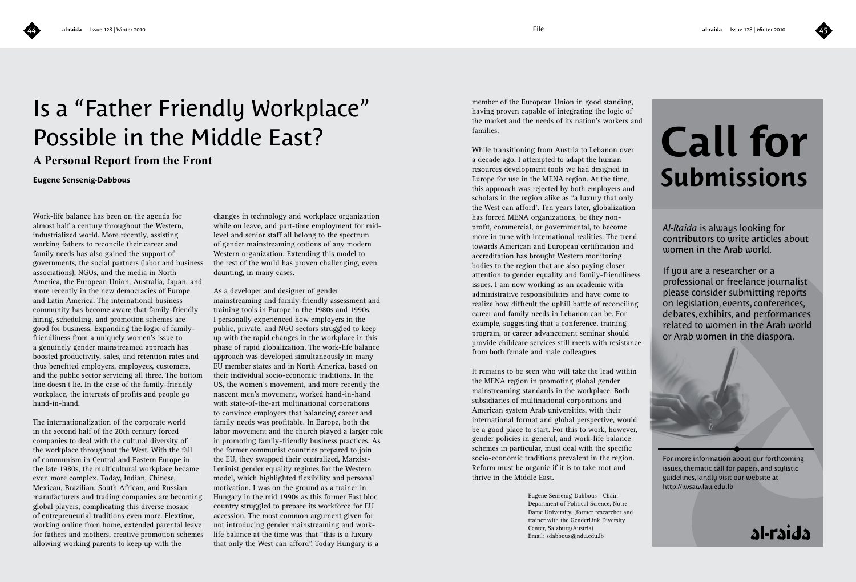# Is a "Father Friendly Workplace" Possible in the Middle East?

## **A Personal Report from the Front**

### **Eugene Sensenig-Dabbous**

Work-life balance has been on the agenda for almost half a century throughout the Western, industrialized world. More recently, assisting working fathers to reconcile their career and family needs has also gained the support of governments, the social partners (labor and business associations), NGOs, and the media in North America, the European Union, Australia, Japan, and more recently in the new democracies of Europe and Latin America. The international business community has become aware that family-friendly hiring, scheduling, and promotion schemes are good for business. Expanding the logic of familyfriendliness from a uniquely women's issue to a genuinely gender mainstreamed approach has boosted productivity, sales, and retention rates and thus benefited employers, employees, customers, and the public sector servicing all three. The bottom line doesn't lie. In the case of the family-friendly workplace, the interests of profits and people go hand-in-hand.

The internationalization of the corporate world in the second half of the 20th century forced companies to deal with the cultural diversity of the workplace throughout the West. With the fall of communism in Central and Eastern Europe in the late 1980s, the multicultural workplace became even more complex. Today, Indian, Chinese, Mexican, Brazilian, South African, and Russian manufacturers and trading companies are becoming global players, complicating this diverse mosaic of entrepreneurial traditions even more. Flextime, working online from home, extended parental leave for fathers and mothers, creative promotion schemes allowing working parents to keep up with the

changes in technology and workplace organization while on leave, and part-time employment for midlevel and senior staff all belong to the spectrum of gender mainstreaming options of any modern Western organization. Extending this model to the rest of the world has proven challenging, even daunting, in many cases.

As a developer and designer of gender mainstreaming and family-friendly assessment and training tools in Europe in the 1980s and 1990s, I personally experienced how employers in the public, private, and NGO sectors struggled to keep up with the rapid changes in the workplace in this phase of rapid globalization. The work-life balance approach was developed simultaneously in many EU member states and in North America, based on their individual socio-economic traditions. In the US, the women's movement, and more recently the nascent men's movement, worked hand-in-hand with state-of-the-art multinational corporations to convince employers that balancing career and family needs was profitable. In Europe, both the labor movement and the church played a larger role in promoting family-friendly business practices. As the former communist countries prepared to join the EU, they swapped their centralized, Marxist-Leninist gender equality regimes for the Western model, which highlighted flexibility and personal motivation. I was on the ground as a trainer in Hungary in the mid 1990s as this former East bloc country struggled to prepare its workforce for EU accession. The most common argument given for not introducing gender mainstreaming and worklife balance at the time was that "this is a luxury that only the West can afford". Today Hungary is a

member of the European Union in good standing, having proven capable of integrating the logic of the market and the needs of its nation's workers and families.

While transitioning from Austria to Lebanon over a decade ago, I attempted to adapt the human resources development tools we had designed in Europe for use in the MENA region. At the time, this approach was rejected by both employers and scholars in the region alike as "a luxury that only the West can afford". Ten years later, globalization has forced MENA organizations, be they nonprofit, commercial, or governmental, to become more in tune with international realities. The trend towards American and European certification and accreditation has brought Western monitoring bodies to the region that are also paying closer attention to gender equality and family-friendliness issues. I am now working as an academic with administrative responsibilities and have come to realize how difficult the uphill battle of reconciling career and family needs in Lebanon can be. For example, suggesting that a conference, training program, or career advancement seminar should provide childcare services still meets with resistance from both female and male colleagues.

It remains to be seen who will take the lead within the MENA region in promoting global gender mainstreaming standards in the workplace. Both subsidiaries of multinational corporations and American system Arab universities, with their international format and global perspective, would be a good place to start. For this to work, however, gender policies in general, and work-life balance schemes in particular, must deal with the specific socio-economic traditions prevalent in the region. Reform must be organic if it is to take root and thrive in the Middle East.

> Eugene Sensenig-Dabbous - Chair, Department of Political Science, Notre Dame University. (former researcher and trainer with the GenderLink Diversity Center, Salzburg/Austria) Email: sdabbous@ndu.edu.lb

# **Call for Submissions**

*Al-Raida* is always looking for contributors to write articles about women in the Arab world.

If you are a researcher or a professional or freelance journalist please consider submitting reports on legislation, events, conferences, debates, exhibits, and performances related to women in the Arab world or Arab women in the diaspora.



For more information about our forthcoming issues, thematic call for papers, and stylistic guidelines, kindly visit our website at http://iwsaw.lau.edu.lb

al-raida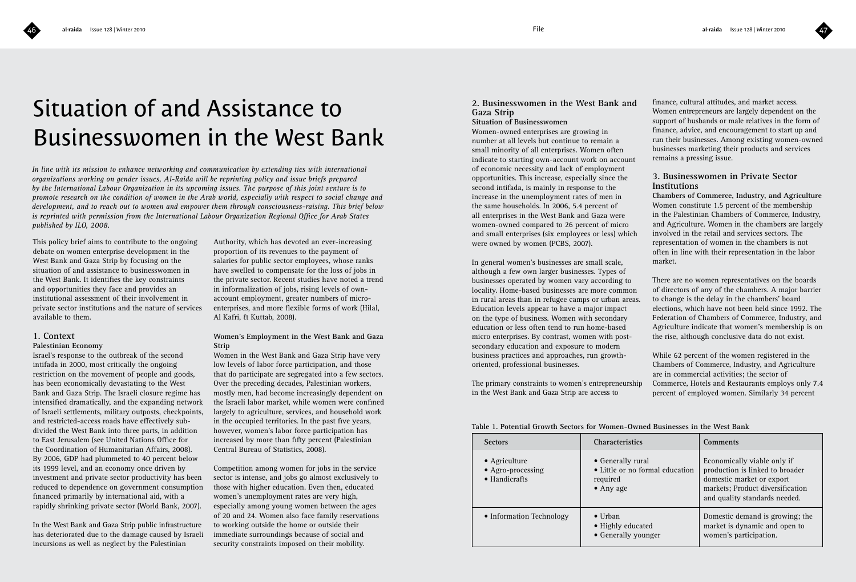# Situation of and Assistance to Businesswomen in the West Bank

*In line with its mission to enhance networking and communication by extending ties with international organizations working on gender issues, Al-Raida will be reprinting policy and issue briefs prepared by the International Labour Organization in its upcoming issues. The purpose of this joint venture is to promote research on the condition of women in the Arab world, especially with respect to social change and development, and to reach out to women and empower them through consciousness-raising. This brief below is reprinted with permission from the International Labour Organization Regional Office for Arab States published by ILO, 2008.* 

This policy brief aims to contribute to the ongoing debate on women enterprise development in the West Bank and Gaza Strip by focusing on the situation of and assistance to businesswomen in the West Bank. It identifies the key constraints and opportunities they face and provides an institutional assessment of their involvement in private sector institutions and the nature of services available to them.

### **1. Context**

### **Palestinian Economy**

Israel's response to the outbreak of the second intifada in 2000, most critically the ongoing restriction on the movement of people and goods, has been economically devastating to the West Bank and Gaza Strip. The Israeli closure regime has intensified dramatically, and the expanding network of Israeli settlements, military outposts, checkpoints, and restricted-access roads have effectively subdivided the West Bank into three parts, in addition to East Jerusalem (see United Nations Office for the Coordination of Humanitarian Affairs, 2008). By 2006, GDP had plummeted to 40 percent below its 1999 level, and an economy once driven by investment and private sector productivity has been reduced to dependence on government consumption financed primarily by international aid, with a rapidly shrinking private sector (World Bank, 2007).

In the West Bank and Gaza Strip public infrastructure has deteriorated due to the damage caused by Israeli incursions as well as neglect by the Palestinian

Authority, which has devoted an ever-increasing proportion of its revenues to the payment of salaries for public sector employees, whose ranks have swelled to compensate for the loss of jobs in the private sector. Recent studies have noted a trend in informalization of jobs, rising levels of ownaccount employment, greater numbers of microenterprises, and more flexible forms of work (Hilal, Al Kafri, & Kuttab, 2008).

### **Women's Employment in the West Bank and Gaza Strip**

Women in the West Bank and Gaza Strip have very low levels of labor force participation, and those that do participate are segregated into a few sectors. Over the preceding decades, Palestinian workers, mostly men, had become increasingly dependent on the Israeli labor market, while women were confined largely to agriculture, services, and household work in the occupied territories. In the past five years, however, women's labor force participation has increased by more than fifty percent (Palestinian Central Bureau of Statistics, 2008).

Competition among women for jobs in the service sector is intense, and jobs go almost exclusively to those with higher education. Even then, educated women's unemployment rates are very high, especially among young women between the ages of 20 and 24. Women also face family reservations to working outside the home or outside their immediate surroundings because of social and security constraints imposed on their mobility.

### **2. Businesswomen in the West Bank and Gaza Strip**

### **Situation of Businesswomen**

Women-owned enterprises are growing in number at all levels but continue to remain a small minority of all enterprises. Women often indicate to starting own-account work on account of economic necessity and lack of employment opportunities. This increase, especially since the second intifada, is mainly in response to the increase in the unemployment rates of men in the same households. In 2006, 5.4 percent of all enterprises in the West Bank and Gaza were women-owned compared to 26 percent of micro and small enterprises (six employees or less) which were owned by women (PCBS, 2007).

In general women's businesses are small scale, although a few own larger businesses. Types of businesses operated by women vary according to locality. Home-based businesses are more common in rural areas than in refugee camps or urban areas. Education levels appear to have a major impact on the type of business. Women with secondary education or less often tend to run home-based micro enterprises. By contrast, women with postsecondary education and exposure to modern business practices and approaches, run growthoriented, professional businesses.

The primary constraints to women's entrepreneurship in the West Bank and Gaza Strip are access to

finance, cultural attitudes, and market access. Women entrepreneurs are largely dependent on the support of husbands or male relatives in the form of finance, advice, and encouragement to start up and run their businesses. Among existing women-owned businesses marketing their products and services remains a pressing issue.

### **3. Businesswomen in Private Sector Institutions**

**Chambers of Commerce, Industry, and Agriculture** Women constitute 1.5 percent of the membership in the Palestinian Chambers of Commerce, Industry, and Agriculture. Women in the chambers are largely involved in the retail and services sectors. The representation of women in the chambers is not often in line with their representation in the labor market.

There are no women representatives on the boards of directors of any of the chambers. A major barrier to change is the delay in the chambers' board elections, which have not been held since 1992. The Federation of Chambers of Commerce, Industry, and Agriculture indicate that women's membership is on the rise, although conclusive data do not exist.

While 62 percent of the women registered in the Chambers of Commerce, Industry, and Agriculture are in commercial activities; the sector of Commerce, Hotels and Restaurants employs only 7.4 percent of employed women. Similarly 34 percent

**Table 1. Potential Growth Sectors for Women-Owned Businesses in the West Bank**

| <b>Sectors</b>                                              | <b>Characteristics</b>                                                                | Comments                                                                                                                                                         |
|-------------------------------------------------------------|---------------------------------------------------------------------------------------|------------------------------------------------------------------------------------------------------------------------------------------------------------------|
| • Agriculture<br>• Agro-processing<br>$\bullet$ Handicrafts | • Generally rural<br>• Little or no formal education<br>required<br>$\bullet$ Any age | Economically viable only if<br>production is linked to broader<br>domestic market or export<br>markets; Product diversification<br>and quality standards needed. |
| • Information Technology                                    | $\bullet$ Urban<br>• Highly educated<br>• Generally younger                           | Domestic demand is growing; the<br>market is dynamic and open to<br>women's participation.                                                                       |

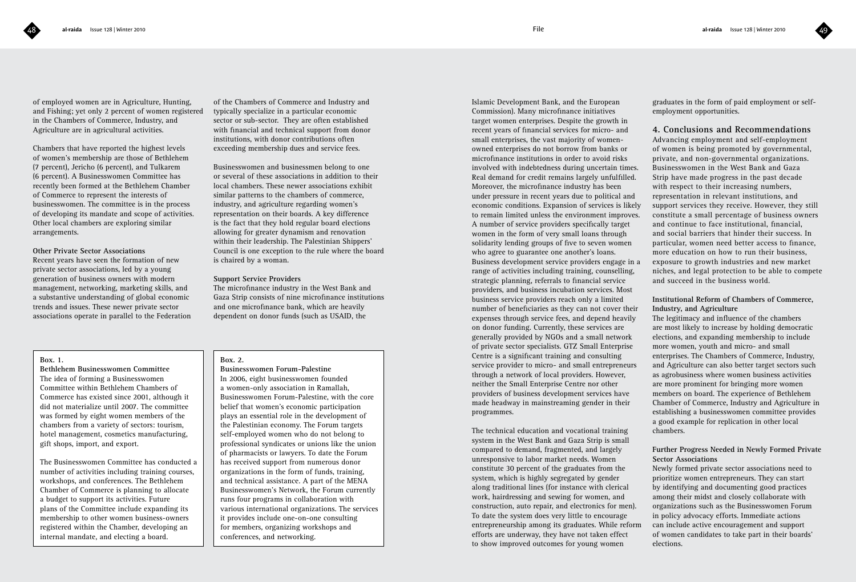of employed women are in Agriculture, Hunting, and Fishing; yet only 2 percent of women registered in the Chambers of Commerce, Industry, and Agriculture are in agricultural activities.

Chambers that have reported the highest levels of women's membership are those of Bethlehem (7 percent), Jericho (6 percent), and Tulkarem (6 percent). A Businesswomen Committee has recently been formed at the Bethlehem Chamber of Commerce to represent the interests of businesswomen. The committee is in the process of developing its mandate and scope of activities. Other local chambers are exploring similar arrangements.

### **Other Private Sector Associations**

Recent years have seen the formation of new private sector associations, led by a young generation of business owners with modern management, networking, marketing skills, and a substantive understanding of global economic trends and issues. These newer private sector associations operate in parallel to the Federation

of the Chambers of Commerce and Industry and typically specialize in a particular economic sector or sub-sector. They are often established with financial and technical support from donor institutions, with donor contributions often exceeding membership dues and service fees.

Businesswomen and businessmen belong to one or several of these associations in addition to their local chambers. These newer associations exhibit similar patterns to the chambers of commerce, industry, and agriculture regarding women's representation on their boards. A key difference is the fact that they hold regular board elections allowing for greater dynamism and renovation within their leadership. The Palestinian Shippers' Council is one exception to the rule where the board is chaired by a woman.

### **Support Service Providers**

The microfinance industry in the West Bank and Gaza Strip consists of nine microfinance institutions and one microfinance bank, which are heavily dependent on donor funds (such as USAID, the

### **Box. 1.**

**Bethlehem Businesswomen Committee** The idea of forming a Businesswomen Committee within Bethlehem Chambers of Commerce has existed since 2001, although it did not materialize until 2007. The committee was formed by eight women members of the chambers from a variety of sectors: tourism, hotel management, cosmetics manufacturing, gift shops, import, and export.

The Businesswomen Committee has conducted a number of activities including training courses, workshops, and conferences. The Bethlehem Chamber of Commerce is planning to allocate a budget to support its activities. Future plans of the Committee include expanding its membership to other women business-owners registered within the Chamber, developing an internal mandate, and electing a board.

### **Box. 2.**

**Businesswomen Forum-Palestine** In 2006, eight businesswomen founded a women-only association in Ramallah, Businesswomen Forum-Palestine, with the core belief that women's economic participation plays an essential role in the development of the Palestinian economy. The Forum targets self-employed women who do not belong to professional syndicates or unions like the union of pharmacists or lawyers. To date the Forum has received support from numerous donor organizations in the form of funds, training, and technical assistance. A part of the MENA Businesswomen's Network, the Forum currently runs four programs in collaboration with various international organizations. The services it provides include one-on-one consulting for members, organizing workshops and conferences, and networking.

Islamic Development Bank, and the European Commission). Many microfinance initiatives target women enterprises. Despite the growth in recent years of financial services for micro- and small enterprises, the vast majority of womenowned enterprises do not borrow from banks or microfinance institutions in order to avoid risks involved with indebtedness during uncertain times. Real demand for credit remains largely unfulfilled. Moreover, the microfinance industry has been under pressure in recent years due to political and economic conditions. Expansion of services is likely to remain limited unless the environment improves. A number of service providers specifically target women in the form of very small loans through solidarity lending groups of five to seven women who agree to guarantee one another's loans. Business development service providers engage in a range of activities including training, counselling, strategic planning, referrals to financial service providers, and business incubation services. Most business service providers reach only a limited number of beneficiaries as they can not cover their expenses through service fees, and depend heavily on donor funding. Currently, these services are generally provided by NGOs and a small network of private sector specialists. GTZ Small Enterprise Centre is a significant training and consulting service provider to micro- and small entrepreneurs through a network of local providers. However, neither the Small Enterprise Centre nor other providers of business development services have made headway in mainstreaming gender in their programmes.

The technical education and vocational training system in the West Bank and Gaza Strip is small compared to demand, fragmented, and largely unresponsive to labor market needs. Women constitute 30 percent of the graduates from the system, which is highly segregated by gender along traditional lines (for instance with clerical work, hairdressing and sewing for women, and construction, auto repair, and electronics for men). To date the system does very little to encourage entrepreneurship among its graduates. While reform efforts are underway, they have not taken effect to show improved outcomes for young women

graduates in the form of paid employment or selfemployment opportunities.

**4. Conclusions and Recommendations**  Advancing employment and self-employment of women is being promoted by governmental, private, and non-governmental organizations. Businesswomen in the West Bank and Gaza Strip have made progress in the past decade with respect to their increasing numbers, representation in relevant institutions, and support services they receive. However, they still constitute a small percentage of business owners and continue to face institutional, financial, and social barriers that hinder their success. In particular, women need better access to finance, more education on how to run their business, exposure to growth industries and new market niches, and legal protection to be able to compete and succeed in the business world.

### **Institutional Reform of Chambers of Commerce, Industry, and Agriculture**

The legitimacy and influence of the chambers are most likely to increase by holding democratic elections, and expanding membership to include more women, youth and micro- and small enterprises. The Chambers of Commerce, Industry, and Agriculture can also better target sectors such as agrobusiness where women business activities are more prominent for bringing more women members on board. The experience of Bethlehem Chamber of Commerce, Industry and Agriculture in establishing a businesswomen committee provides a good example for replication in other local chambers.

### **Further Progress Needed in Newly Formed Private Sector Associations**

Newly formed private sector associations need to prioritize women entrepreneurs. They can start by identifying and documenting good practices among their midst and closely collaborate with organizations such as the Businesswomen Forum in policy advocacy efforts. Immediate actions can include active encouragement and support of women candidates to take part in their boards' elections.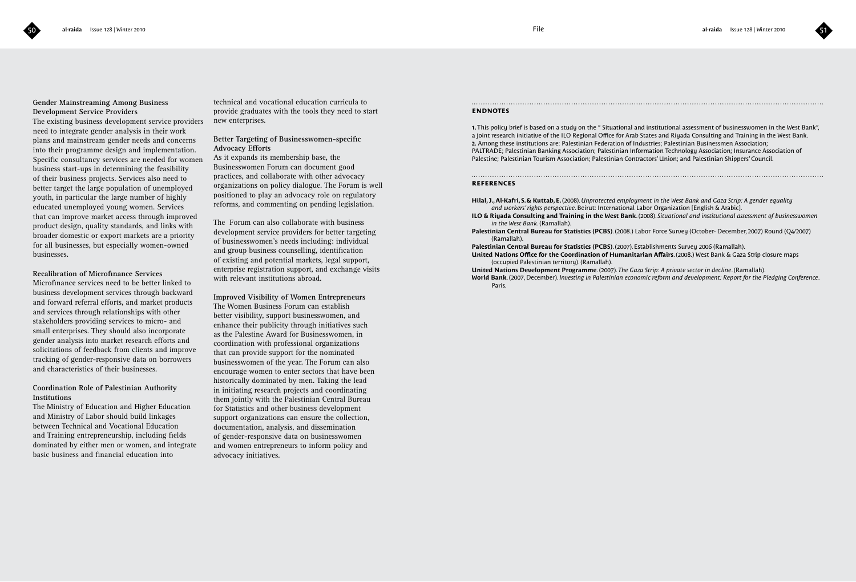

### **Gender Mainstreaming Among Business Development Service Providers**

The existing business development service providers need to integrate gender analysis in their work plans and mainstream gender needs and concerns into their programme design and implementation. Specific consultancy services are needed for women business start-ups in determining the feasibility of their business projects. Services also need to better target the large population of unemployed youth, in particular the large number of highly educated unemployed young women. Services that can improve market access through improved product design, quality standards, and links with broader domestic or export markets are a priority for all businesses, but especially women-owned businesses.

**Recalibration of Microfinance Services** Microfinance services need to be better linked to business development services through backward and forward referral efforts, and market products and services through relationships with other stakeholders providing services to micro- and small enterprises. They should also incorporate gender analysis into market research efforts and solicitations of feedback from clients and improve tracking of gender-responsive data on borrowers and characteristics of their businesses.

### **Coordination Role of Palestinian Authority Institutions**

The Ministry of Education and Higher Education and Ministry of Labor should build linkages between Technical and Vocational Education and Training entrepreneurship, including fields dominated by either men or women, and integrate basic business and financial education into

technical and vocational education curricula to provide graduates with the tools they need to start new enterprises.

**Better Targeting of Businesswomen-specific Advocacy Efforts**

As it expands its membership base, the Businesswomen Forum can document good practices, and collaborate with other advocacy organizations on policy dialogue. The Forum is well positioned to play an advocacy role on regulatory reforms, and commenting on pending legislation.

The Forum can also collaborate with business development service providers for better targeting of businesswomen's needs including: individual and group business counselling, identification of existing and potential markets, legal support, enterprise registration support, and exchange visits with relevant institutions abroad.

**Improved Visibility of Women Entrepreneurs** The Women Business Forum can establish better visibility, support businesswomen, and enhance their publicity through initiatives such as the Palestine Award for Businesswomen, in coordination with professional organizations that can provide support for the nominated businesswomen of the year. The Forum can also encourage women to enter sectors that have been historically dominated by men. Taking the lead in initiating research projects and coordinating them jointly with the Palestinian Central Bureau for Statistics and other business development support organizations can ensure the collection, documentation, analysis, and dissemination of gender-responsive data on businesswomen and women entrepreneurs to inform policy and advocacy initiatives.

### **endnotes**

**1.** This policy brief is based on a study on the " Situational and institutional assessment of businesswomen in the West Bank", a joint research initiative of the ILO Regional Office for Arab States and Riyada Consulting and Training in the West Bank. **2.** Among these institutions are: Palestinian Federation of Industries; Palestinian Businessmen Association; PALTRADE; Palestinian Banking Association; Palestinian Information Technology Association; Insurance Association of Palestine; Palestinian Tourism Association; Palestinian Contractors' Union; and Palestinian Shippers' Council.

### **references**

**Hilal, J., Al-Kafri, S. & Kuttab, E.** (2008). *Unprotected employment in the West Bank and Gaza Strip: A gender equality and workers' rights perspective*. Beirut: International Labor Organization [English & Arabic].

**ILO & Riyada Consulting and Training in the West Bank**. (2008). *Situational and institutional assessment of businesswomen in the West Bank*. (Ramallah).

**Palestinian Central Bureau for Statistics (PCBS)**. (2008.) Labor Force Survey (October- December, 2007) Round (Q4/2007) (Ramallah).

**Palestinian Central Bureau for Statistics (PCBS)**. (2007). Establishments Survey 2006 (Ramallah).

- **United Nations Office for the Coordination of Humanitarian Affairs**. (2008.) West Bank & Gaza Strip closure maps (occupied Palestinian territory). (Ramallah).
- **United Nations Development Programme**. (2007). *The Gaza Strip: A private sector in decline*. (Ramallah).
- **World Bank**. (2007, December). *Investing in Palestinian economic reform and development: Report for the Pledging Conference*. Paris.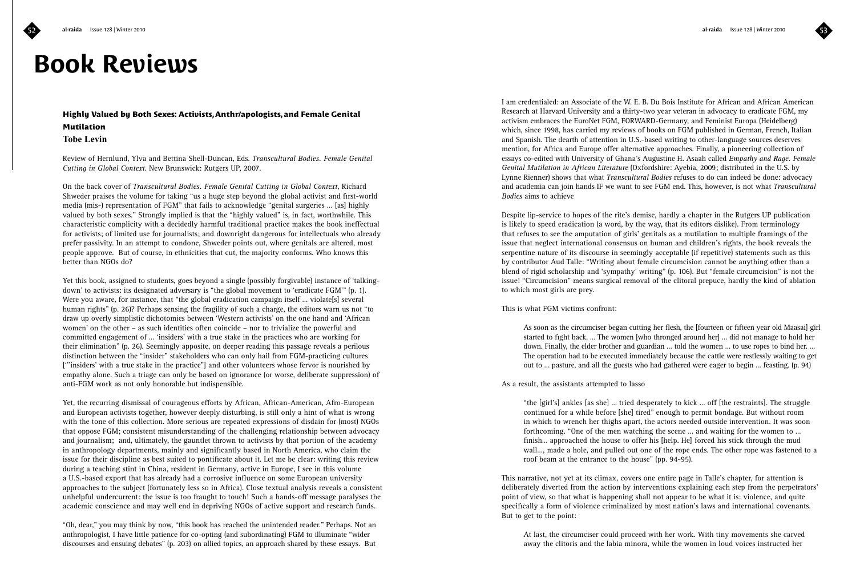# **Book Reviews**

### **Highly Valued by Both Sexes: Activists, Anthr/apologists, and Female Genital Mutilation Tobe Levin**

Review of Hernlund, Ylva and Bettina Shell-Duncan, Eds. *Transcultural Bodies. Female Genital Cutting in Global Context*. New Brunswick: Rutgers UP, 2007.

On the back cover of *Transcultural Bodies. Female Genital Cutting in Global Context*, Richard Shweder praises the volume for taking "us a huge step beyond the global activist and first-world media (mis-) representation of FGM" that fails to acknowledge "genital surgeries … [as] highly valued by both sexes." Strongly implied is that the "highly valued" is, in fact, worthwhile. This characteristic complicity with a decidedly harmful traditional practice makes the book ineffectual for activists; of limited use for journalists; and downright dangerous for intellectuals who already prefer passivity. In an attempt to condone, Shweder points out, where genitals are altered, most people approve. But of course, in ethnicities that cut, the majority conforms. Who knows this better than NGOs do?

Yet this book, assigned to students, goes beyond a single (possibly forgivable) instance of 'talkingdown' to activists: its designated adversary is "the global movement to 'eradicate FGM'" (p. 1). Were you aware, for instance, that "the global eradication campaign itself ... violate[s] several human rights" (p. 26)? Perhaps sensing the fragility of such a charge, the editors warn us not "to draw up overly simplistic dichotomies between 'Western activists' on the one hand and 'African women' on the other – as such identities often coincide – nor to trivialize the powerful and committed engagement of … 'insiders' with a true stake in the practices who are working for their elimination" (p. 26). Seemingly apposite, on deeper reading this passage reveals a perilous distinction between the "insider" stakeholders who can only hail from FGM-practicing cultures ['''insiders' with a true stake in the practice"] and other volunteers whose fervor is nourished by empathy alone. Such a triage can only be based on ignorance (or worse, deliberate suppression) of anti-FGM work as not only honorable but indispensible.

Yet, the recurring dismissal of courageous efforts by African, African-American, Afro-European and European activists together, however deeply disturbing, is still only a hint of what is wrong with the tone of this collection. More serious are repeated expressions of disdain for (most) NGOs that oppose FGM; consistent misunderstanding of the challenging relationship between advocacy and journalism; and, ultimately, the gauntlet thrown to activists by that portion of the academy in anthropology departments, mainly and significantly based in North America, who claim the issue for their discipline as best suited to pontificate about it. Let me be clear: writing this review during a teaching stint in China, resident in Germany, active in Europe, I see in this volume a U.S.-based export that has already had a corrosive influence on some European university approaches to the subject (fortunately less so in Africa). Close textual analysis reveals a consistent unhelpful undercurrent: the issue is too fraught to touch! Such a hands-off message paralyses the academic conscience and may well end in depriving NGOs of active support and research funds.

"Oh, dear," you may think by now, "this book has reached the unintended reader." Perhaps. Not an anthropologist, I have little patience for co-opting (and subordinating) FGM to illuminate "wider discourses and ensuing debates" (p. 203) on allied topics, an approach shared by these essays. But

I am credentialed: an Associate of the W. E. B. Du Bois Institute for African and African American Research at Harvard University and a thirty-two year veteran in advocacy to eradicate FGM, my activism embraces the EuroNet FGM, FORWARD-Germany, and Feminist Europa (Heidelberg) which, since 1998, has carried my reviews of books on FGM published in German, French, Italian and Spanish. The dearth of attention in U.S.-based writing to other-language sources deserves mention, for Africa and Europe offer alternative approaches. Finally, a pioneering collection of essays co-edited with University of Ghana's Augustine H. Asaah called *Empathy and Rage. Female Genital Mutilation in African Literature* (Oxfordshire: Ayebia, 2009; distributed in the U.S. by Lynne Rienner) shows that what *Transcultural Bodies* refuses to do can indeed be done: advocacy and academia can join hands IF we want to see FGM end. This, however, is not what *Transcultural Bodies* aims to achieve

Despite lip-service to hopes of the rite's demise, hardly a chapter in the Rutgers UP publication is likely to speed eradication (a word, by the way, that its editors dislike). From terminology that refuses to see the amputation of girls' genitals as a mutilation to multiple framings of the issue that neglect international consensus on human and children's rights, the book reveals the serpentine nature of its discourse in seemingly acceptable (if repetitive) statements such as this by contributor Aud Talle: "Writing about female circumcision cannot be anything other than a blend of rigid scholarship and 'sympathy' writing" (p. 106). But "female circumcision" is not the issue! "Circumcision" means surgical removal of the clitoral prepuce, hardly the kind of ablation to which most girls are prey.

### This is what FGM victims confront:

As soon as the circumciser began cutting her flesh, the [fourteen or fifteen year old Maasai] girl started to fight back. … The women [who thronged around her] … did not manage to hold her down. Finally, the elder brother and guardian ... told the women ... to use ropes to bind her. ... The operation had to be executed immediately because the cattle were restlessly waiting to get out to … pasture, and all the guests who had gathered were eager to begin … feasting. (p. 94)

### As a result, the assistants attempted to lasso

"the [girl's] ankles [as she] … tried desperately to kick … off [the restraints]. The struggle continued for a while before [she] tired" enough to permit bondage. But without room in which to wrench her thighs apart, the actors needed outside intervention. It was soon forthcoming. "One of the men watching the scene … and waiting for the women to … finish… approached the house to offer his [help. He] forced his stick through the mud wall…, made a hole, and pulled out one of the rope ends. The other rope was fastened to a roof beam at the entrance to the house" (pp. 94-95).

This narrative, not yet at its climax, covers one entire page in Talle's chapter, for attention is deliberately diverted from the action by interventions explaining each step from the perpetrators' point of view, so that what is happening shall not appear to be what it is: violence, and quite specifically a form of violence criminalized by most nation's laws and international covenants. But to get to the point:

At last, the circumciser could proceed with her work. With tiny movements she carved away the clitoris and the labia minora, while the women in loud voices instructed her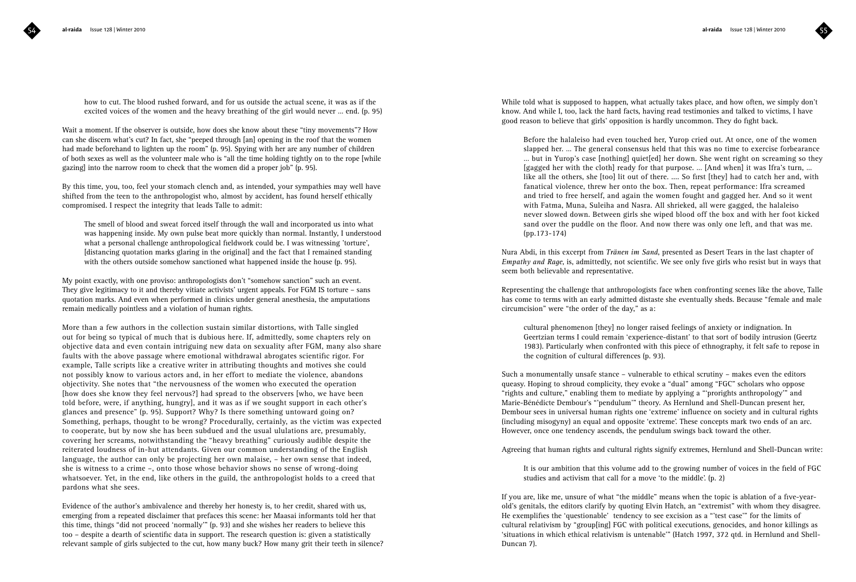how to cut. The blood rushed forward, and for us outside the actual scene, it was as if the excited voices of the women and the heavy breathing of the girl would never … end. (p. 95)

Wait a moment. If the observer is outside, how does she know about these "tiny movements"? How can she discern what's cut? In fact, she "peeped through [an] opening in the roof that the women had made beforehand to lighten up the room" (p. 95). Spying with her are any number of children of both sexes as well as the volunteer male who is "all the time holding tightly on to the rope [while gazing] into the narrow room to check that the women did a proper job" (p. 95).

By this time, you, too, feel your stomach clench and, as intended, your sympathies may well have shifted from the teen to the anthropologist who, almost by accident, has found herself ethically compromised. I respect the integrity that leads Talle to admit:

The smell of blood and sweat forced itself through the wall and incorporated us into what was happening inside. My own pulse beat more quickly than normal. Instantly, I understood what a personal challenge anthropological fieldwork could be. I was witnessing 'torture', [distancing quotation marks glaring in the original] and the fact that I remained standing with the others outside somehow sanctioned what happened inside the house (p. 95).

My point exactly, with one proviso: anthropologists don't "somehow sanction" such an event. They give legitimacy to it and thereby vitiate activists' urgent appeals. For FGM IS torture – sans quotation marks. And even when performed in clinics under general anesthesia, the amputations remain medically pointless and a violation of human rights.

More than a few authors in the collection sustain similar distortions, with Talle singled out for being so typical of much that is dubious here. If, admittedly, some chapters rely on objective data and even contain intriguing new data on sexuality after FGM, many also share faults with the above passage where emotional withdrawal abrogates scientific rigor. For example, Talle scripts like a creative writer in attributing thoughts and motives she could not possibly know to various actors and, in her effort to mediate the violence, abandons objectivity. She notes that "the nervousness of the women who executed the operation [how does she know they feel nervous?] had spread to the observers [who, we have been told before, were, if anything, hungry], and it was as if we sought support in each other's glances and presence" (p. 95). Support? Why? Is there something untoward going on? Something, perhaps, thought to be wrong? Procedurally, certainly, as the victim was expected to cooperate, but by now she has been subdued and the usual ululations are, presumably, covering her screams, notwithstanding the "heavy breathing" curiously audible despite the reiterated loudness of in-hut attendants. Given our common understanding of the English language, the author can only be projecting her own malaise, – her own sense that indeed, she is witness to a crime –, onto those whose behavior shows no sense of wrong-doing whatsoever. Yet, in the end, like others in the guild, the anthropologist holds to a creed that pardons what she sees.

Evidence of the author's ambivalence and thereby her honesty is, to her credit, shared with us, emerging from a repeated disclaimer that prefaces this scene: her Maasai informants told her that this time, things "did not proceed 'normally'" (p. 93) and she wishes her readers to believe this too – despite a dearth of scientific data in support. The research question is: given a statistically relevant sample of girls subjected to the cut, how many buck? How many grit their teeth in silence? While told what is supposed to happen, what actually takes place, and how often, we simply don't know. And while I, too, lack the hard facts, having read testimonies and talked to victims, I have good reason to believe that girls' opposition is hardly uncommon. They do fight back.

Before the halaleiso had even touched her, Yurop cried out. At once, one of the women slapped her. … The general consensus held that this was no time to exercise forbearance … but in Yurop's case [nothing] quiet[ed] her down. She went right on screaming so they [gagged her with the cloth] ready for that purpose. … [And when] it was Ifra's turn, … like all the others, she [too] lit out of there. .... So first [they] had to catch her and, with fanatical violence, threw her onto the box. Then, repeat performance: Ifra screamed and tried to free herself, and again the women fought and gagged her. And so it went with Fatma, Muna, Suleiha and Nasra. All shrieked, all were gagged, the halaleiso never slowed down. Between girls she wiped blood off the box and with her foot kicked sand over the puddle on the floor. And now there was only one left, and that was me. (pp.173-174)

Nura Abdi, in this excerpt from *Tränen im Sand*, presented as Desert Tears in the last chapter of *Empathy and Rage*, is, admittedly, not scientific. We see only five girls who resist but in ways that seem both believable and representative.

Representing the challenge that anthropologists face when confronting scenes like the above, Talle has come to terms with an early admitted distaste she eventually sheds. Because "female and male circumcision" were "the order of the day," as a:

cultural phenomenon [they] no longer raised feelings of anxiety or indignation. In Geertzian terms I could remain 'experience-distant' to that sort of bodily intrusion (Geertz 1983). Particularly when confronted with this piece of ethnography, it felt safe to repose in the cognition of cultural differences (p. 93).

Such a monumentally unsafe stance – vulnerable to ethical scrutiny – makes even the editors queasy. Hoping to shroud complicity, they evoke a "dual" among "FGC" scholars who oppose "rights and culture," enabling them to mediate by applying a "'prorights anthropology'" and Marie-Bénédicte Dembour's "'pendulum'" theory. As Hernlund and Shell-Duncan present her, Dembour sees in universal human rights one 'extreme' influence on society and in cultural rights (including misogyny) an equal and opposite 'extreme'. These concepts mark two ends of an arc. However, once one tendency ascends, the pendulum swings back toward the other.

Agreeing that human rights and cultural rights signify extremes, Hernlund and Shell-Duncan write:

It is our ambition that this volume add to the growing number of voices in the field of FGC studies and activism that call for a move 'to the middle'. (p. 2)

If you are, like me, unsure of what "the middle" means when the topic is ablation of a five-yearold's genitals, the editors clarify by quoting Elvin Hatch, an "extremist" with whom they disagree. He exemplifies the 'questionable' tendency to see excision as a "'test case'" for the limits of cultural relativism by "group[ing] FGC with political executions, genocides, and honor killings as 'situations in which ethical relativism is untenable'" (Hatch 1997, 372 qtd. in Hernlund and Shell-Duncan 7).

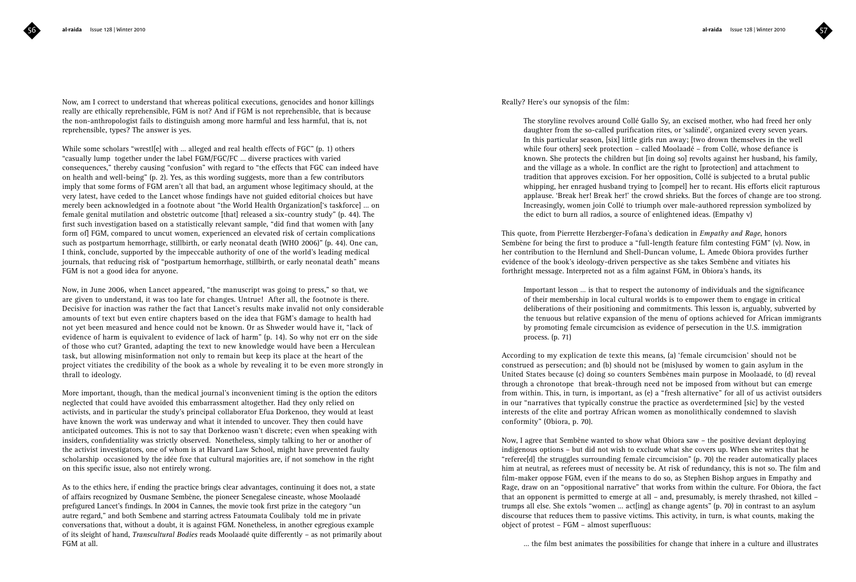Now, am I correct to understand that whereas political executions, genocides and honor killings really are ethically reprehensible, FGM is not? And if FGM is not reprehensible, that is because the non-anthropologist fails to distinguish among more harmful and less harmful, that is, not reprehensible, types? The answer is yes.

While some scholars "wrestl[e] with ... alleged and real health effects of FGC"  $(p. 1)$  others "casually lump together under the label FGM/FGC/FC … diverse practices with varied consequences," thereby causing "confusion" with regard to "the effects that FGC can indeed have on health and well-being" (p. 2). Yes, as this wording suggests, more than a few contributors imply that some forms of FGM aren't all that bad, an argument whose legitimacy should, at the very latest, have ceded to the Lancet whose findings have not guided editorial choices but have merely been acknowledged in a footnote about "the World Health Organization['s taskforce] … on female genital mutilation and obstetric outcome [that] released a six-country study" (p. 44). The first such investigation based on a statistically relevant sample, "did find that women with [any form of] FGM, compared to uncut women, experienced an elevated risk of certain complications such as postpartum hemorrhage, stillbirth, or early neonatal death (WHO 2006)" (p. 44). One can, I think, conclude, supported by the impeccable authority of one of the world's leading medical journals, that reducing risk of "postpartum hemorrhage, stillbirth, or early neonatal death" means FGM is not a good idea for anyone.

Now, in June 2006, when Lancet appeared, "the manuscript was going to press," so that, we are given to understand, it was too late for changes. Untrue! After all, the footnote is there. Decisive for inaction was rather the fact that Lancet's results make invalid not only considerable amounts of text but even entire chapters based on the idea that FGM's damage to health had not yet been measured and hence could not be known. Or as Shweder would have it, "lack of evidence of harm is equivalent to evidence of lack of harm" (p. 14). So why not err on the side of those who cut? Granted, adapting the text to new knowledge would have been a Herculean task, but allowing misinformation not only to remain but keep its place at the heart of the project vitiates the credibility of the book as a whole by revealing it to be even more strongly in thrall to ideology.

More important, though, than the medical journal's inconvenient timing is the option the editors neglected that could have avoided this embarrassment altogether. Had they only relied on activists, and in particular the study's principal collaborator Efua Dorkenoo, they would at least have known the work was underway and what it intended to uncover. They then could have anticipated outcomes. This is not to say that Dorkenoo wasn't discrete; even when speaking with insiders, confidentiality was strictly observed. Nonetheless, simply talking to her or another of the activist investigators, one of whom is at Harvard Law School, might have prevented faulty scholarship occasioned by the idée fixe that cultural majorities are, if not somehow in the right on this specific issue, also not entirely wrong.

As to the ethics here, if ending the practice brings clear advantages, continuing it does not, a state of affairs recognized by Ousmane Sembène, the pioneer Senegalese cineaste, whose Moolaadé prefigured Lancet's findings. In 2004 in Cannes, the movie took first prize in the category "un autre regard," and both Sembene and starring actress Fatoumata Coulibaly told me in private conversations that, without a doubt, it is against FGM. Nonetheless, in another egregious example of its sleight of hand, *Transcultural Bodies* reads Moolaadé quite differently – as not primarily about FGM at all.

Really? Here's our synopsis of the film:

The storyline revolves around Collé Gallo Sy, an excised mother, who had freed her only daughter from the so-called purification rites, or 'salindé', organized every seven years. In this particular season, [six] little girls run away; [two drown themselves in the well while four others] seek protection – called Moolaadé – from Collé, whose defiance is known. She protects the children but [in doing so] revolts against her husband, his family, and the village as a whole. In conflict are the right to [protection] and attachment to tradition that approves excision. For her opposition, Collé is subjected to a brutal public whipping, her enraged husband trying to [compel] her to recant. His efforts elicit rapturous applause. 'Break her! Break her!' the crowd shrieks. But the forces of change are too strong. Increasingly, women join Collé to triumph over male-authored repression symbolized by the edict to burn all radios, a source of enlightened ideas. (Empathy v)

This quote, from Pierrette Herzberger-Fofana's dedication in *Empathy and Rage*, honors Sembène for being the first to produce a "full-length feature film contesting FGM" (v). Now, in her contribution to the Hernlund and Shell-Duncan volume, L. Amede Obiora provides further evidence of the book's ideology-driven perspective as she takes Sembène and vitiates his forthright message. Interpreted not as a film against FGM, in Obiora's hands, its

Important lesson … is that to respect the autonomy of individuals and the significance of their membership in local cultural worlds is to empower them to engage in critical deliberations of their positioning and commitments. This lesson is, arguably, subverted by the tenuous but relative expansion of the menu of options achieved for African immigrants by promoting female circumcision as evidence of persecution in the U.S. immigration process. (p. 71)

According to my explication de texte this means, (a) 'female circumcision' should not be construed as persecution; and (b) should not be (mis)used by women to gain asylum in the United States because (c) doing so counters Sembènes main purpose in Moolaadé, to (d) reveal through a chronotope that break-through need not be imposed from without but can emerge from within. This, in turn, is important, as (e) a "fresh alternative" for all of us activist outsiders in our "narratives that typically construe the practice as overdetermined [sic] by the vested interests of the elite and portray African women as monolithically condemned to slavish conformity" (Obiora, p. 70).

Now, I agree that Sembène wanted to show what Obiora saw – the positive deviant deploying indigenous options – but did not wish to exclude what she covers up. When she writes that he "referee[d] the struggles surrounding female circumcision" (p. 70) the reader automatically places him at neutral, as referees must of necessity be. At risk of redundancy, this is not so. The film and film-maker oppose FGM, even if the means to do so, as Stephen Bishop argues in Empathy and Rage, draw on an "oppositional narrative" that works from within the culture. For Obiora, the fact that an opponent is permitted to emerge at all – and, presumably, is merely thrashed, not killed – trumps all else. She extols "women ... act[ing] as change agents" (p. 70) in contrast to an asylum discourse that reduces them to passive victims. This activity, in turn, is what counts, making the object of protest – FGM – almost superfluous:

… the film best animates the possibilities for change that inhere in a culture and illustrates

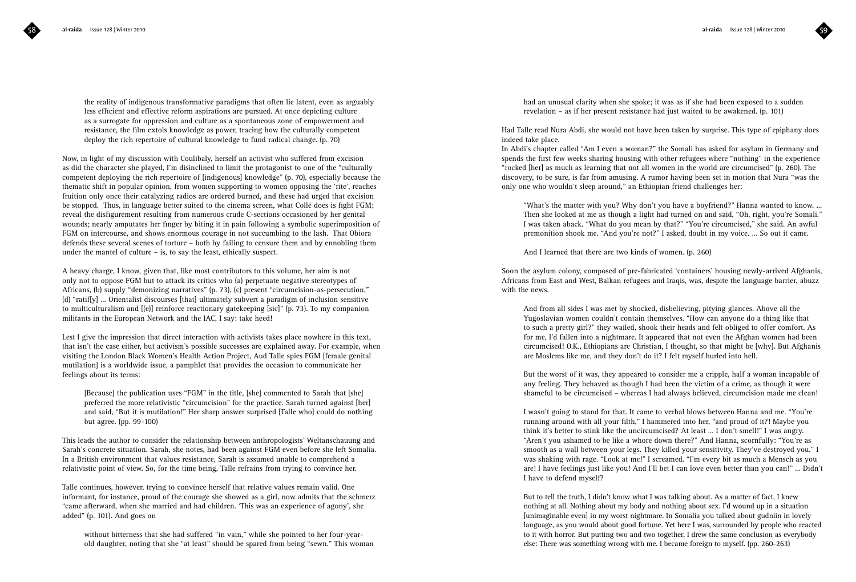the reality of indigenous transformative paradigms that often lie latent, even as arguably less efficient and effective reform aspirations are pursued. At once depicting culture as a surrogate for oppression and culture as a spontaneous zone of empowerment and resistance, the film extols knowledge as power, tracing how the culturally competent deploy the rich repertoire of cultural knowledge to fund radical change. (p. 70)

Now, in light of my discussion with Coulibaly, herself an activist who suffered from excision as did the character she played, I'm disinclined to limit the protagonist to one of the "culturally competent deploying the rich repertoire of [indigenous] knowledge" (p. 70), especially because the thematic shift in popular opinion, from women supporting to women opposing the 'rite', reaches fruition only once their catalyzing radios are ordered burned, and these had urged that excision be stopped. Thus, in language better suited to the cinema screen, what Collé does is fight FGM; reveal the disfigurement resulting from numerous crude C-sections occasioned by her genital wounds; nearly amputates her finger by biting it in pain following a symbolic superimposition of FGM on intercourse, and shows enormous courage in not succumbing to the lash. That Obiora defends these several scenes of torture – both by failing to censure them and by ennobling them under the mantel of culture – is, to say the least, ethically suspect.

A heavy charge, I know, given that, like most contributors to this volume, her aim is not only not to oppose FGM but to attack its critics who (a) perpetuate negative stereotypes of Africans, (b) supply "demonizing narratives" (p. 73), (c) present "circumcision-as-persecution," (d) "ratif[y] … Orientalist discourses [that] ultimately subvert a paradigm of inclusion sensitive to multiculturalism and [(e)] reinforce reactionary gatekeeping [sic]" (p. 73). To my companion militants in the European Network and the IAC, I say: take heed!

Lest I give the impression that direct interaction with activists takes place nowhere in this text, that isn't the case either, but activism's possible successes are explained away. For example, when visiting the London Black Women's Health Action Project, Aud Talle spies FGM [female genital mutilation] is a worldwide issue, a pamphlet that provides the occasion to communicate her feelings about its terms:

[Because] the publication uses "FGM" in the title, [she] commented to Sarah that [she] preferred the more relativistic "circumcision" for the practice. Sarah turned against [her] and said, "But it is mutilation!" Her sharp answer surprised [Talle who] could do nothing but agree. (pp. 99-100)

This leads the author to consider the relationship between anthropologists' Weltanschauung and Sarah's concrete situation. Sarah, she notes, had been against FGM even before she left Somalia. In a British environment that values resistance, Sarah is assumed unable to comprehend a relativistic point of view. So, for the time being, Talle refrains from trying to convince her.

Talle continues, however, trying to convince herself that relative values remain valid. One informant, for instance, proud of the courage she showed as a girl, now admits that the schmerz "came afterward, when she married and had children. 'This was an experience of agony', she added" (p. 101). And goes on

without bitterness that she had suffered "in vain," while she pointed to her four-yearold daughter, noting that she "at least" should be spared from being "sewn." This woman had an unusual clarity when she spoke; it was as if she had been exposed to a sudden revelation – as if her present resistance had just waited to be awakened. (p. 101)

Had Talle read Nura Abdi, she would not have been taken by surprise. This type of epiphany does indeed take place.

In Abdi's chapter called "Am I even a woman?" the Somali has asked for asylum in Germany and spends the first few weeks sharing housing with other refugees where "nothing" in the experience "rocked [her] as much as learning that not all women in the world are circumcised" (p. 260). The discovery, to be sure, is far from amusing. A rumor having been set in motion that Nura "was the only one who wouldn't sleep around," an Ethiopian friend challenges her:

"What's the matter with you? Why don't you have a boyfriend?" Hanna wanted to know. ... Then she looked at me as though a light had turned on and said, "Oh, right, you're Somali." I was taken aback. "What do you mean by that?" "You're circumcised," she said. An awful premonition shook me. "And you're not?" I asked, doubt in my voice. … So out it came.

And I learned that there are two kinds of women. (p. 260)

Soon the asylum colony, composed of pre-fabricated 'containers' housing newly-arrived Afghanis, Africans from East and West, Balkan refugees and Iraqis, was, despite the language barrier, abuzz with the news.

And from all sides I was met by shocked, disbelieving, pitying glances. Above all the Yugoslavian women couldn't contain themselves. "How can anyone do a thing like that to such a pretty girl?" they wailed, shook their heads and felt obliged to offer comfort. As for me, I'd fallen into a nightmare. It appeared that not even the Afghan women had been circumcised! O.K., Ethiopians are Christian, I thought, so that might be [why]. But Afghanis are Moslems like me, and they don't do it? I felt myself hurled into hell.

But the worst of it was, they appeared to consider me a cripple, half a woman incapable of any feeling. They behaved as though I had been the victim of a crime, as though it were shameful to be circumcised – whereas I had always believed, circumcision made me clean!

I wasn't going to stand for that. It came to verbal blows between Hanna and me. "You're running around with all your filth," I hammered into her, "and proud of it?! Maybe you think it's better to stink like the uncircumcised? At least … I don't smell!" I was angry. "Aren't you ashamed to be like a whore down there?" And Hanna, scornfully: "You're as smooth as a wall between your legs. They killed your sensitivity. They've destroyed you." I was shaking with rage. "Look at me!" I screamed. "I'm every bit as much a Mensch as you are! I have feelings just like you! And I'll bet I can love even better than you can!" … Didn't I have to defend myself?

But to tell the truth, I didn't know what I was talking about. As a matter of fact, I knew nothing at all. Nothing about my body and nothing about sex. I'd wound up in a situation [unimaginable even] in my worst nightmare. In Somalia you talked about gudniin in lovely language, as you would about good fortune. Yet here I was, surrounded by people who reacted to it with horror. But putting two and two together, I drew the same conclusion as everybody else: There was something wrong with me. I became foreign to myself. (pp. 260-263)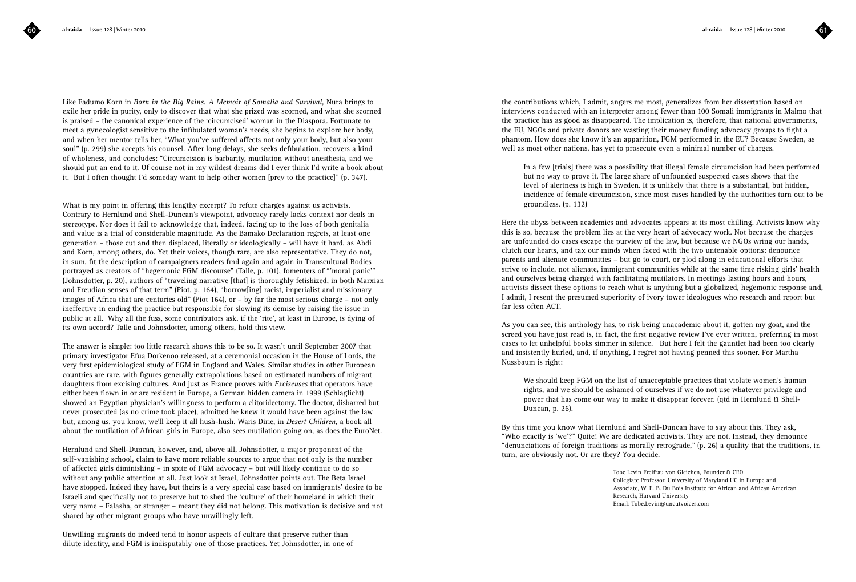Like Fadumo Korn in *Born in the Big Rains. A Memoir of Somalia and Survival,* Nura brings to exile her pride in purity, only to discover that what she prized was scorned, and what she scorned is praised – the canonical experience of the 'circumcised' woman in the Diaspora. Fortunate to meet a gynecologist sensitive to the infibulated woman's needs, she begins to explore her body, and when her mentor tells her, "What you've suffered affects not only your body, but also your soul" (p. 299) she accepts his counsel. After long delays, she seeks defibulation, recovers a kind of wholeness, and concludes: "Circumcision is barbarity, mutilation without anesthesia, and we should put an end to it. Of course not in my wildest dreams did I ever think I'd write a book about it. But I often thought I'd someday want to help other women [prey to the practice]" (p. 347).

What is my point in offering this lengthy excerpt? To refute charges against us activists. Contrary to Hernlund and Shell-Duncan's viewpoint, advocacy rarely lacks context nor deals in stereotype. Nor does it fail to acknowledge that, indeed, facing up to the loss of both genitalia and value is a trial of considerable magnitude. As the Bamako Declaration regrets, at least one generation – those cut and then displaced, literally or ideologically – will have it hard, as Abdi and Korn, among others, do. Yet their voices, though rare, are also representative. They do not, in sum, fit the description of campaigners readers find again and again in Transcultural Bodies portrayed as creators of "hegemonic FGM discourse" (Talle, p. 101), fomenters of "'moral panic'" (Johnsdotter, p. 20), authors of "traveling narrative [that] is thoroughly fetishized, in both Marxian and Freudian senses of that term" (Piot, p. 164), "borrow[ing] racist, imperialist and missionary images of Africa that are centuries old" (Piot 164), or – by far the most serious charge – not only ineffective in ending the practice but responsible for slowing its demise by raising the issue in public at all. Why all the fuss, some contributors ask, if the 'rite', at least in Europe, is dying of its own accord? Talle and Johnsdotter, among others, hold this view.

The answer is simple: too little research shows this to be so. It wasn't until September 2007 that primary investigator Efua Dorkenoo released, at a ceremonial occasion in the House of Lords, the very first epidemiological study of FGM in England and Wales. Similar studies in other European countries are rare, with figures generally extrapolations based on estimated numbers of migrant daughters from excising cultures. And just as France proves with *Exciseuses* that operators have either been flown in or are resident in Europe, a German hidden camera in 1999 (Schlaglicht) showed an Egyptian physician's willingness to perform a clitoridectomy. The doctor, disbarred but never prosecuted (as no crime took place), admitted he knew it would have been against the law but, among us, you know, we'll keep it all hush-hush. Waris Dirie, in *Desert Children*, a book all about the mutilation of African girls in Europe, also sees mutilation going on, as does the EuroNet.

Hernlund and Shell-Duncan, however, and, above all, Johnsdotter, a major proponent of the self-vanishing school, claim to have more reliable sources to argue that not only is the number of affected girls diminishing – in spite of FGM advocacy – but will likely continue to do so without any public attention at all. Just look at Israel, Johnsdotter points out. The Beta Israel have stopped. Indeed they have, but theirs is a very special case based on immigrants' desire to be Israeli and specifically not to preserve but to shed the 'culture' of their homeland in which their very name – Falasha, or stranger – meant they did not belong. This motivation is decisive and not shared by other migrant groups who have unwillingly left.

Unwilling migrants do indeed tend to honor aspects of culture that preserve rather than dilute identity, and FGM is indisputably one of those practices. Yet Johnsdotter, in one of

the contributions which, I admit, angers me most, generalizes from her dissertation based on interviews conducted with an interpreter among fewer than 100 Somali immigrants in Malmo that the practice has as good as disappeared. The implication is, therefore, that national governments, the EU, NGOs and private donors are wasting their money funding advocacy groups to fight a phantom. How does she know it's an apparition, FGM performed in the EU? Because Sweden, as well as most other nations, has yet to prosecute even a minimal number of charges.

In a few [trials] there was a possibility that illegal female circumcision had been performed but no way to prove it. The large share of unfounded suspected cases shows that the level of alertness is high in Sweden. It is unlikely that there is a substantial, but hidden, incidence of female circumcision, since most cases handled by the authorities turn out to be groundless. (p. 132)

Here the abyss between academics and advocates appears at its most chilling. Activists know why this is so, because the problem lies at the very heart of advocacy work. Not because the charges are unfounded do cases escape the purview of the law, but because we NGOs wring our hands, clutch our hearts, and tax our minds when faced with the two untenable options: denounce parents and alienate communities – but go to court, or plod along in educational efforts that strive to include, not alienate, immigrant communities while at the same time risking girls' health and ourselves being charged with facilitating mutilators. In meetings lasting hours and hours, activists dissect these options to reach what is anything but a globalized, hegemonic response and, I admit, I resent the presumed superiority of ivory tower ideologues who research and report but far less often ACT.

As you can see, this anthology has, to risk being unacademic about it, gotten my goat, and the screed you have just read is, in fact, the first negative review I've ever written, preferring in most cases to let unhelpful books simmer in silence. But here I felt the gauntlet had been too clearly and insistently hurled, and, if anything, I regret not having penned this sooner. For Martha Nussbaum is right:

We should keep FGM on the list of unacceptable practices that violate women's human rights, and we should be ashamed of ourselves if we do not use whatever privilege and power that has come our way to make it disappear forever. (qtd in Hernlund & Shell-Duncan, p. 26).

By this time you know what Hernlund and Shell-Duncan have to say about this. They ask, "Who exactly is 'we'?" Quite! We are dedicated activists. They are not. Instead, they denounce "denunciations of foreign traditions as morally retrograde," (p. 26) a quality that the traditions, in turn, are obviously not. Or are they? You decide.

> Tobe Levin Freifrau von Gleichen, Founder & CEO Collegiate Professor, University of Maryland UC in Europe and Associate, W. E. B. Du Bois Institute for African and African American Research, Harvard University Email: Tobe.Levin@uncutvoices.com

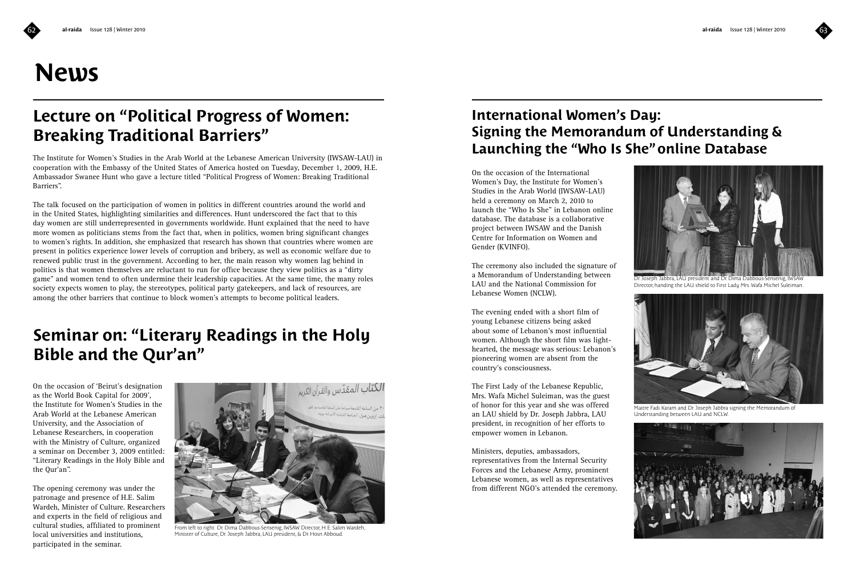# **News**

## **Lecture on "Political Progress of Women: Breaking Traditional Barriers"**

The Institute for Women's Studies in the Arab World at the Lebanese American University (IWSAW-LAU) in cooperation with the Embassy of the United States of America hosted on Tuesday, December 1, 2009, H.E. Ambassador Swanee Hunt who gave a lecture titled "Political Progress of Women: Breaking Traditional Barriers".

The talk focused on the participation of women in politics in different countries around the world and in the United States, highlighting similarities and differences. Hunt underscored the fact that to this day women are still underrepresented in governments worldwide. Hunt explained that the need to have more women as politicians stems from the fact that, when in politics, women bring significant changes to women's rights. In addition, she emphasized that research has shown that countries where women are present in politics experience lower levels of corruption and bribery, as well as economic welfare due to renewed public trust in the government. According to her, the main reason why women lag behind in politics is that women themselves are reluctant to run for office because they view politics as a "dirty game" and women tend to often undermine their leadership capacities. At the same time, the many roles society expects women to play, the stereotypes, political party gatekeepers, and lack of resources, are among the other barriers that continue to block women's attempts to become political leaders.

## **Seminar on: "Literary Readings in the Holy Bible and the Qur'an"**

On the occasion of 'Beirut's designation as the World Book Capital for 2009', the Institute for Women's Studies in the Arab World at the Lebanese American University, and the Association of Lebanese Researchers, in cooperation with the Ministry of Culture, organized a seminar on December 3, 2009 entitled: "Literary Readings in the Holy Bible and the Qur'an".

The opening ceremony was under the patronage and presence of H.E. Salim Wardeh, Minister of Culture. Researchers and experts in the field of religious and cultural studies, affiliated to prominent local universities and institutions, participated in the seminar.



From left to right: Dr. Dima Dabbous-Sensenig, IWSAW Director, H.E. Salim Wardeh, Minister of Culture, Dr. Joseph Jabbra, LAU president, & Dr. Hosn Abboud.

## **International Women's Day: Signing the Memorandum of Understanding & Launching the "Who Is She" online Database**

On the occasion of the International Women's Day, the Institute for Women's Studies in the Arab World (IWSAW-LAU) held a ceremony on March 2, 2010 to launch the "Who Is She" in Lebanon online database. The database is a collaborative project between IWSAW and the Danish Centre for Information on Women and Gender (KVINFO).

The ceremony also included the signature of a Memorandum of Understanding between LAU and the National Commission for Lebanese Women (NCLW).

The evening ended with a short film of young Lebanese citizens being asked about some of Lebanon's most influential women. Although the short film was lighthearted, the message was serious: Lebanon's pioneering women are absent from the country's consciousness.

The First Lady of the Lebanese Republic, Mrs. Wafa Michel Suleiman, was the guest of honor for this year and she was offered an LAU shield by Dr. Joseph Jabbra, LAU president, in recognition of her efforts to empower women in Lebanon.

Ministers, deputies, ambassadors, representatives from the Internal Security Forces and the Lebanese Army, prominent Lebanese women, as well as representatives from different NGO's attended the ceremony.



Dr. Joseph Jabbra, LAU president and Dr. Dima Dabbous-Sensenig, IWSAW Director, handing the LAU shield to First Lady Mrs. Wafa Michel Suleiman.



Maitre Fadi Karam and Dr. Joseph Jabbra signing the Memorandum of Understanding between LAU and NCLW.